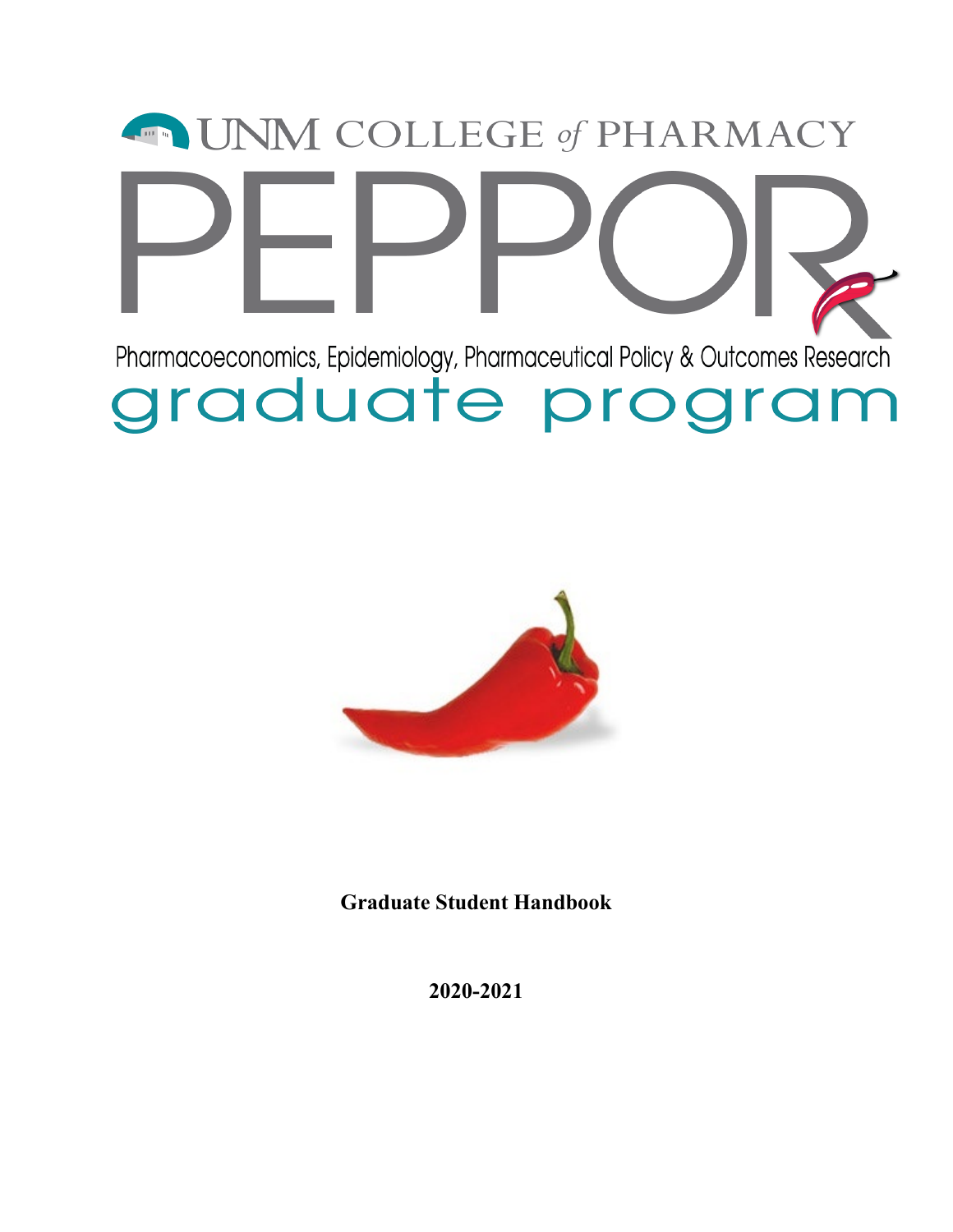# **ENEXT COLLEGE of PHARMACY** Pharmacoeconomics, Epidemiology, Pharmaceutical Policy & Outcomes Research graduate program



**Graduate Student Handbook**

**2020-2021**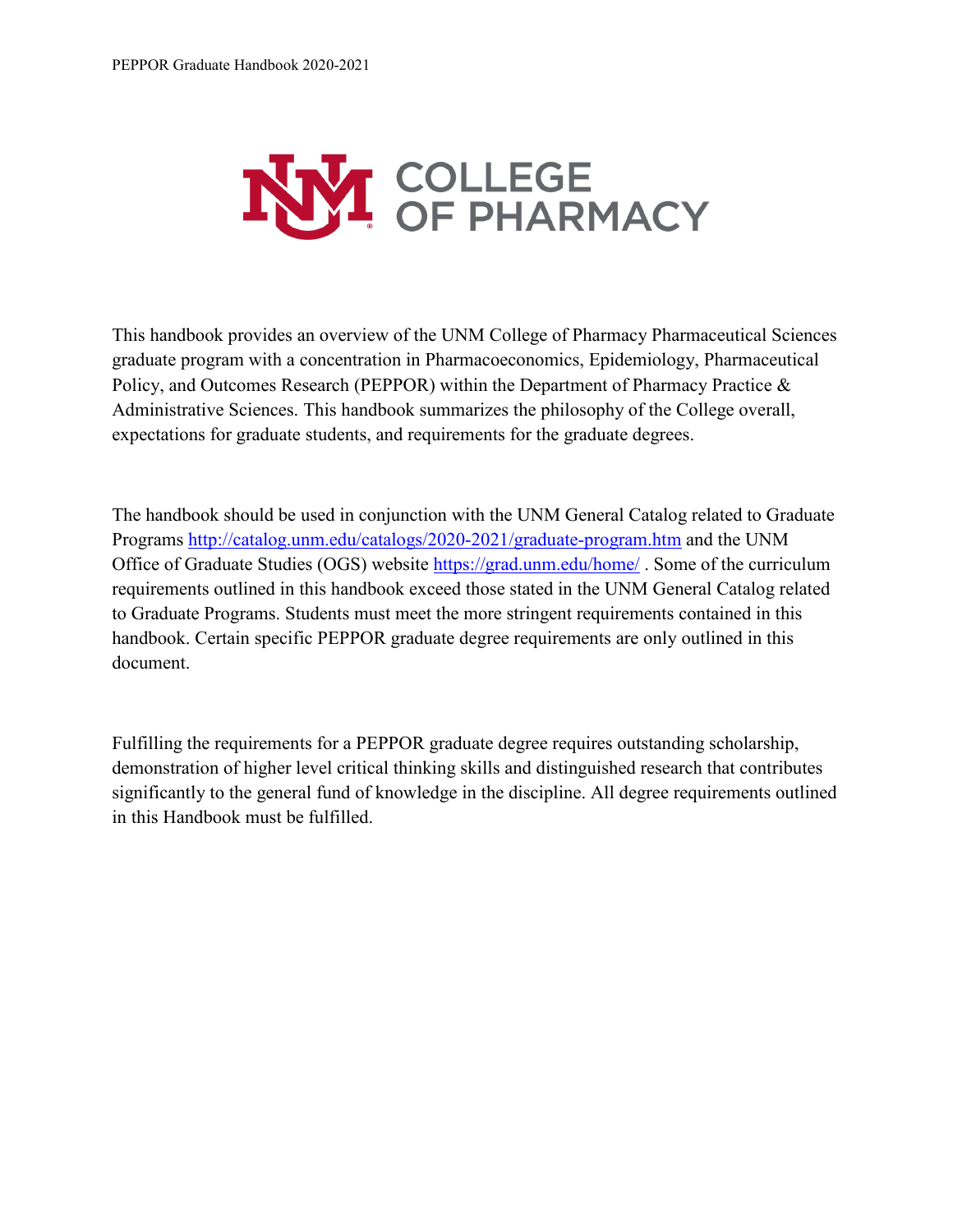

This handbook provides an overview of the UNM College of Pharmacy Pharmaceutical Sciences graduate program with a concentration in Pharmacoeconomics, Epidemiology, Pharmaceutical Policy, and Outcomes Research (PEPPOR) within the Department of Pharmacy Practice & Administrative Sciences. This handbook summarizes the philosophy of the College overall, expectations for graduate students, and requirements for the graduate degrees.

The handbook should be used in conjunction with the UNM General Catalog related to Graduate Programs<http://catalog.unm.edu/catalogs/2020-2021/graduate-program.htm> and the UNM Office of Graduate Studies (OGS) website <https://grad.unm.edu/home/> . Some of the curriculum requirements outlined in this handbook exceed those stated in the UNM General Catalog related to Graduate Programs. Students must meet the more stringent requirements contained in this handbook. Certain specific PEPPOR graduate degree requirements are only outlined in this document.

Fulfilling the requirements for a PEPPOR graduate degree requires outstanding scholarship, demonstration of higher level critical thinking skills and distinguished research that contributes significantly to the general fund of knowledge in the discipline. All degree requirements outlined in this Handbook must be fulfilled.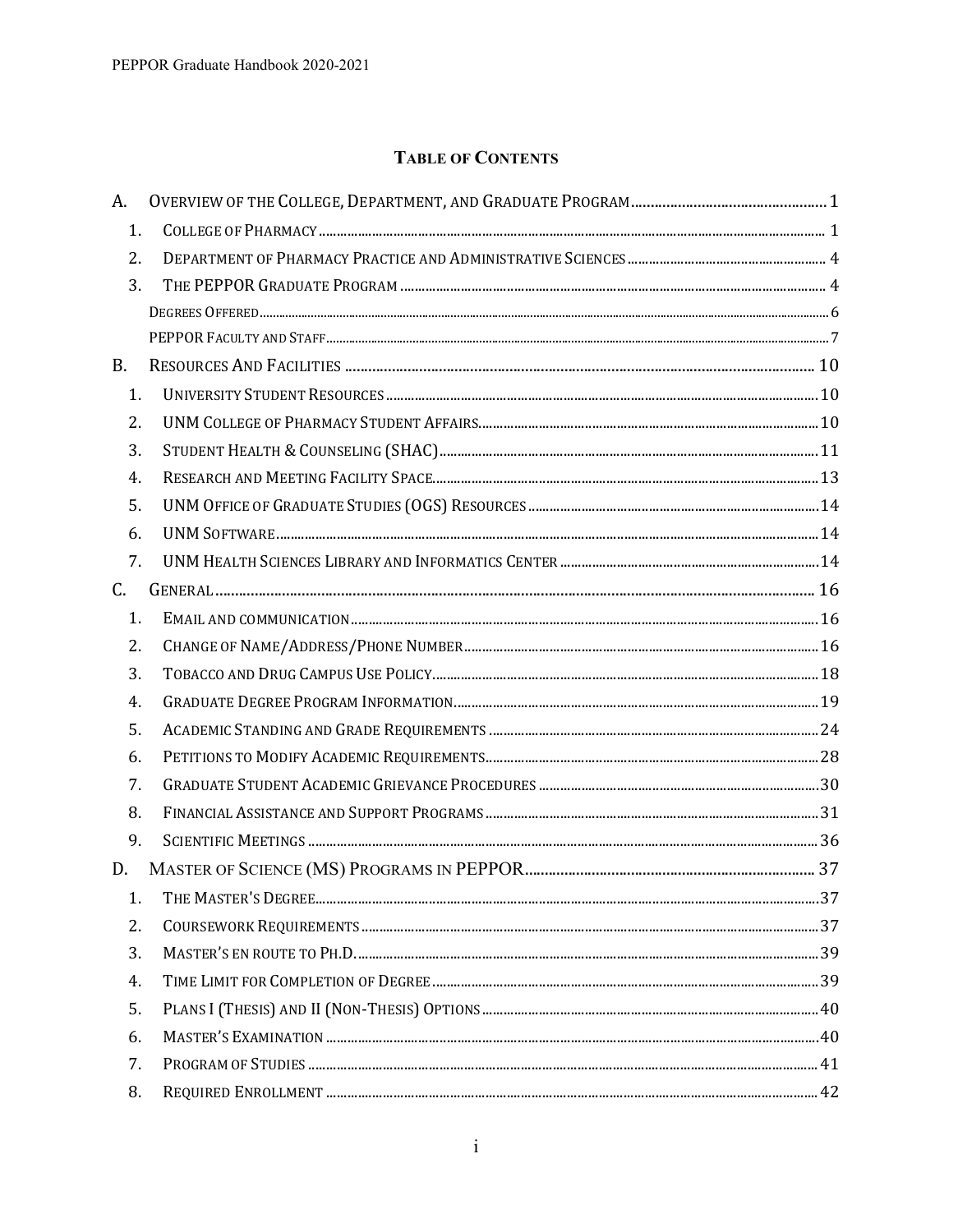# **TABLE OF CONTENTS**

| A. |  |
|----|--|
| 1. |  |
| 2. |  |
| 3. |  |
|    |  |
|    |  |
| B. |  |
| 1. |  |
| 2. |  |
| 3. |  |
| 4. |  |
| 5. |  |
| 6. |  |
| 7. |  |
| C. |  |
| 1. |  |
| 2. |  |
| 3. |  |
| 4. |  |
| 5. |  |
| 6. |  |
| 7. |  |
| 8. |  |
| 9. |  |
| D. |  |
| 1. |  |
| 2. |  |
| 3. |  |
| 4. |  |
| 5. |  |
| 6. |  |
| 7. |  |
| 8. |  |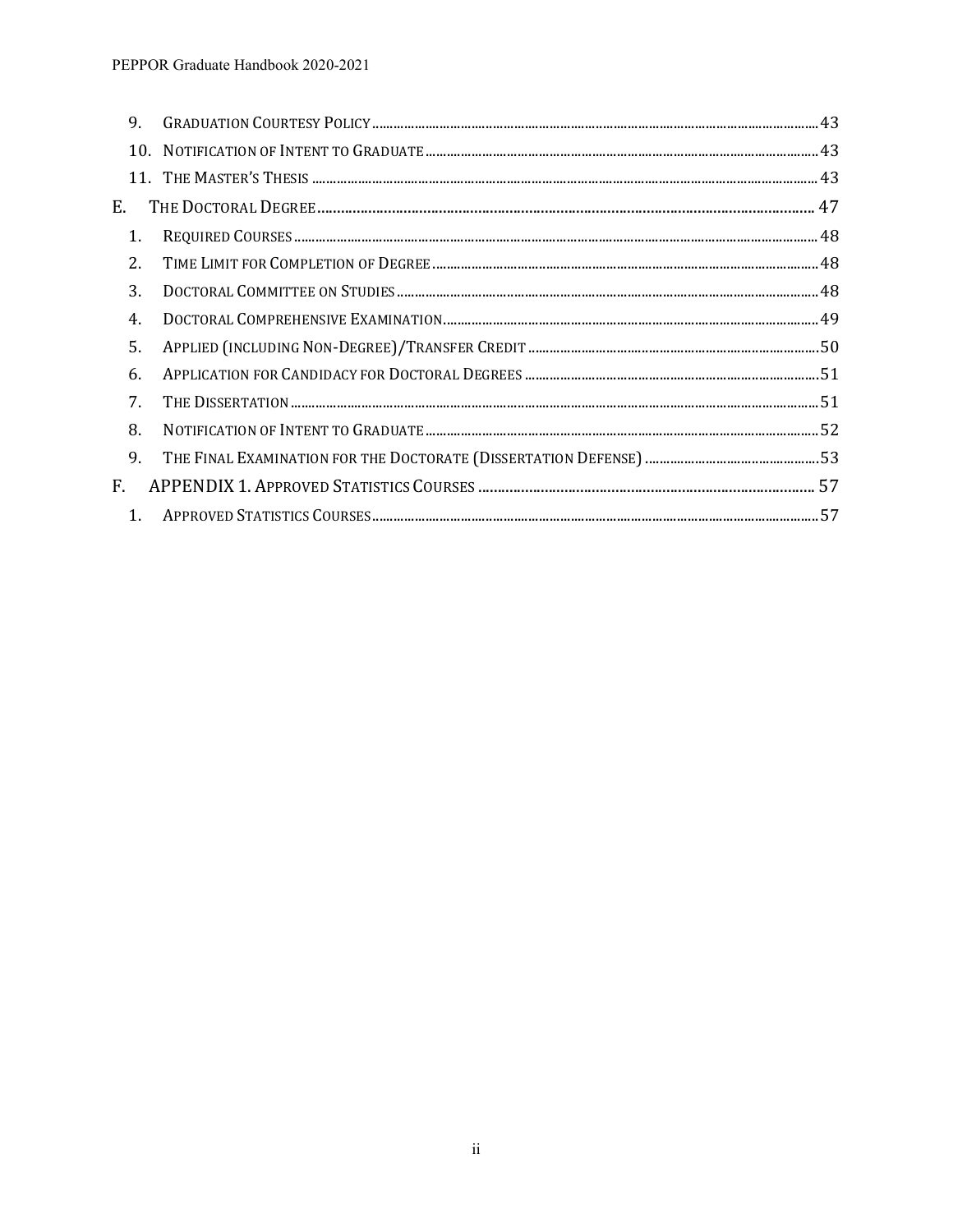| 9. |  |  |
|----|--|--|
|    |  |  |
|    |  |  |
| Е. |  |  |
| 1. |  |  |
| 2. |  |  |
| 3. |  |  |
| 4. |  |  |
| 5. |  |  |
| 6. |  |  |
| 7. |  |  |
| 8. |  |  |
| 9. |  |  |
| F. |  |  |
| 1. |  |  |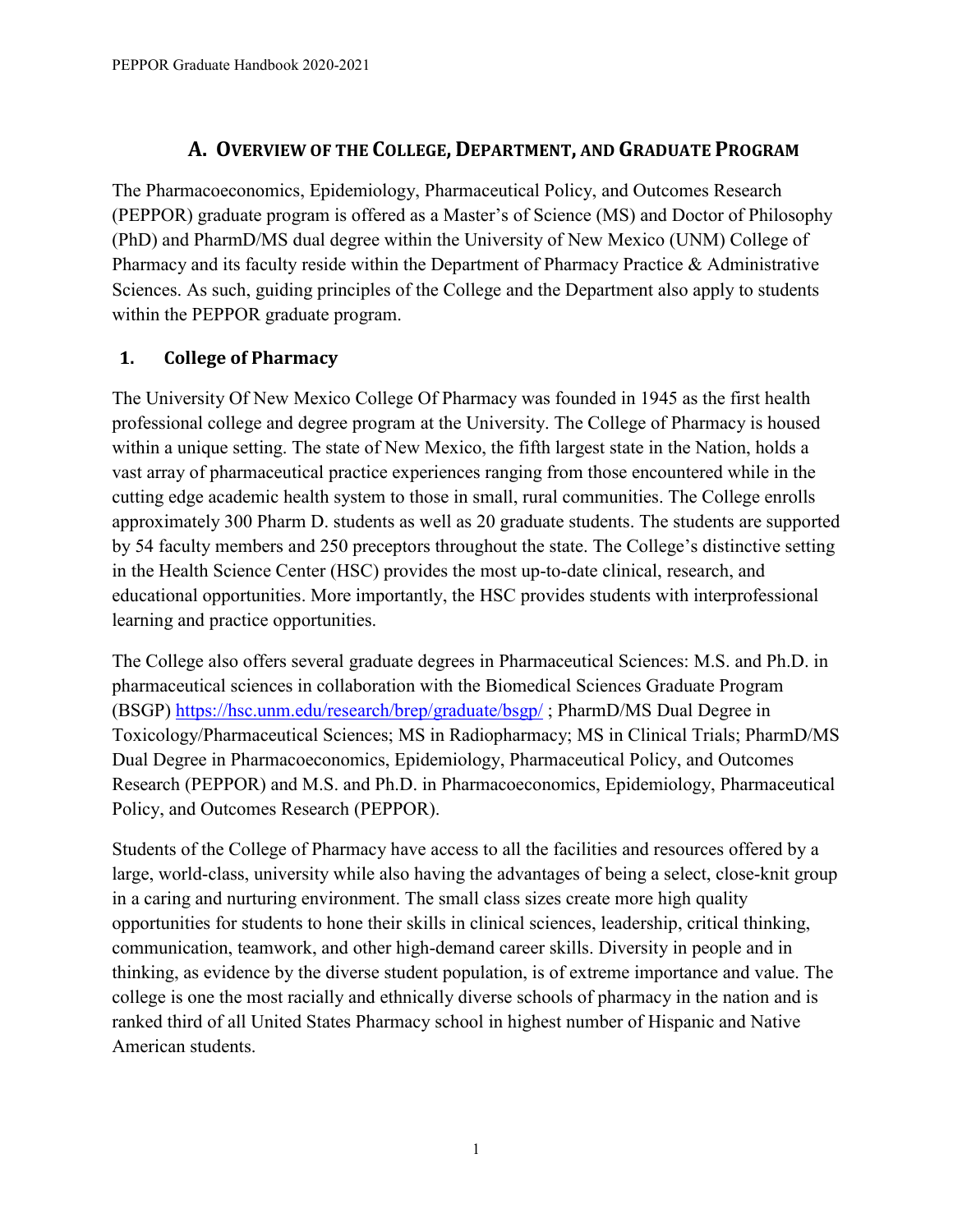# **A. OVERVIEW OF THE COLLEGE, DEPARTMENT, AND GRADUATE PROGRAM**

<span id="page-4-0"></span>The Pharmacoeconomics, Epidemiology, Pharmaceutical Policy, and Outcomes Research (PEPPOR) graduate program is offered as a Master's of Science (MS) and Doctor of Philosophy (PhD) and PharmD/MS dual degree within the University of New Mexico (UNM) College of Pharmacy and its faculty reside within the Department of Pharmacy Practice & Administrative Sciences. As such, guiding principles of the College and the Department also apply to students within the PEPPOR graduate program.

## <span id="page-4-1"></span>**1. College of Pharmacy**

The University Of New Mexico College Of Pharmacy was founded in 1945 as the first health professional college and degree program at the University. The College of Pharmacy is housed within a unique setting. The state of New Mexico, the fifth largest state in the Nation, holds a vast array of pharmaceutical practice experiences ranging from those encountered while in the cutting edge academic health system to those in small, rural communities. The College enrolls approximately 300 Pharm D. students as well as 20 graduate students. The students are supported by 54 faculty members and 250 preceptors throughout the state. The College's distinctive setting in the Health Science Center (HSC) provides the most up-to-date clinical, research, and educational opportunities. More importantly, the HSC provides students with interprofessional learning and practice opportunities.

The College also offers several graduate degrees in Pharmaceutical Sciences: M.S. and Ph.D. in pharmaceutical sciences in collaboration with the Biomedical Sciences Graduate Program (BSGP)<https://hsc.unm.edu/research/brep/graduate/bsgp/> ; PharmD/MS Dual Degree in Toxicology/Pharmaceutical Sciences; MS in Radiopharmacy; MS in Clinical Trials; PharmD/MS Dual Degree in Pharmacoeconomics, Epidemiology, Pharmaceutical Policy, and Outcomes Research (PEPPOR) and M.S. and Ph.D. in Pharmacoeconomics, Epidemiology, Pharmaceutical Policy, and Outcomes Research (PEPPOR).

Students of the College of Pharmacy have access to all the facilities and resources offered by a large, world-class, university while also having the advantages of being a select, close-knit group in a caring and nurturing environment. The small class sizes create more high quality opportunities for students to hone their skills in clinical sciences, leadership, critical thinking, communication, teamwork, and other high-demand career skills. Diversity in people and in thinking, as evidence by the diverse student population, is of extreme importance and value. The college is one the most racially and ethnically diverse schools of pharmacy in the nation and is ranked third of all United States Pharmacy school in highest number of Hispanic and Native American students.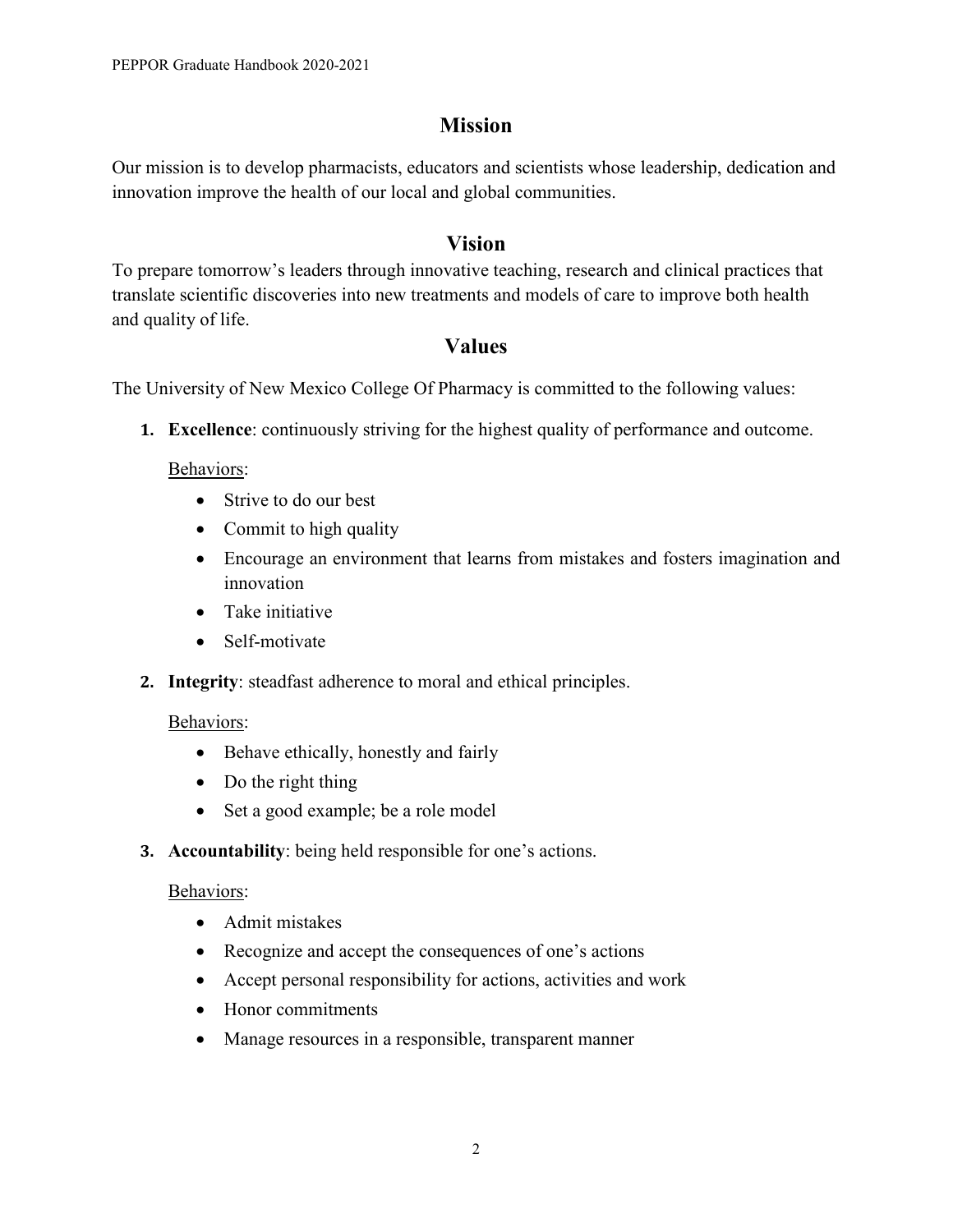# **Mission**

Our mission is to develop pharmacists, educators and scientists whose leadership, dedication and innovation improve the health of our local and global communities.

# **Vision**

To prepare tomorrow's leaders through innovative teaching, research and clinical practices that translate scientific discoveries into new treatments and models of care to improve both health and quality of life.

# **Values**

The University of New Mexico College Of Pharmacy is committed to the following values:

**1. Excellence**: continuously striving for the highest quality of performance and outcome.

Behaviors:

- Strive to do our best
- Commit to high quality
- Encourage an environment that learns from mistakes and fosters imagination and innovation
- Take initiative
- Self-motivate
- **2. Integrity**: steadfast adherence to moral and ethical principles.

#### Behaviors:

- Behave ethically, honestly and fairly
- Do the right thing
- Set a good example; be a role model
- **3. Accountability**: being held responsible for one's actions.

#### Behaviors:

- Admit mistakes
- Recognize and accept the consequences of one's actions
- Accept personal responsibility for actions, activities and work
- Honor commitments
- Manage resources in a responsible, transparent manner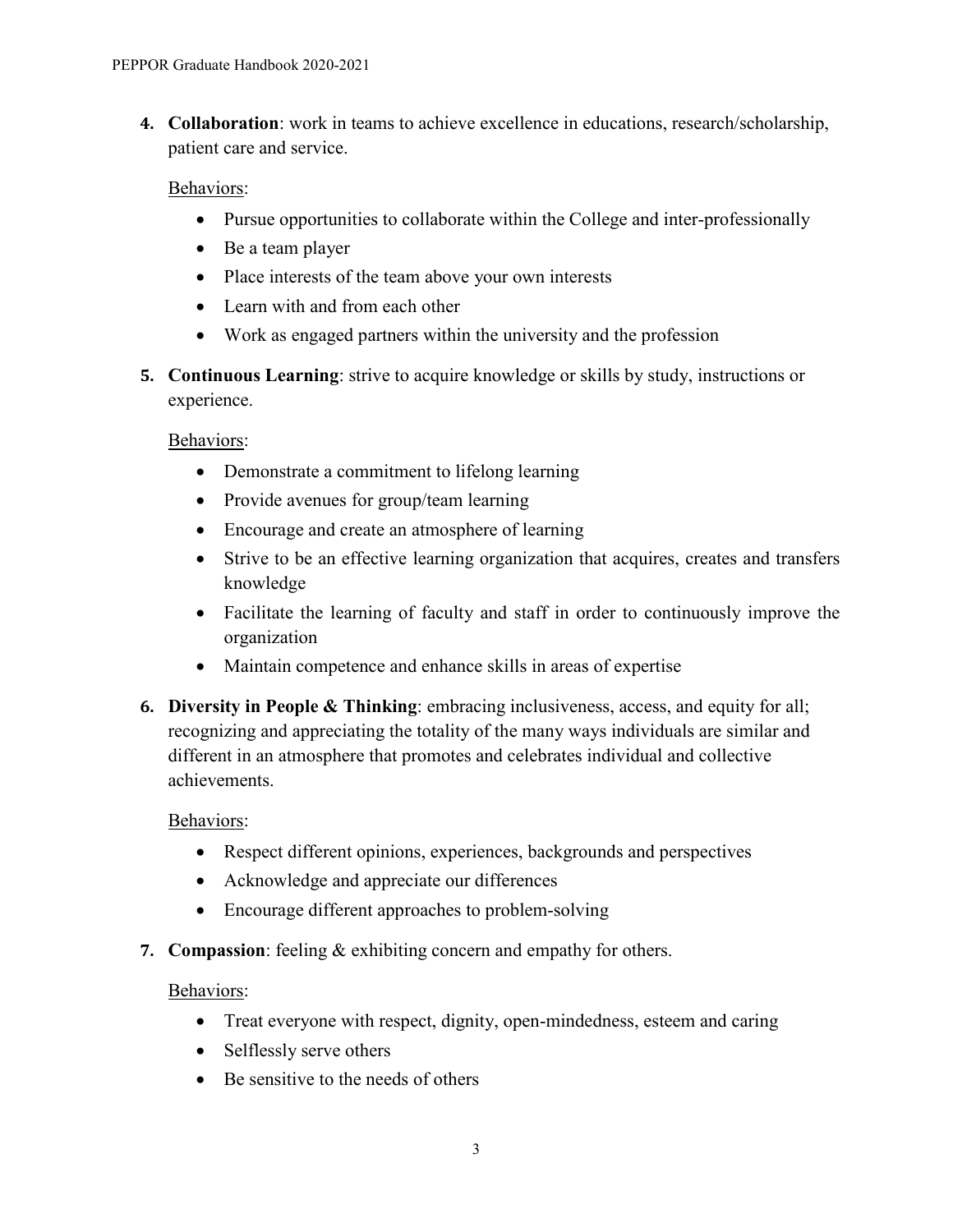**4. Collaboration**: work in teams to achieve excellence in educations, research/scholarship, patient care and service.

#### Behaviors:

- Pursue opportunities to collaborate within the College and inter-professionally
- Be a team player
- Place interests of the team above your own interests
- Learn with and from each other
- Work as engaged partners within the university and the profession
- **5. Continuous Learning**: strive to acquire knowledge or skills by study, instructions or experience.

#### Behaviors:

- Demonstrate a commitment to lifelong learning
- Provide avenues for group/team learning
- Encourage and create an atmosphere of learning
- Strive to be an effective learning organization that acquires, creates and transfers knowledge
- Facilitate the learning of faculty and staff in order to continuously improve the organization
- Maintain competence and enhance skills in areas of expertise
- **6. Diversity in People & Thinking**: embracing inclusiveness, access, and equity for all; recognizing and appreciating the totality of the many ways individuals are similar and different in an atmosphere that promotes and celebrates individual and collective achievements.

## Behaviors:

- Respect different opinions, experiences, backgrounds and perspectives
- Acknowledge and appreciate our differences
- Encourage different approaches to problem-solving
- **7. Compassion**: feeling & exhibiting concern and empathy for others.

## Behaviors:

- Treat everyone with respect, dignity, open-mindedness, esteem and caring
- Selflessly serve others
- Be sensitive to the needs of others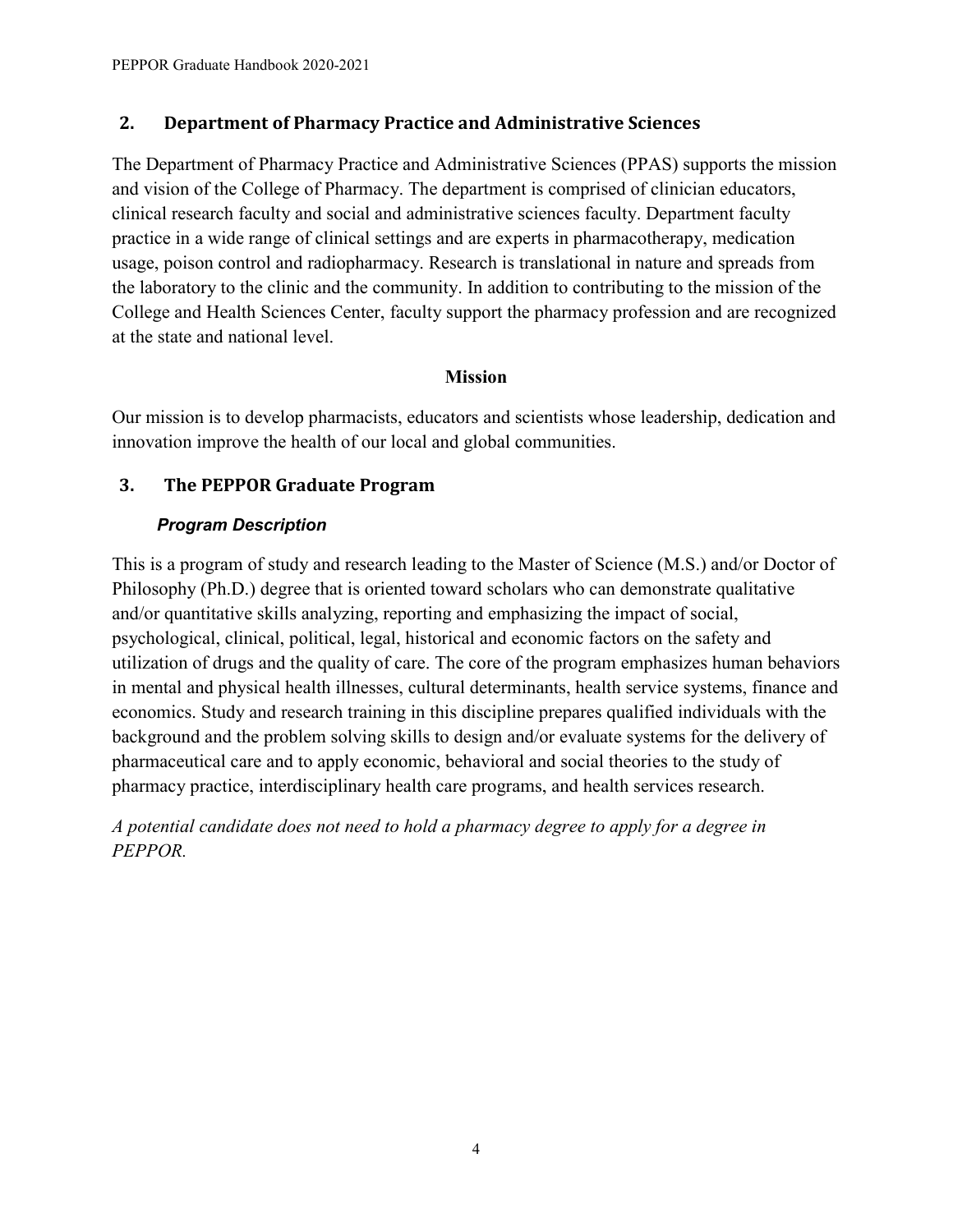## <span id="page-7-0"></span>**2. Department of Pharmacy Practice and Administrative Sciences**

The Department of Pharmacy Practice and Administrative Sciences (PPAS) supports the mission and vision of the College of Pharmacy. The department is comprised of clinician educators, clinical research faculty and social and administrative sciences faculty. Department faculty practice in a wide range of clinical settings and are experts in pharmacotherapy, medication usage, poison control and radiopharmacy. Research is translational in nature and spreads from the laboratory to the clinic and the community. In addition to contributing to the mission of the College and Health Sciences Center, faculty support the pharmacy profession and are recognized at the state and national level.

#### **Mission**

Our mission is to develop pharmacists, educators and scientists whose leadership, dedication and innovation improve the health of our local and global communities.

# <span id="page-7-1"></span>**3. The PEPPOR Graduate Program**

## *Program Description*

This is a program of study and research leading to the Master of Science (M.S.) and/or Doctor of Philosophy (Ph.D.) degree that is oriented toward scholars who can demonstrate qualitative and/or quantitative skills analyzing, reporting and emphasizing the impact of social, psychological, clinical, political, legal, historical and economic factors on the safety and utilization of drugs and the quality of care. The core of the program emphasizes human behaviors in mental and physical health illnesses, cultural determinants, health service systems, finance and economics. Study and research training in this discipline prepares qualified individuals with the background and the problem solving skills to design and/or evaluate systems for the delivery of pharmaceutical care and to apply economic, behavioral and social theories to the study of pharmacy practice, interdisciplinary health care programs, and health services research.

*A potential candidate does not need to hold a pharmacy degree to apply for a degree in PEPPOR.*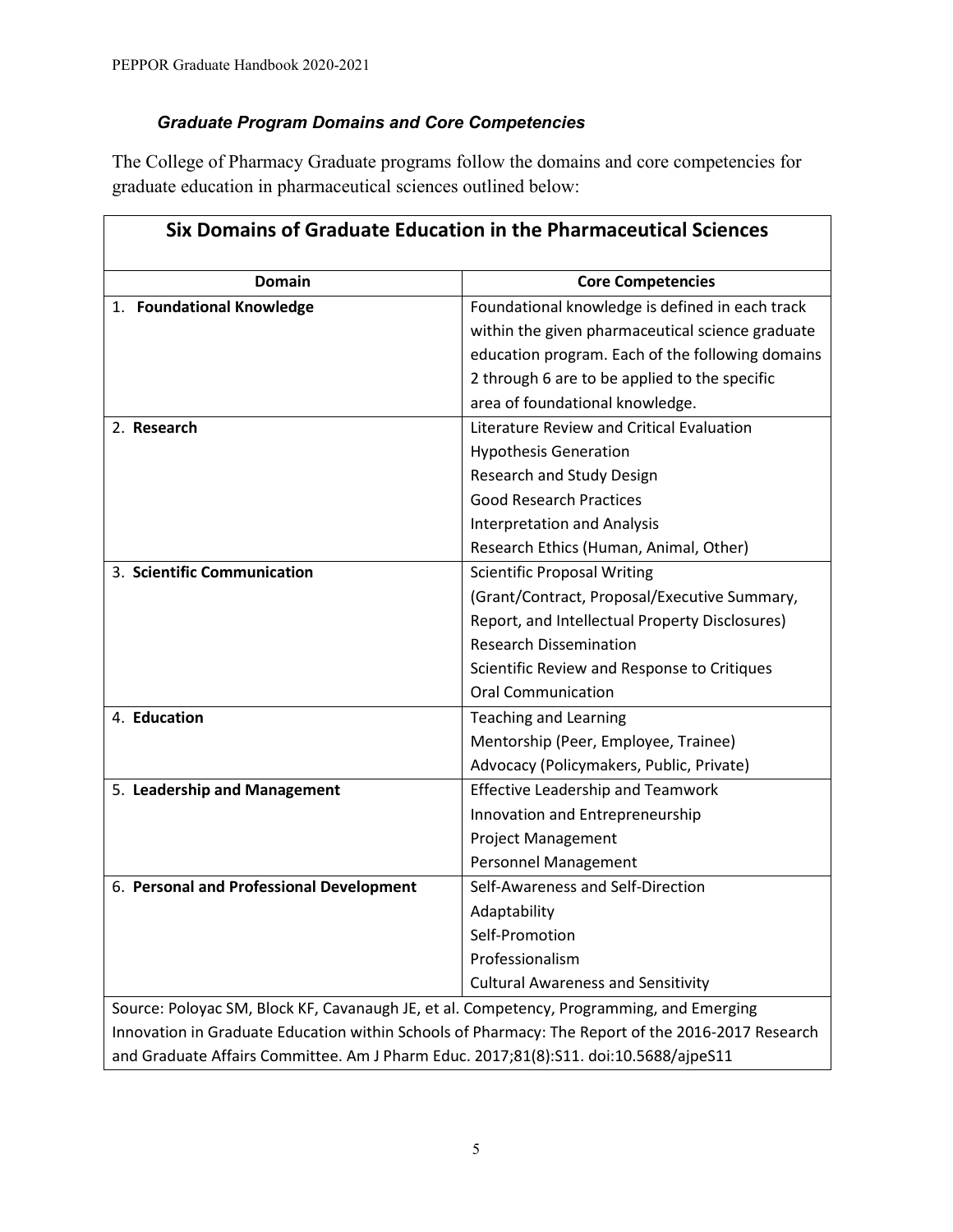## *Graduate Program Domains and Core Competencies*

The College of Pharmacy Graduate programs follow the domains and core competencies for graduate education in pharmaceutical sciences outlined below:

| Six Domains of Graduate Education in the Pharmaceutical Sciences                                  |                                                  |  |
|---------------------------------------------------------------------------------------------------|--------------------------------------------------|--|
| <b>Domain</b>                                                                                     | <b>Core Competencies</b>                         |  |
| 1. Foundational Knowledge                                                                         | Foundational knowledge is defined in each track  |  |
|                                                                                                   | within the given pharmaceutical science graduate |  |
|                                                                                                   | education program. Each of the following domains |  |
|                                                                                                   | 2 through 6 are to be applied to the specific    |  |
|                                                                                                   | area of foundational knowledge.                  |  |
| 2. Research                                                                                       | Literature Review and Critical Evaluation        |  |
|                                                                                                   | <b>Hypothesis Generation</b>                     |  |
|                                                                                                   | Research and Study Design                        |  |
|                                                                                                   | <b>Good Research Practices</b>                   |  |
|                                                                                                   | <b>Interpretation and Analysis</b>               |  |
|                                                                                                   | Research Ethics (Human, Animal, Other)           |  |
| 3. Scientific Communication                                                                       | <b>Scientific Proposal Writing</b>               |  |
|                                                                                                   | (Grant/Contract, Proposal/Executive Summary,     |  |
|                                                                                                   | Report, and Intellectual Property Disclosures)   |  |
|                                                                                                   | <b>Research Dissemination</b>                    |  |
|                                                                                                   | Scientific Review and Response to Critiques      |  |
|                                                                                                   | <b>Oral Communication</b>                        |  |
| 4. Education                                                                                      | <b>Teaching and Learning</b>                     |  |
|                                                                                                   | Mentorship (Peer, Employee, Trainee)             |  |
|                                                                                                   | Advocacy (Policymakers, Public, Private)         |  |
| 5. Leadership and Management                                                                      | <b>Effective Leadership and Teamwork</b>         |  |
|                                                                                                   | Innovation and Entrepreneurship                  |  |
|                                                                                                   | <b>Project Management</b>                        |  |
|                                                                                                   | Personnel Management                             |  |
| 6. Personal and Professional Development                                                          | Self-Awareness and Self-Direction                |  |
|                                                                                                   | Adaptability                                     |  |
|                                                                                                   | Self-Promotion                                   |  |
|                                                                                                   | Professionalism                                  |  |
|                                                                                                   | <b>Cultural Awareness and Sensitivity</b>        |  |
| Source: Poloyac SM, Block KF, Cavanaugh JE, et al. Competency, Programming, and Emerging          |                                                  |  |
| Innovation in Graduate Education within Schools of Pharmacy: The Report of the 2016-2017 Research |                                                  |  |
| and Graduate Affairs Committee. Am J Pharm Educ. 2017;81(8):S11. doi:10.5688/ajpeS11              |                                                  |  |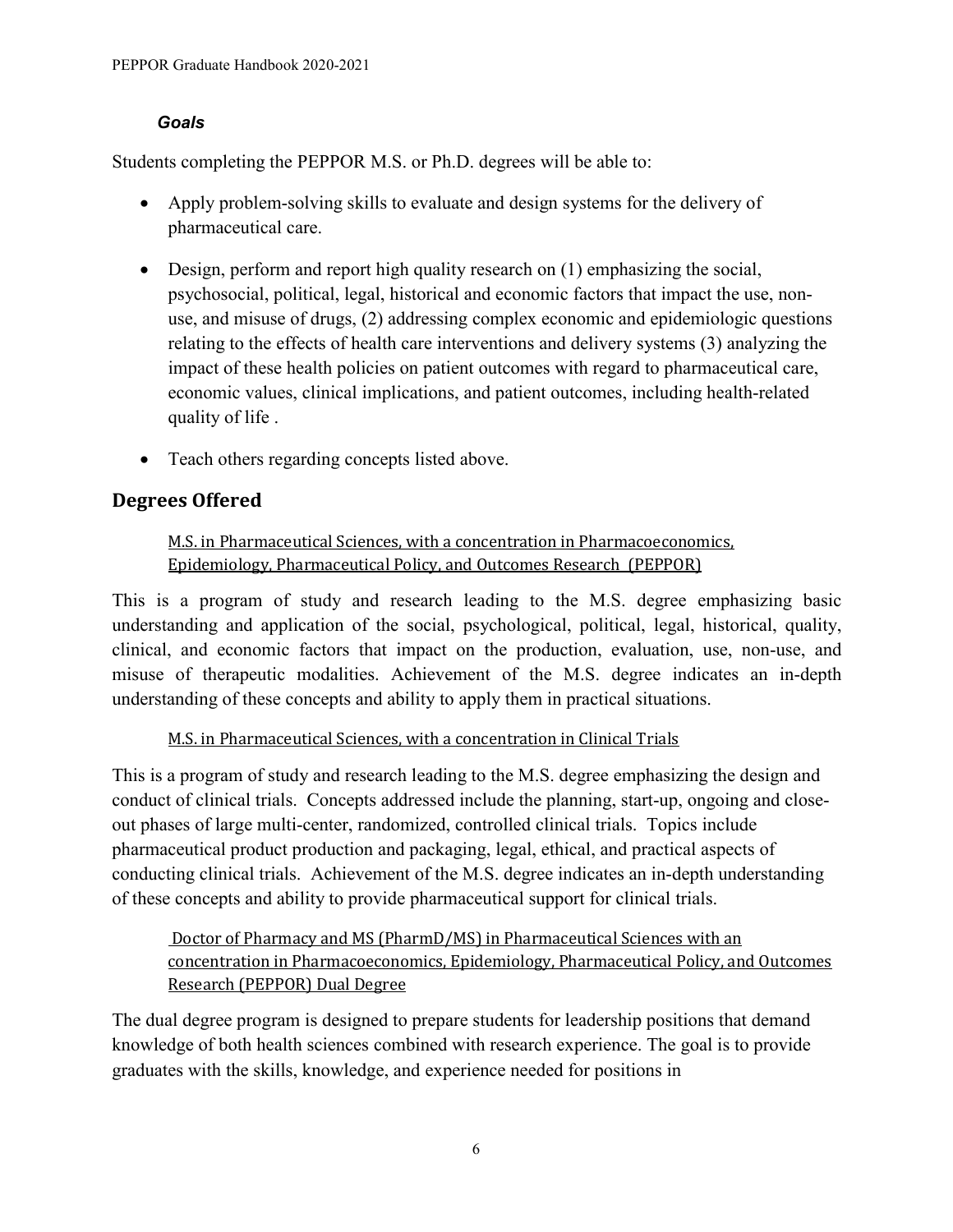#### *Goals*

Students completing the PEPPOR M.S. or Ph.D. degrees will be able to:

- Apply problem-solving skills to evaluate and design systems for the delivery of pharmaceutical care.
- Design, perform and report high quality research on (1) emphasizing the social, psychosocial, political, legal, historical and economic factors that impact the use, nonuse, and misuse of drugs, (2) addressing complex economic and epidemiologic questions relating to the effects of health care interventions and delivery systems (3) analyzing the impact of these health policies on patient outcomes with regard to pharmaceutical care, economic values, clinical implications, and patient outcomes, including health-related quality of life .
- Teach others regarding concepts listed above.

# <span id="page-9-0"></span>**Degrees Offered**

## M.S. in Pharmaceutical Sciences, with a concentration in Pharmacoeconomics, Epidemiology, Pharmaceutical Policy, and Outcomes Research (PEPPOR)

This is a program of study and research leading to the M.S. degree emphasizing basic understanding and application of the social, psychological, political, legal, historical, quality, clinical, and economic factors that impact on the production, evaluation, use, non-use, and misuse of therapeutic modalities. Achievement of the M.S. degree indicates an in-depth understanding of these concepts and ability to apply them in practical situations.

M.S. in Pharmaceutical Sciences, with a concentration in Clinical Trials

This is a program of study and research leading to the M.S. degree emphasizing the design and conduct of clinical trials. Concepts addressed include the planning, start-up, ongoing and closeout phases of large multi-center, randomized, controlled clinical trials. Topics include pharmaceutical product production and packaging, legal, ethical, and practical aspects of conducting clinical trials. Achievement of the M.S. degree indicates an in-depth understanding of these concepts and ability to provide pharmaceutical support for clinical trials.

## Doctor of Pharmacy and MS (PharmD/MS) in Pharmaceutical Sciences with an concentration in Pharmacoeconomics, Epidemiology, Pharmaceutical Policy, and Outcomes Research (PEPPOR) Dual Degree

The dual degree program is designed to prepare students for leadership positions that demand knowledge of both health sciences combined with research experience. The goal is to provide graduates with the skills, knowledge, and experience needed for positions in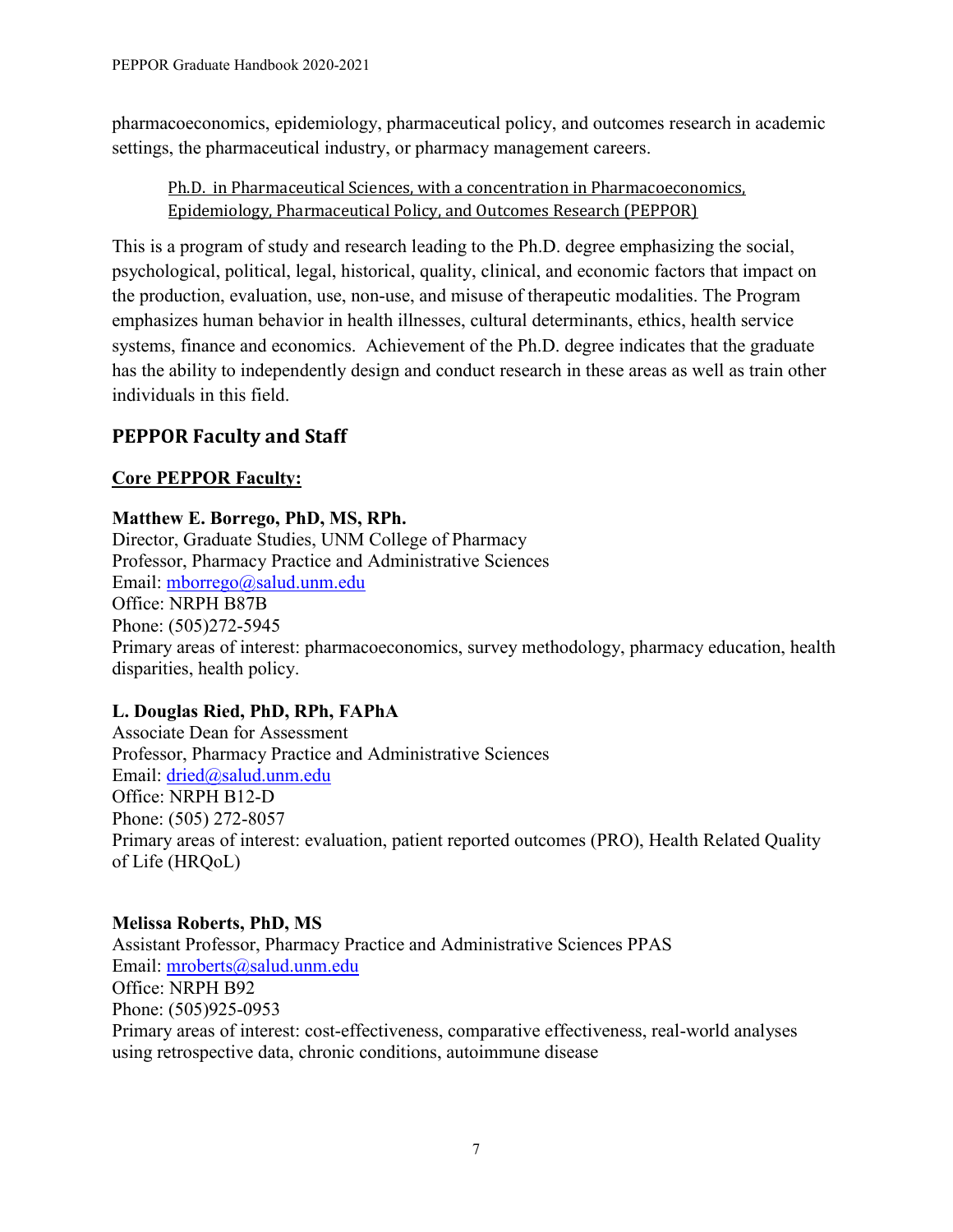pharmacoeconomics, epidemiology, pharmaceutical policy, and outcomes research in academic settings, the pharmaceutical industry, or pharmacy management careers.

Ph.D. in Pharmaceutical Sciences, with a concentration in Pharmacoeconomics, Epidemiology, Pharmaceutical Policy, and Outcomes Research (PEPPOR)

This is a program of study and research leading to the Ph.D. degree emphasizing the social, psychological, political, legal, historical, quality, clinical, and economic factors that impact on the production, evaluation, use, non-use, and misuse of therapeutic modalities. The Program emphasizes human behavior in health illnesses, cultural determinants, ethics, health service systems, finance and economics. Achievement of the Ph.D. degree indicates that the graduate has the ability to independently design and conduct research in these areas as well as train other individuals in this field.

# <span id="page-10-0"></span>**PEPPOR Faculty and Staff**

## **Core PEPPOR Faculty:**

## **Matthew E. Borrego, PhD, MS, RPh.**

Director, Graduate Studies, UNM College of Pharmacy Professor, Pharmacy Practice and Administrative Sciences Email: [mborrego@salud.unm.edu](mailto:mborrego@salud.unm.edu) Office: NRPH B87B Phone: (505)272-5945 Primary areas of interest: pharmacoeconomics, survey methodology, pharmacy education, health disparities, health policy.

## **L. Douglas Ried, PhD, RPh, FAPhA**

Associate Dean for Assessment Professor, Pharmacy Practice and Administrative Sciences Email: [dried@salud.unm.edu](mailto:dried@salud.unm.edu) Office: NRPH B12-D Phone: (505) 272-8057 Primary areas of interest: evaluation, patient reported outcomes (PRO), Health Related Quality of Life (HRQoL)

## **Melissa Roberts, PhD, MS**

Assistant Professor, Pharmacy Practice and Administrative Sciences PPAS Email: [mroberts@salud.unm.edu](mailto:mroberts@salud.unm.edu) Office: NRPH B92 Phone: (505)925-0953 Primary areas of interest: cost-effectiveness, comparative effectiveness, real-world analyses using retrospective data, chronic conditions, autoimmune disease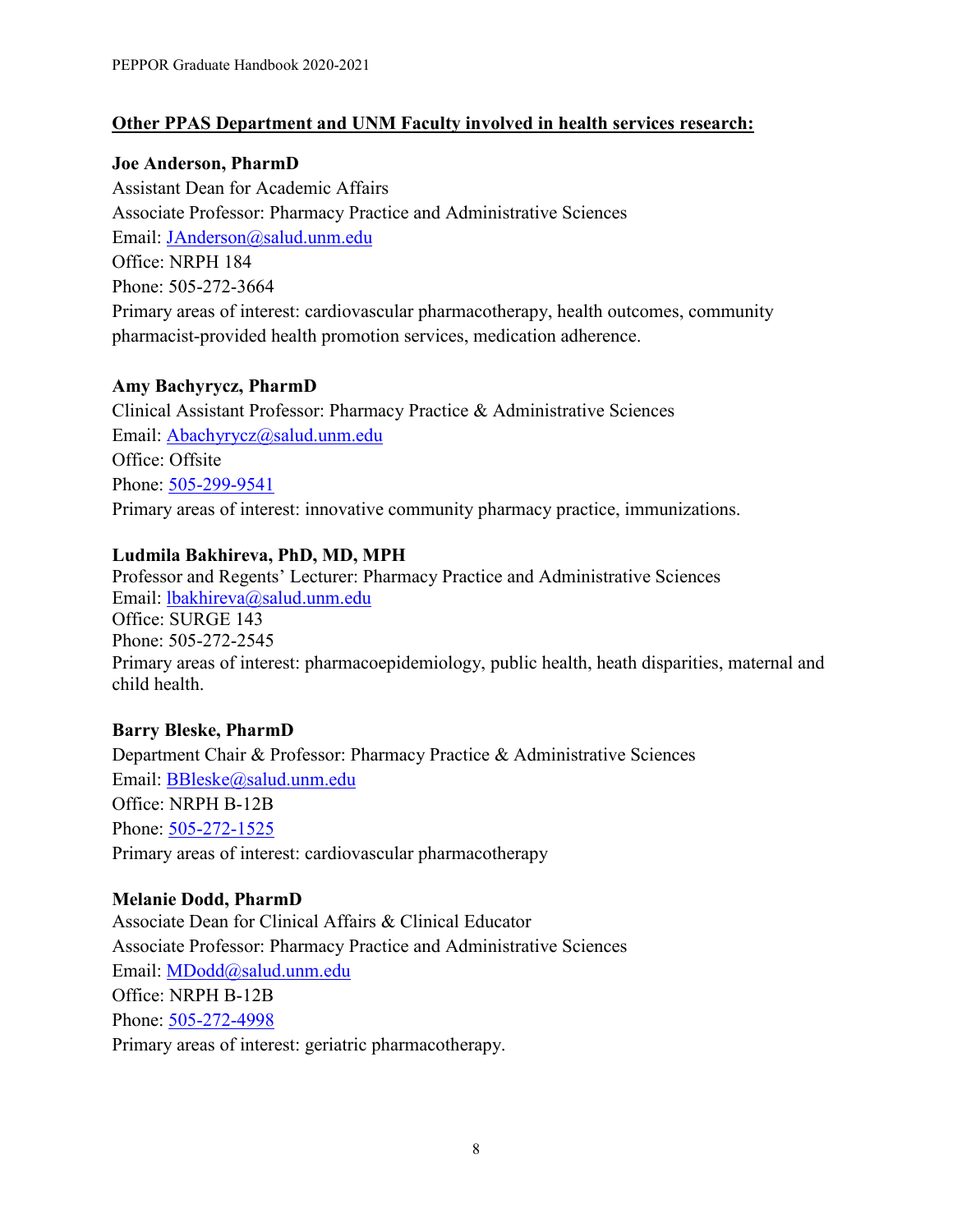#### **Other PPAS Department and UNM Faculty involved in health services research:**

#### **Joe Anderson, PharmD**

Assistant Dean for Academic Affairs Associate Professor: Pharmacy Practice and Administrative Sciences Email: [JAnderson@salud.unm.edu](mailto:JAnderson@salud.unm.edu) Office: NRPH 184 Phone: 505-272-3664 Primary areas of interest: cardiovascular pharmacotherapy, health outcomes, community pharmacist-provided health promotion services, medication adherence.

#### **[Amy Bachyrycz, PharmD](https://vivo.health.unm.edu/individual/n365549949)**

Clinical Assistant Professor: Pharmacy Practice & Administrative Sciences Email: [Abachyrycz@salud.unm.edu](mailto:Abachyrycz@salud.unm.edu) Office: Offsite Phone: [505-299-9541](tel:505-272-9541) Primary areas of interest: innovative community pharmacy practice, immunizations.

## **Ludmila Bakhireva, PhD, MD, MPH**

Professor and Regents' Lecturer: Pharmacy Practice and Administrative Sciences Email: [lbakhireva@salud.unm.edu](mailto:lbakhireva@salud.unm.edu) Office: SURGE 143 Phone: 505-272-2545 Primary areas of interest: pharmacoepidemiology, public health, heath disparities, maternal and child health.

## **Barry Bleske, PharmD**

Department Chair & Professor: Pharmacy Practice & Administrative Sciences Email: [BBleske@salud.unm.edu](mailto:BBleske@salud.unm.edu) Office: NRPH B-12B Phone: [505-272-1525](tel:505-272-1525) Primary areas of interest: cardiovascular pharmacotherapy

#### **Melanie Dodd, PharmD**

Associate Dean for Clinical Affairs & Clinical Educator Associate Professor: Pharmacy Practice and Administrative Sciences Email: [MDodd@salud.unm.edu](mailto:MDodd@salud.unm.edu) Office: NRPH B-12B Phone: [505-272-4998](tel:505-272-4998) Primary areas of interest: geriatric pharmacotherapy.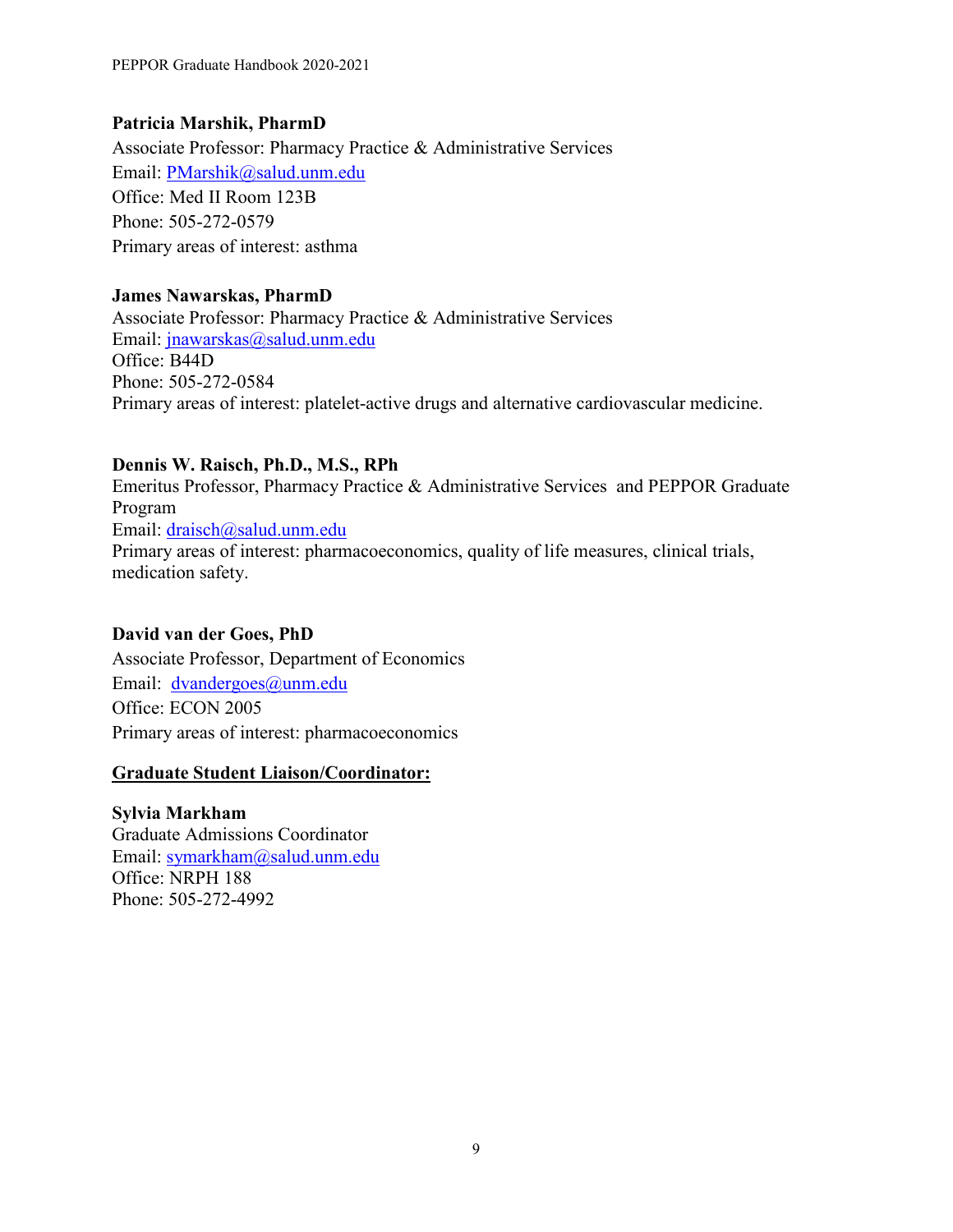#### **Patricia Marshik, PharmD**

Associate Professor: Pharmacy Practice & Administrative Services Email: [PMarshik@salud.unm.edu](mailto:PMarshik@salud.unm.edu) Office: Med II Room 123B Phone: 505-272-0579 Primary areas of interest: asthma

#### **James Nawarskas, PharmD**

Associate Professor: Pharmacy Practice & Administrative Services Email: [jnawarskas@salud.unm.edu](mailto:jnawarskas@salud.unm.edu) Office: B44D Phone: 505-272-0584 Primary areas of interest: platelet-active drugs and alternative cardiovascular medicine.

#### **Dennis W. Raisch, Ph.D., M.S., RPh**

Emeritus Professor, Pharmacy Practice & Administrative Services and PEPPOR Graduate Program Email: [draisch@salud.unm.edu](mailto:draisch@salud.unm.edu) Primary areas of interest: pharmacoeconomics, quality of life measures, clinical trials, medication safety.

## **David van der Goes, PhD**

Associate Professor, Department of Economics Email: [dvandergoes@unm.edu](mailto:dvandergoes@unm.edu) Office: ECON 2005 Primary areas of interest: pharmacoeconomics

#### **Graduate Student Liaison/Coordinator:**

**Sylvia Markham** Graduate Admissions Coordinator Email: [symarkham@salud.unm.edu](mailto:symarkham@salud.unm.edu) Office: NRPH 188 Phone: 505-272-4992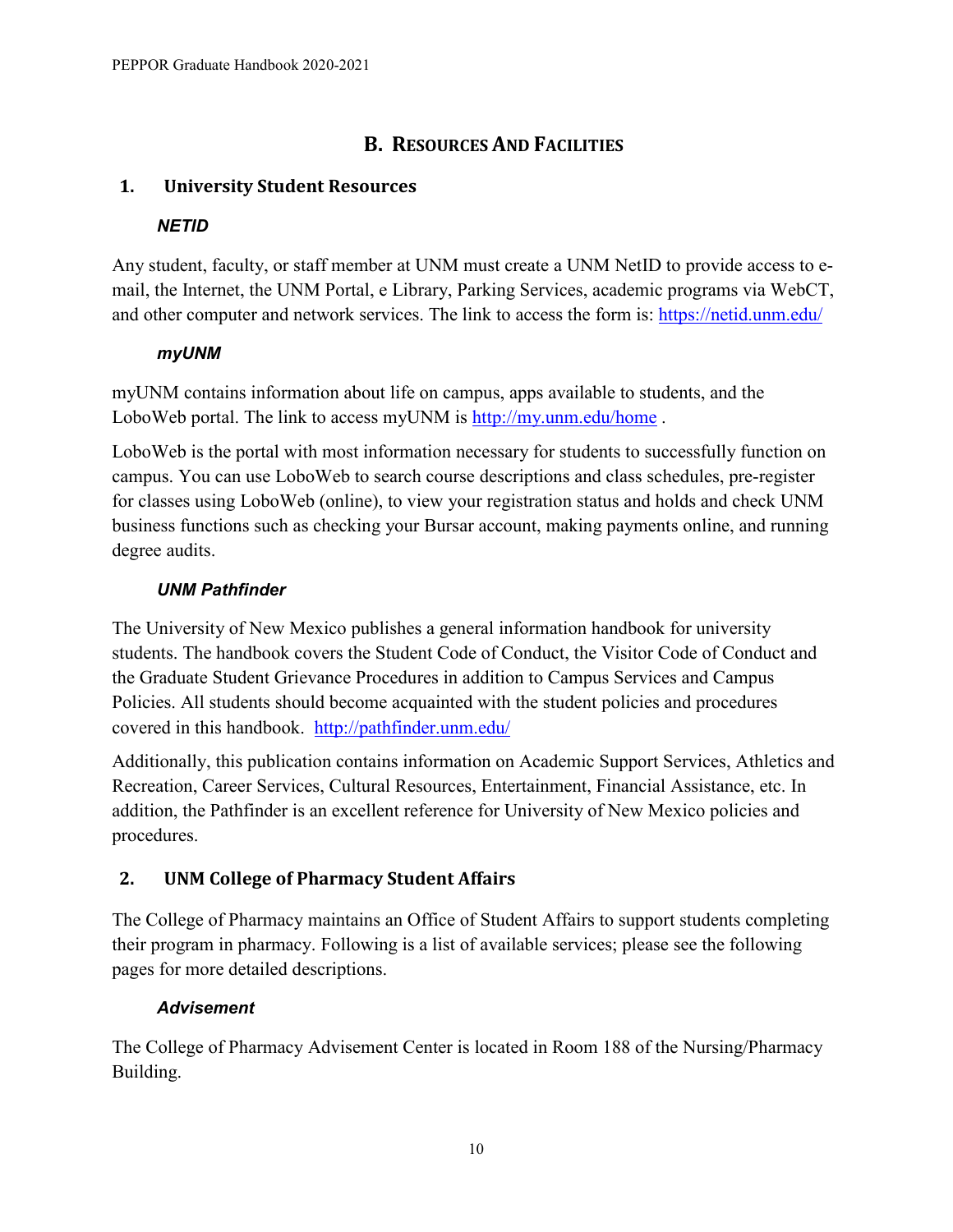# **B. RESOURCES AND FACILITIES**

## <span id="page-13-1"></span><span id="page-13-0"></span>**1. University Student Resources**

#### *NETID*

Any student, faculty, or staff member at UNM must create a UNM NetID to provide access to email, the Internet, the UNM Portal, e Library, Parking Services, academic programs via WebCT, and other computer and network services. The link to access the form is:<https://netid.unm.edu/>

#### *myUNM*

myUNM contains information about life on campus, apps available to students, and the LoboWeb portal. The link to access myUNM is<http://my.unm.edu/home>.

LoboWeb is the portal with most information necessary for students to successfully function on campus. You can use LoboWeb to search course descriptions and class schedules, pre-register for classes using LoboWeb (online), to view your registration status and holds and check UNM business functions such as checking your Bursar account, making payments online, and running degree audits.

## *UNM Pathfinder*

The University of New Mexico publishes a general information handbook for university students. The handbook covers the Student Code of Conduct, the Visitor Code of Conduct and the Graduate Student Grievance Procedures in addition to Campus Services and Campus Policies. All students should become acquainted with the student policies and procedures covered in this handbook. <http://pathfinder.unm.edu/>

Additionally, this publication contains information on Academic Support Services, Athletics and Recreation, Career Services, Cultural Resources, Entertainment, Financial Assistance, etc. In addition, the Pathfinder is an excellent reference for University of New Mexico policies and procedures.

## <span id="page-13-2"></span>**2. UNM College of Pharmacy Student Affairs**

The College of Pharmacy maintains an Office of Student Affairs to support students completing their program in pharmacy. Following is a list of available services; please see the following pages for more detailed descriptions.

## *Advisement*

The College of Pharmacy Advisement Center is located in Room 188 of the Nursing/Pharmacy Building.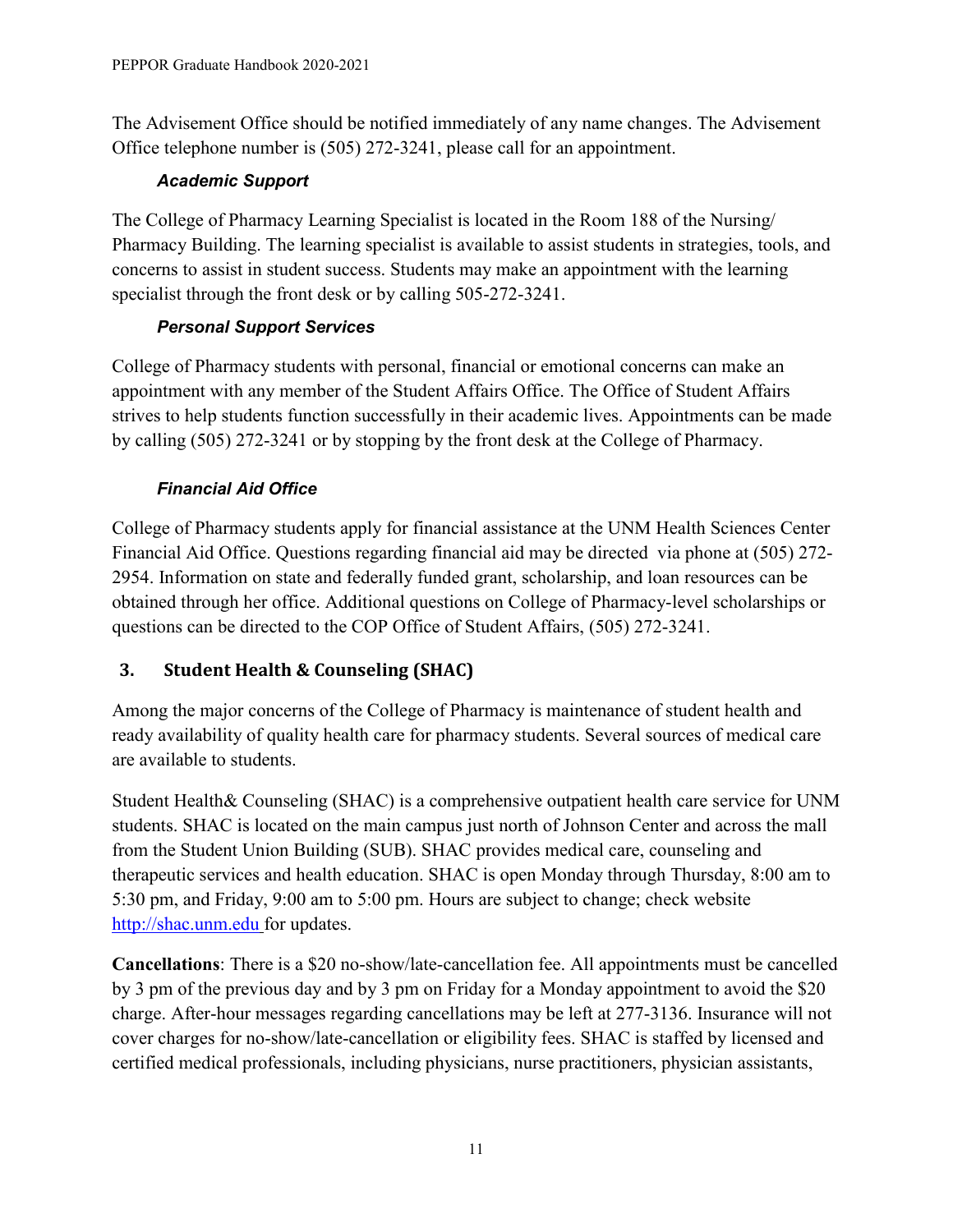The Advisement Office should be notified immediately of any name changes. The Advisement Office telephone number is (505) 272-3241, please call for an appointment.

#### *Academic Support*

The College of Pharmacy Learning Specialist is located in the Room 188 of the Nursing/ Pharmacy Building. The learning specialist is available to assist students in strategies, tools, and concerns to assist in student success. Students may make an appointment with the learning specialist through the front desk or by calling 505-272-3241.

## *Personal Support Services*

College of Pharmacy students with personal, financial or emotional concerns can make an appointment with any member of the Student Affairs Office. The Office of Student Affairs strives to help students function successfully in their academic lives. Appointments can be made by calling (505) 272-3241 or by stopping by the front desk at the College of Pharmacy.

# *Financial Aid Office*

College of Pharmacy students apply for financial assistance at the UNM Health Sciences Center Financial Aid Office. Questions regarding financial aid may be directed via phone at (505) 272- 2954. Information on state and federally funded grant, scholarship, and loan resources can be obtained through her office. Additional questions on College of Pharmacy-level scholarships or questions can be directed to the COP Office of Student Affairs, (505) 272-3241.

# <span id="page-14-0"></span>**3. Student Health & Counseling (SHAC)**

Among the major concerns of the College of Pharmacy is maintenance of student health and ready availability of quality health care for pharmacy students. Several sources of medical care are available to students.

Student Health& Counseling (SHAC) is a comprehensive outpatient health care service for UNM students. SHAC is located on the main campus just north of Johnson Center and across the mall from the Student Union Building (SUB). SHAC provides medical care, counseling and therapeutic services and health education. SHAC is open Monday through Thursday, 8:00 am to 5:30 pm, and Friday, 9:00 am to 5:00 pm. Hours are subject to change; check website [http://shac.unm.edu](http://shac.unm.edu/) for updates.

**Cancellations**: There is a \$20 no-show/late-cancellation fee. All appointments must be cancelled by 3 pm of the previous day and by 3 pm on Friday for a Monday appointment to avoid the \$20 charge. After-hour messages regarding cancellations may be left at 277-3136. Insurance will not cover charges for no-show/late-cancellation or eligibility fees. SHAC is staffed by licensed and certified medical professionals, including physicians, nurse practitioners, physician assistants,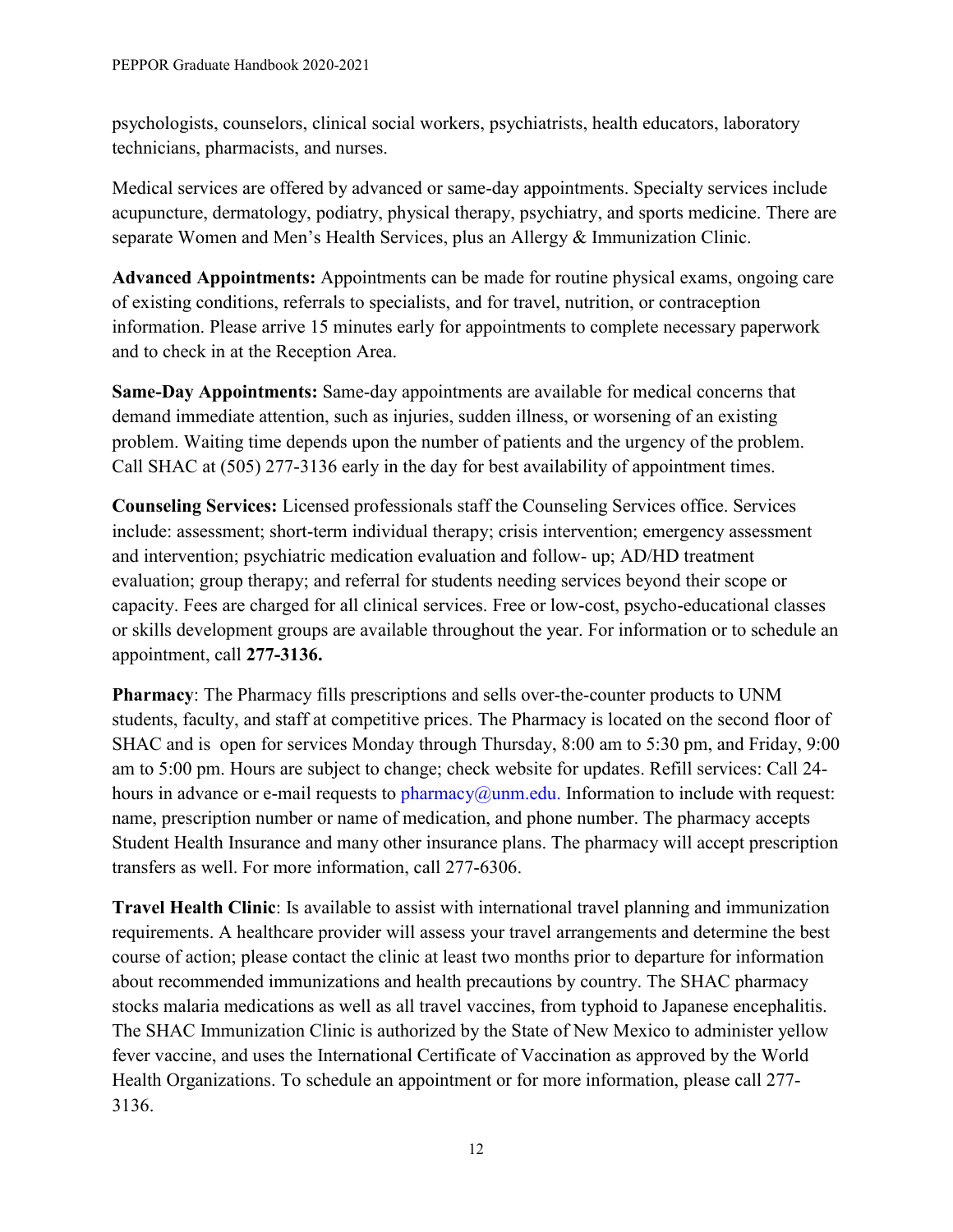psychologists, counselors, clinical social workers, psychiatrists, health educators, laboratory technicians, pharmacists, and nurses.

Medical services are offered by advanced or same-day appointments. Specialty services include acupuncture, dermatology, podiatry, physical therapy, psychiatry, and sports medicine. There are separate Women and Men's Health Services, plus an Allergy & Immunization Clinic.

**Advanced Appointments:** Appointments can be made for routine physical exams, ongoing care of existing conditions, referrals to specialists, and for travel, nutrition, or contraception information. Please arrive 15 minutes early for appointments to complete necessary paperwork and to check in at the Reception Area.

**Same-Day Appointments:** Same-day appointments are available for medical concerns that demand immediate attention, such as injuries, sudden illness, or worsening of an existing problem. Waiting time depends upon the number of patients and the urgency of the problem. Call SHAC at (505) 277-3136 early in the day for best availability of appointment times.

**Counseling Services:** Licensed professionals staff the Counseling Services office. Services include: assessment; short-term individual therapy; crisis intervention; emergency assessment and intervention; psychiatric medication evaluation and follow- up; AD/HD treatment evaluation; group therapy; and referral for students needing services beyond their scope or capacity. Fees are charged for all clinical services. Free or low-cost, psycho-educational classes or skills development groups are available throughout the year. For information or to schedule an appointment, call **277-3136.**

**Pharmacy**: The Pharmacy fills prescriptions and sells over-the-counter products to UNM students, faculty, and staff at competitive prices. The Pharmacy is located on the second floor of SHAC and is open for services Monday through Thursday, 8:00 am to 5:30 pm, and Friday, 9:00 am to 5:00 pm. Hours are subject to change; check website for updates. Refill services: Call 24 hours in advance or e-mail requests to  $pharmacy@unm.edu$ . Information to include with request: name, prescription number or name of medication, and phone number. The pharmacy accepts Student Health Insurance and many other insurance plans. The pharmacy will accept prescription transfers as well. For more information, call 277-6306.

**Travel Health Clinic**: Is available to assist with international travel planning and immunization requirements. A healthcare provider will assess your travel arrangements and determine the best course of action; please contact the clinic at least two months prior to departure for information about recommended immunizations and health precautions by country. The SHAC pharmacy stocks malaria medications as well as all travel vaccines, from typhoid to Japanese encephalitis. The SHAC Immunization Clinic is authorized by the State of New Mexico to administer yellow fever vaccine, and uses the International Certificate of Vaccination as approved by the World Health Organizations. To schedule an appointment or for more information, please call 277- 3136.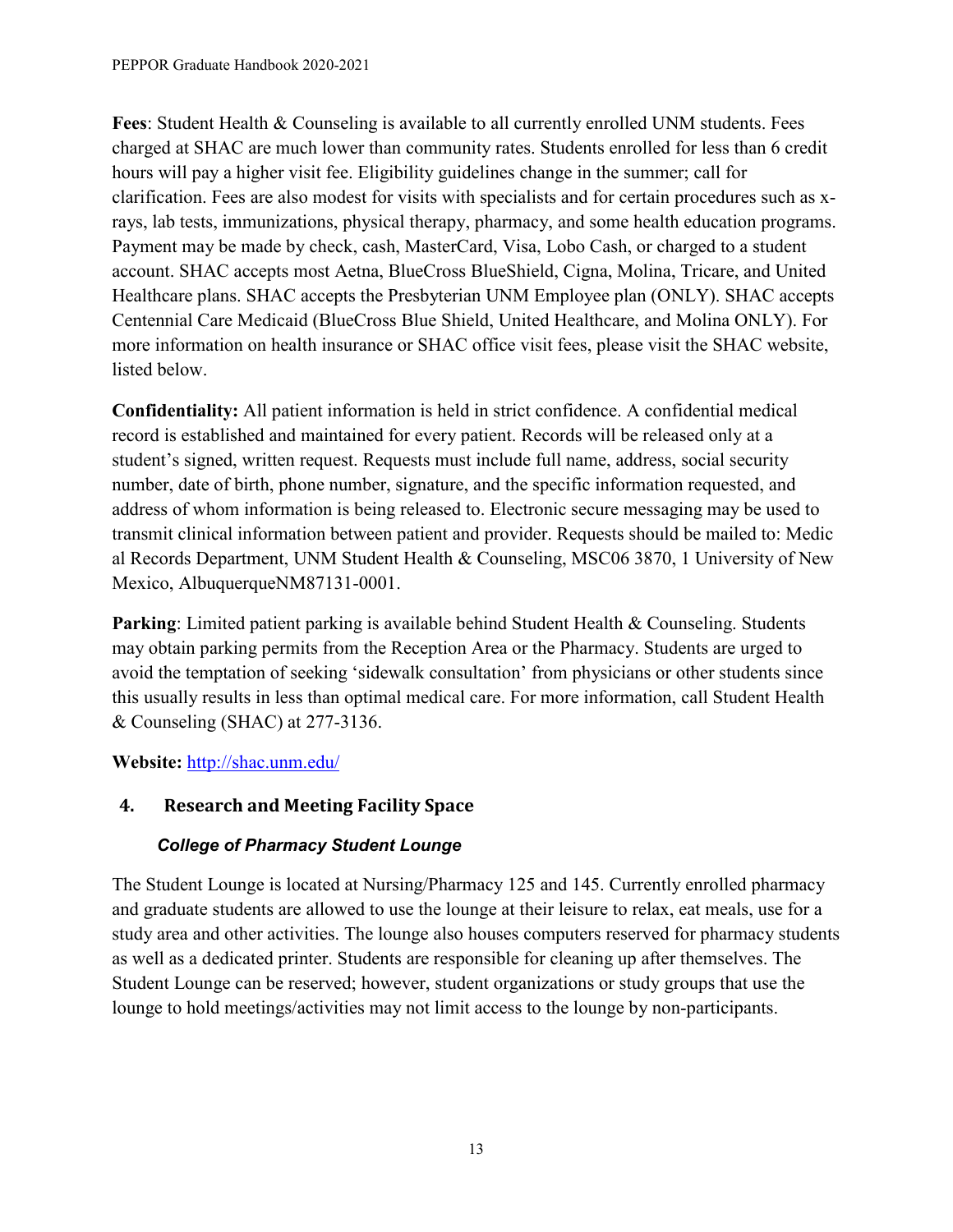**Fees**: Student Health & Counseling is available to all currently enrolled UNM students. Fees charged at SHAC are much lower than community rates. Students enrolled for less than 6 credit hours will pay a higher visit fee. Eligibility guidelines change in the summer; call for clarification. Fees are also modest for visits with specialists and for certain procedures such as xrays, lab tests, immunizations, physical therapy, pharmacy, and some health education programs. Payment may be made by check, cash, MasterCard, Visa, Lobo Cash, or charged to a student account. SHAC accepts most Aetna, BlueCross BlueShield, Cigna, Molina, Tricare, and United Healthcare plans. SHAC accepts the Presbyterian UNM Employee plan (ONLY). SHAC accepts Centennial Care Medicaid (BlueCross Blue Shield, United Healthcare, and Molina ONLY). For more information on health insurance or SHAC office visit fees, please visit the SHAC website, listed below.

**Confidentiality:** All patient information is held in strict confidence. A confidential medical record is established and maintained for every patient. Records will be released only at a student's signed, written request. Requests must include full name, address, social security number, date of birth, phone number, signature, and the specific information requested, and address of whom information is being released to. Electronic secure messaging may be used to transmit clinical information between patient and provider. Requests should be mailed to: Medic al Records Department, UNM Student Health & Counseling, MSC06 3870, 1 University of New Mexico, AlbuquerqueNM87131-0001.

**Parking**: Limited patient parking is available behind Student Health & Counseling. Students may obtain parking permits from the Reception Area or the Pharmacy. Students are urged to avoid the temptation of seeking 'sidewalk consultation' from physicians or other students since this usually results in less than optimal medical care. For more information, call Student Health & Counseling (SHAC) at 277-3136.

# **Website:** <http://shac.unm.edu/>

# <span id="page-16-0"></span>**4. Research and Meeting Facility Space**

## *College of Pharmacy Student Lounge*

The Student Lounge is located at Nursing/Pharmacy 125 and 145. Currently enrolled pharmacy and graduate students are allowed to use the lounge at their leisure to relax, eat meals, use for a study area and other activities. The lounge also houses computers reserved for pharmacy students as well as a dedicated printer. Students are responsible for cleaning up after themselves. The Student Lounge can be reserved; however, student organizations or study groups that use the lounge to hold meetings/activities may not limit access to the lounge by non-participants.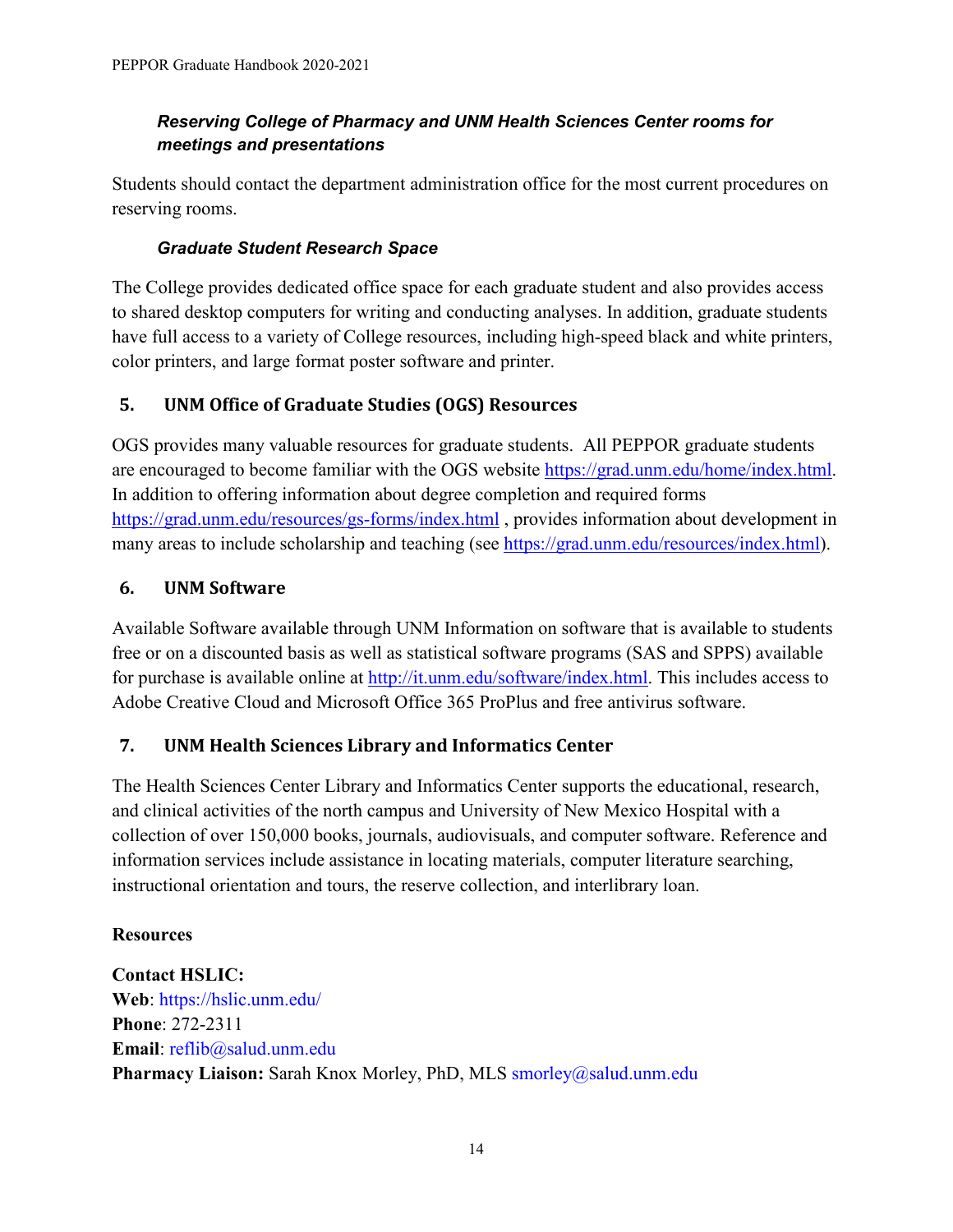## *Reserving College of Pharmacy and UNM Health Sciences Center rooms for meetings and presentations*

Students should contact the department administration office for the most current procedures on reserving rooms.

# *Graduate Student Research Space*

The College provides dedicated office space for each graduate student and also provides access to shared desktop computers for writing and conducting analyses. In addition, graduate students have full access to a variety of College resources, including high-speed black and white printers, color printers, and large format poster software and printer.

# <span id="page-17-0"></span>**5. UNM Office of Graduate Studies (OGS) Resources**

OGS provides many valuable resources for graduate students. All PEPPOR graduate students are encouraged to become familiar with the OGS website [https://grad.unm.edu/home/index.html.](https://grad.unm.edu/home/index.html) In addition to offering information about degree completion and required forms <https://grad.unm.edu/resources/gs-forms/index.html> , provides information about development in many areas to include scholarship and teaching (see [https://grad.unm.edu/resources/index.html\)](https://grad.unm.edu/resources/index.html).

# <span id="page-17-1"></span>**6. UNM Software**

Available Software available through UNM Information on software that is available to students free or on a discounted basis as well as statistical software programs (SAS and SPPS) available for purchase is available online at [http://it.unm.edu/software/index.html.](http://it.unm.edu/software/index.html) This includes access to Adobe Creative Cloud and Microsoft Office 365 ProPlus and free antivirus software.

# <span id="page-17-2"></span>**7. UNM Health Sciences Library and Informatics Center**

The Health Sciences Center Library and Informatics Center supports the educational, research, and clinical activities of the north campus and University of New Mexico Hospital with a collection of over 150,000 books, journals, audiovisuals, and computer software. Reference and information services include assistance in locating materials, computer literature searching, instructional orientation and tours, the reserve collection, and interlibrary loan.

## **Resources**

**Contact HSLIC: Web**: https://hslic.unm.edu/ **Phone**: 272-2311 **Email**: reflib@salud.unm.edu Pharmacy Liaison: Sarah Knox Morley, PhD, MLS smorley@salud.unm.edu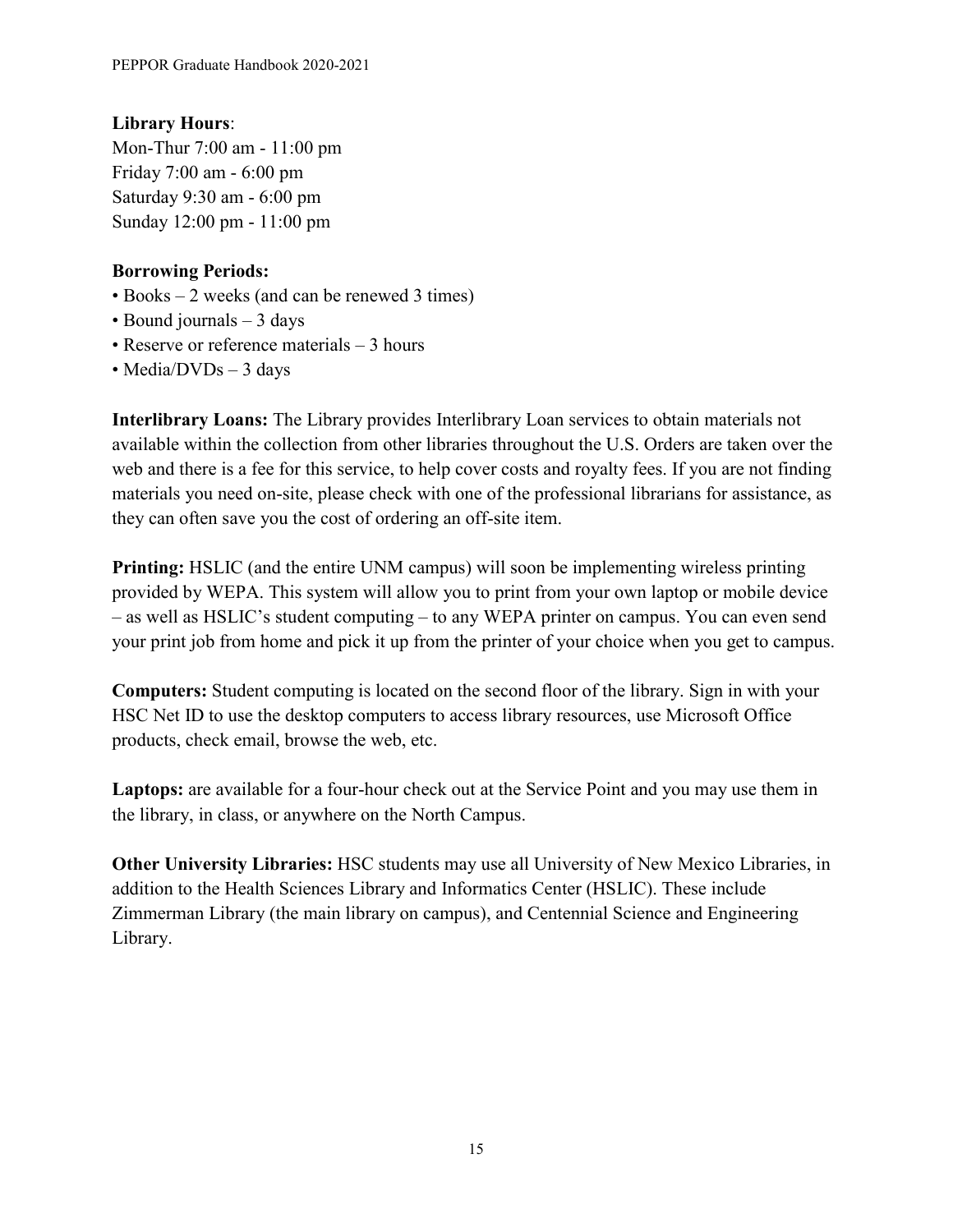## **Library Hours**:

Mon-Thur 7:00 am - 11:00 pm Friday 7:00 am - 6:00 pm Saturday 9:30 am - 6:00 pm Sunday 12:00 pm - 11:00 pm

#### **Borrowing Periods:**

- Books 2 weeks (and can be renewed 3 times)
- Bound journals 3 days
- Reserve or reference materials 3 hours
- Media/DVDs 3 days

**Interlibrary Loans:** The Library provides Interlibrary Loan services to obtain materials not available within the collection from other libraries throughout the U.S. Orders are taken over the web and there is a fee for this service, to help cover costs and royalty fees. If you are not finding materials you need on-site, please check with one of the professional librarians for assistance, as they can often save you the cost of ordering an off-site item.

**Printing:** HSLIC (and the entire UNM campus) will soon be implementing wireless printing provided by WEPA. This system will allow you to print from your own laptop or mobile device – as well as HSLIC's student computing – to any WEPA printer on campus. You can even send your print job from home and pick it up from the printer of your choice when you get to campus.

**Computers:** Student computing is located on the second floor of the library. Sign in with your HSC Net ID to use the desktop computers to access library resources, use Microsoft Office products, check email, browse the web, etc.

**Laptops:** are available for a four-hour check out at the Service Point and you may use them in the library, in class, or anywhere on the North Campus.

**Other University Libraries:** HSC students may use all University of New Mexico Libraries, in addition to the Health Sciences Library and Informatics Center (HSLIC). These include Zimmerman Library (the main library on campus), and Centennial Science and Engineering Library.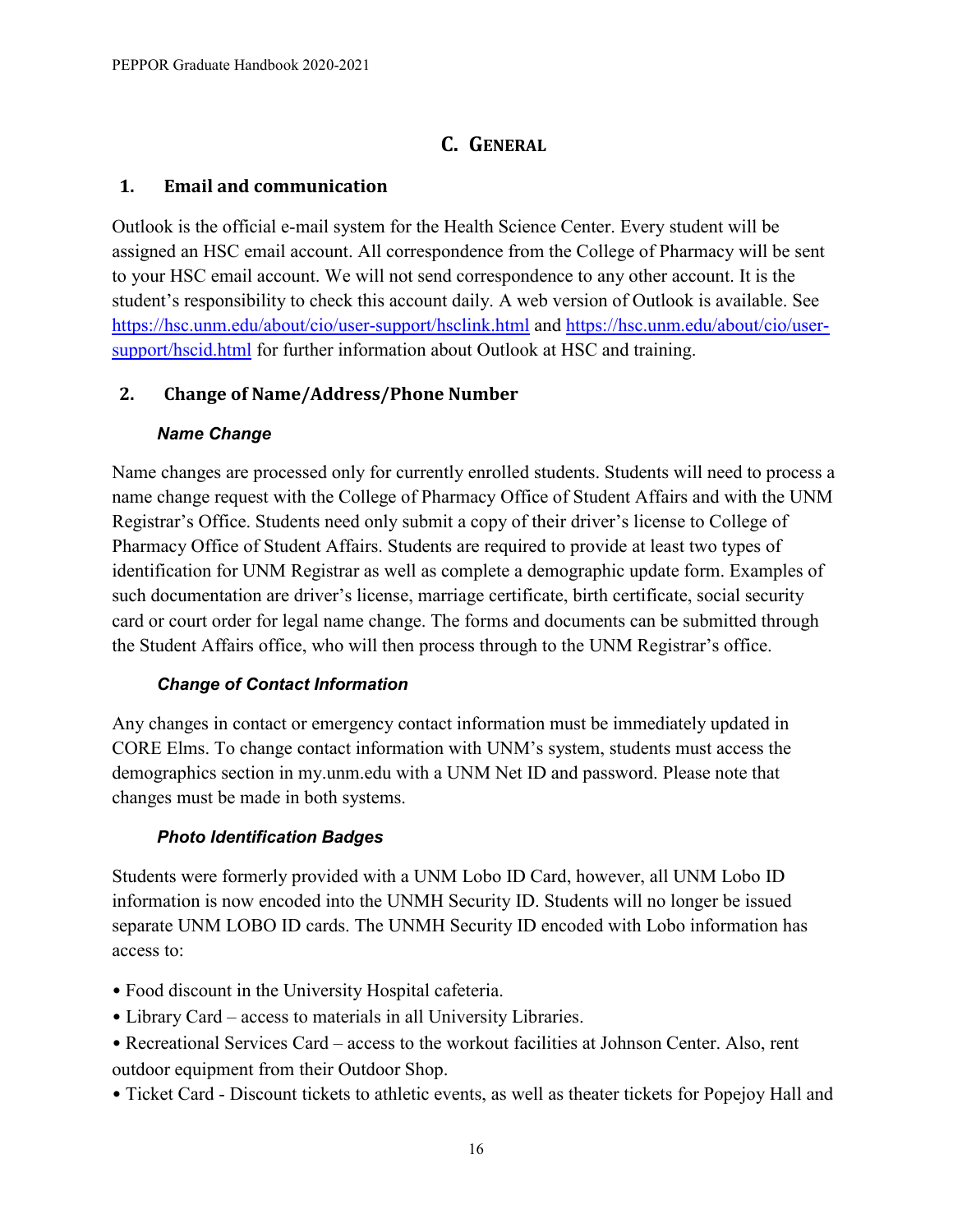# **C. GENERAL**

#### <span id="page-19-1"></span><span id="page-19-0"></span>**1. Email and communication**

Outlook is the official e-mail system for the Health Science Center. Every student will be assigned an HSC email account. All correspondence from the College of Pharmacy will be sent to your HSC email account. We will not send correspondence to any other account. It is the student's responsibility to check this account daily. A web version of Outlook is available. See <https://hsc.unm.edu/about/cio/user-support/hsclink.html> and [https://hsc.unm.edu/about/cio/user](https://hsc.unm.edu/about/cio/user-support/hscid.html)[support/hscid.html](https://hsc.unm.edu/about/cio/user-support/hscid.html) for further information about Outlook at HSC and training.

#### <span id="page-19-2"></span>**2. Change of Name/Address/Phone Number**

#### *Name Change*

Name changes are processed only for currently enrolled students. Students will need to process a name change request with the College of Pharmacy Office of Student Affairs and with the UNM Registrar's Office. Students need only submit a copy of their driver's license to College of Pharmacy Office of Student Affairs. Students are required to provide at least two types of identification for UNM Registrar as well as complete a demographic update form. Examples of such documentation are driver's license, marriage certificate, birth certificate, social security card or court order for legal name change. The forms and documents can be submitted through the Student Affairs office, who will then process through to the UNM Registrar's office.

#### *Change of Contact Information*

Any changes in contact or emergency contact information must be immediately updated in CORE Elms. To change contact information with UNM's system, students must access the demographics section in my.unm.edu with a UNM Net ID and password. Please note that changes must be made in both systems.

#### *Photo Identification Badges*

Students were formerly provided with a UNM Lobo ID Card, however, all UNM Lobo ID information is now encoded into the UNMH Security ID. Students will no longer be issued separate UNM LOBO ID cards. The UNMH Security ID encoded with Lobo information has access to:

- Food discount in the University Hospital cafeteria.
- Library Card access to materials in all University Libraries.
- Recreational Services Card access to the workout facilities at Johnson Center. Also, rent outdoor equipment from their Outdoor Shop.
- Ticket Card Discount tickets to athletic events, as well as theater tickets for Popejoy Hall and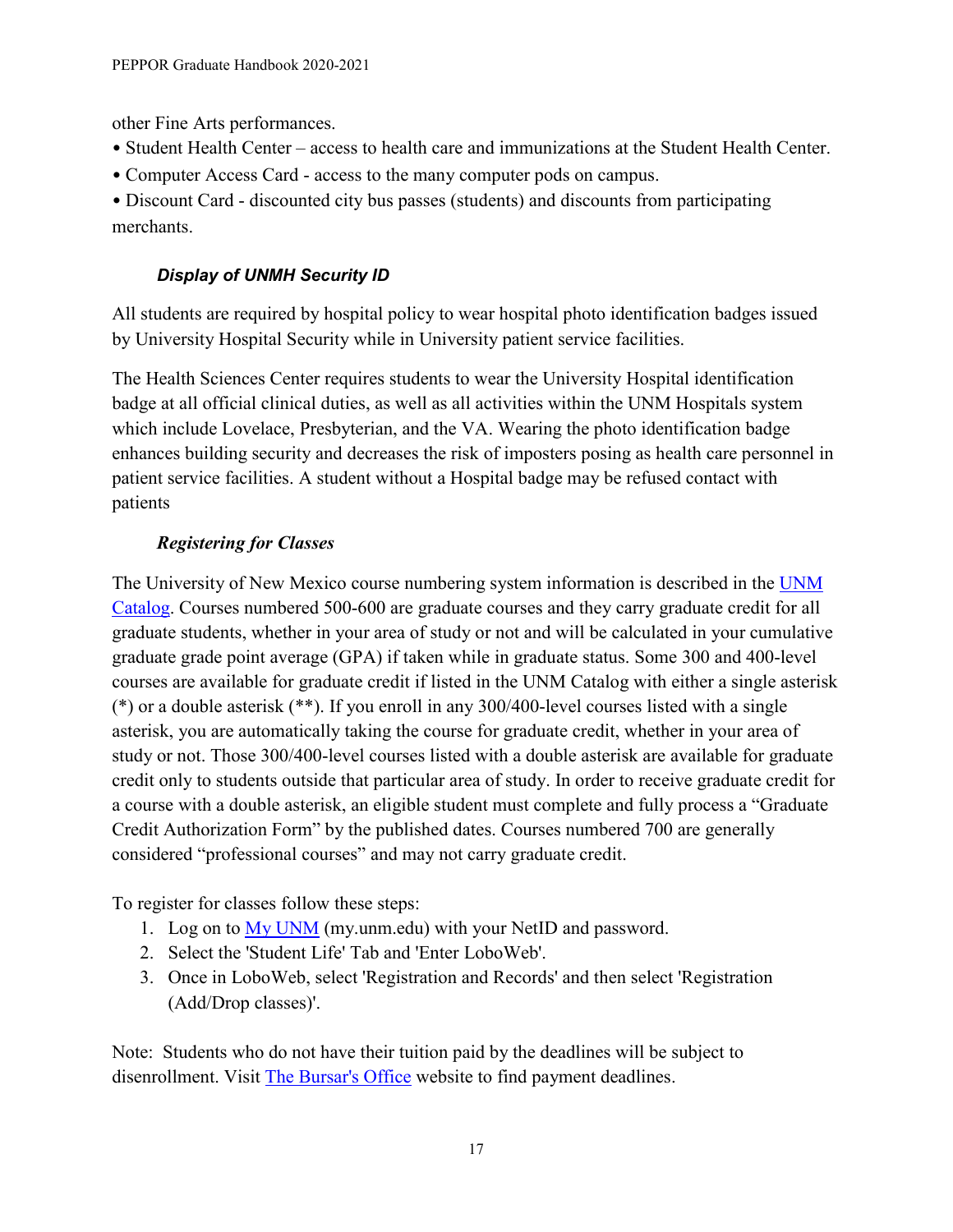other Fine Arts performances.

- Student Health Center access to health care and immunizations at the Student Health Center.
- Computer Access Card access to the many computer pods on campus.

• Discount Card - discounted city bus passes (students) and discounts from participating merchants.

# *Display of UNMH Security ID*

All students are required by hospital policy to wear hospital photo identification badges issued by University Hospital Security while in University patient service facilities.

The Health Sciences Center requires students to wear the University Hospital identification badge at all official clinical duties, as well as all activities within the UNM Hospitals system which include Lovelace, Presbyterian, and the VA. Wearing the photo identification badge enhances building security and decreases the risk of imposters posing as health care personnel in patient service facilities. A student without a Hospital badge may be refused contact with patients

# *Registering for Classes*

The University of New Mexico course numbering system information is described in the [UNM](http://catalog.unm.edu/catalogs/2020-2021/)  [Catalog.](http://catalog.unm.edu/catalogs/2020-2021/) Courses numbered 500-600 are graduate courses and they carry graduate credit for all graduate students, whether in your area of study or not and will be calculated in your cumulative graduate grade point average (GPA) if taken while in graduate status. Some 300 and 400-level courses are available for graduate credit if listed in the UNM Catalog with either a single asterisk (\*) or a double asterisk (\*\*). If you enroll in any 300/400-level courses listed with a single asterisk, you are automatically taking the course for graduate credit, whether in your area of study or not. Those 300/400-level courses listed with a double asterisk are available for graduate credit only to students outside that particular area of study. In order to receive graduate credit for a course with a double asterisk, an eligible student must complete and fully process a "Graduate Credit Authorization Form" by the published dates. Courses numbered 700 are generally considered "professional courses" and may not carry graduate credit.

To register for classes follow these steps:

- 1. Log on to [My UNM](https://my.unm.edu/cp/home/displaylogin) (my.unm.edu) with your NetID and password.
- 2. Select the 'Student Life' Tab and 'Enter LoboWeb'.
- 3. Once in LoboWeb, select 'Registration and Records' and then select 'Registration (Add/Drop classes)'.

Note: Students who do not have their tuition paid by the deadlines will be subject to disenrollment. Visit [The Bursar's Office](https://bursar.unm.edu/) website to find payment deadlines.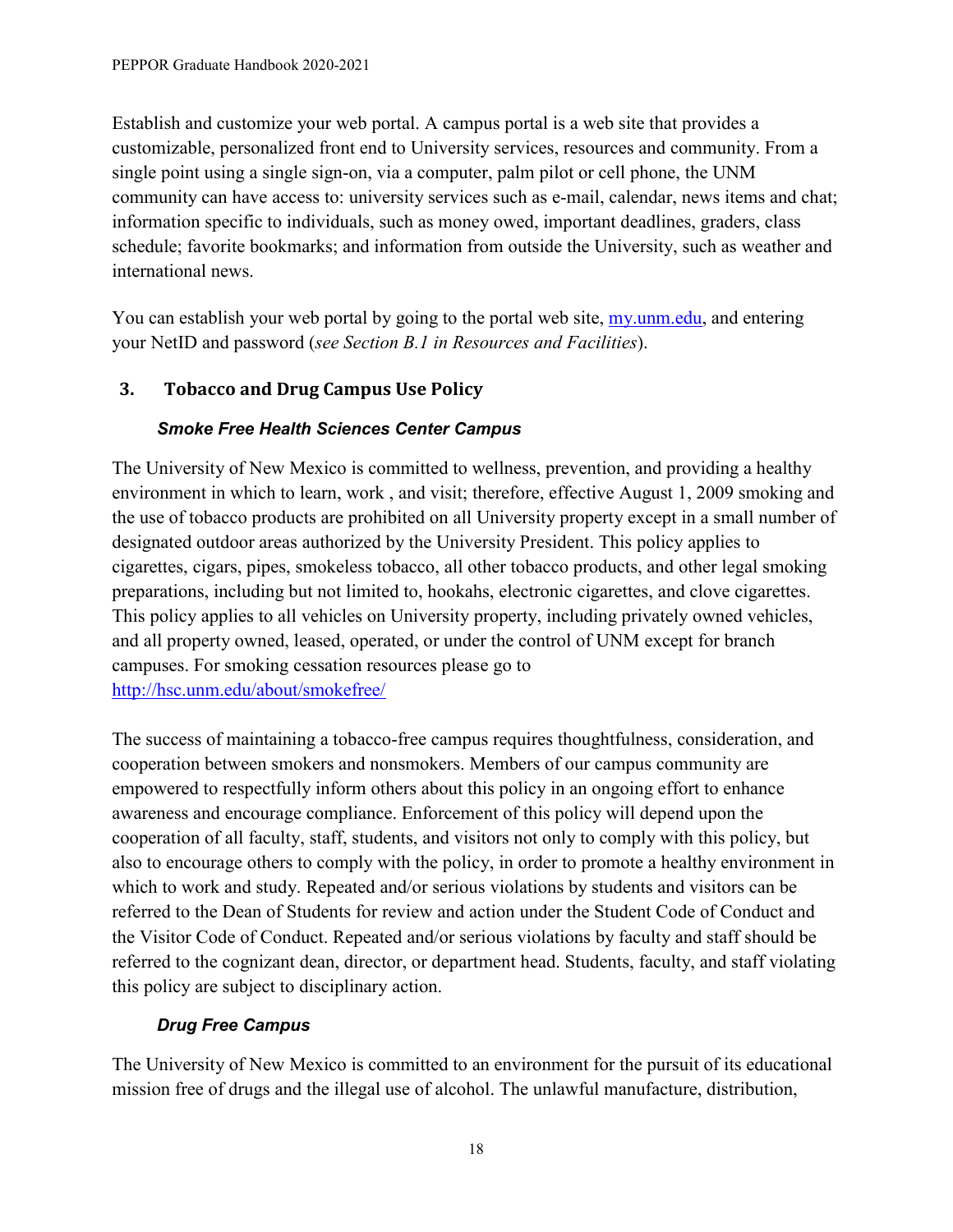Establish and customize your web portal. A campus portal is a web site that provides a customizable, personalized front end to University services, resources and community. From a single point using a single sign-on, via a computer, palm pilot or cell phone, the UNM community can have access to: university services such as e-mail, calendar, news items and chat; information specific to individuals, such as money owed, important deadlines, graders, class schedule; favorite bookmarks; and information from outside the University, such as weather and international news.

You can establish your web portal by going to the portal web site, my unmedu, and entering your NetID and password (*see Section B.1 in Resources and Facilities*).

# <span id="page-21-0"></span>**3. Tobacco and Drug Campus Use Policy**

## *Smoke Free Health Sciences Center Campus*

The University of New Mexico is committed to wellness, prevention, and providing a healthy environment in which to learn, work , and visit; therefore, effective August 1, 2009 smoking and the use of tobacco products are prohibited on all University property except in a small number of designated outdoor areas authorized by the University President. This policy applies to cigarettes, cigars, pipes, smokeless tobacco, all other tobacco products, and other legal smoking preparations, including but not limited to, hookahs, electronic cigarettes, and clove cigarettes. This policy applies to all vehicles on University property, including privately owned vehicles, and all property owned, leased, operated, or under the control of UNM except for branch campuses. For smoking cessation resources please go to <http://hsc.unm.edu/about/smokefree/>

The success of maintaining a tobacco-free campus requires thoughtfulness, consideration, and cooperation between smokers and nonsmokers. Members of our campus community are empowered to respectfully inform others about this policy in an ongoing effort to enhance awareness and encourage compliance. Enforcement of this policy will depend upon the cooperation of all faculty, staff, students, and visitors not only to comply with this policy, but also to encourage others to comply with the policy, in order to promote a healthy environment in which to work and study. Repeated and/or serious violations by students and visitors can be referred to the Dean of Students for review and action under the Student Code of Conduct and the Visitor Code of Conduct. Repeated and/or serious violations by faculty and staff should be referred to the cognizant dean, director, or department head. Students, faculty, and staff violating this policy are subject to disciplinary action.

## *Drug Free Campus*

The University of New Mexico is committed to an environment for the pursuit of its educational mission free of drugs and the illegal use of alcohol. The unlawful manufacture, distribution,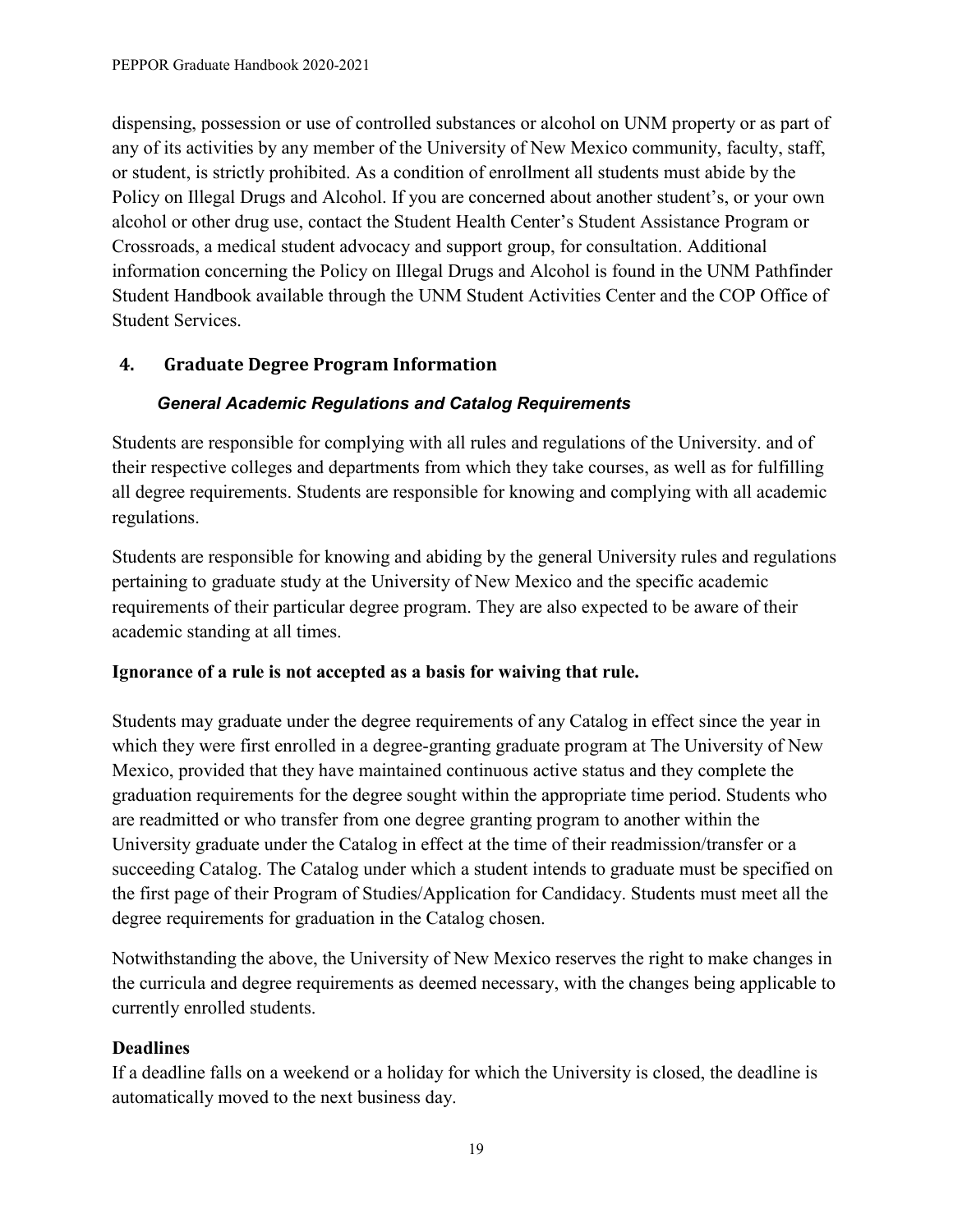dispensing, possession or use of controlled substances or alcohol on UNM property or as part of any of its activities by any member of the University of New Mexico community, faculty, staff, or student, is strictly prohibited. As a condition of enrollment all students must abide by the Policy on Illegal Drugs and Alcohol. If you are concerned about another student's, or your own alcohol or other drug use, contact the Student Health Center's Student Assistance Program or Crossroads, a medical student advocacy and support group, for consultation. Additional information concerning the Policy on Illegal Drugs and Alcohol is found in the UNM Pathfinder Student Handbook available through the UNM Student Activities Center and the COP Office of Student Services.

# <span id="page-22-0"></span>**4. Graduate Degree Program Information**

## *General Academic Regulations and Catalog Requirements*

Students are responsible for complying with all rules and regulations of the University. and of their respective colleges and departments from which they take courses, as well as for fulfilling all degree requirements. Students are responsible for knowing and complying with all academic regulations.

Students are responsible for knowing and abiding by the general University rules and regulations pertaining to graduate study at the University of New Mexico and the specific academic requirements of their particular degree program. They are also expected to be aware of their academic standing at all times.

#### **Ignorance of a rule is not accepted as a basis for waiving that rule.**

Students may graduate under the degree requirements of any Catalog in effect since the year in which they were first enrolled in a degree-granting graduate program at The University of New Mexico, provided that they have maintained continuous active status and they complete the graduation requirements for the degree sought within the appropriate time period. Students who are readmitted or who transfer from one degree granting program to another within the University graduate under the Catalog in effect at the time of their readmission/transfer or a succeeding Catalog. The Catalog under which a student intends to graduate must be specified on the first page of their Program of Studies/Application for Candidacy. Students must meet all the degree requirements for graduation in the Catalog chosen.

Notwithstanding the above, the University of New Mexico reserves the right to make changes in the curricula and degree requirements as deemed necessary, with the changes being applicable to currently enrolled students.

## **Deadlines**

If a deadline falls on a weekend or a holiday for which the University is closed, the deadline is automatically moved to the next business day.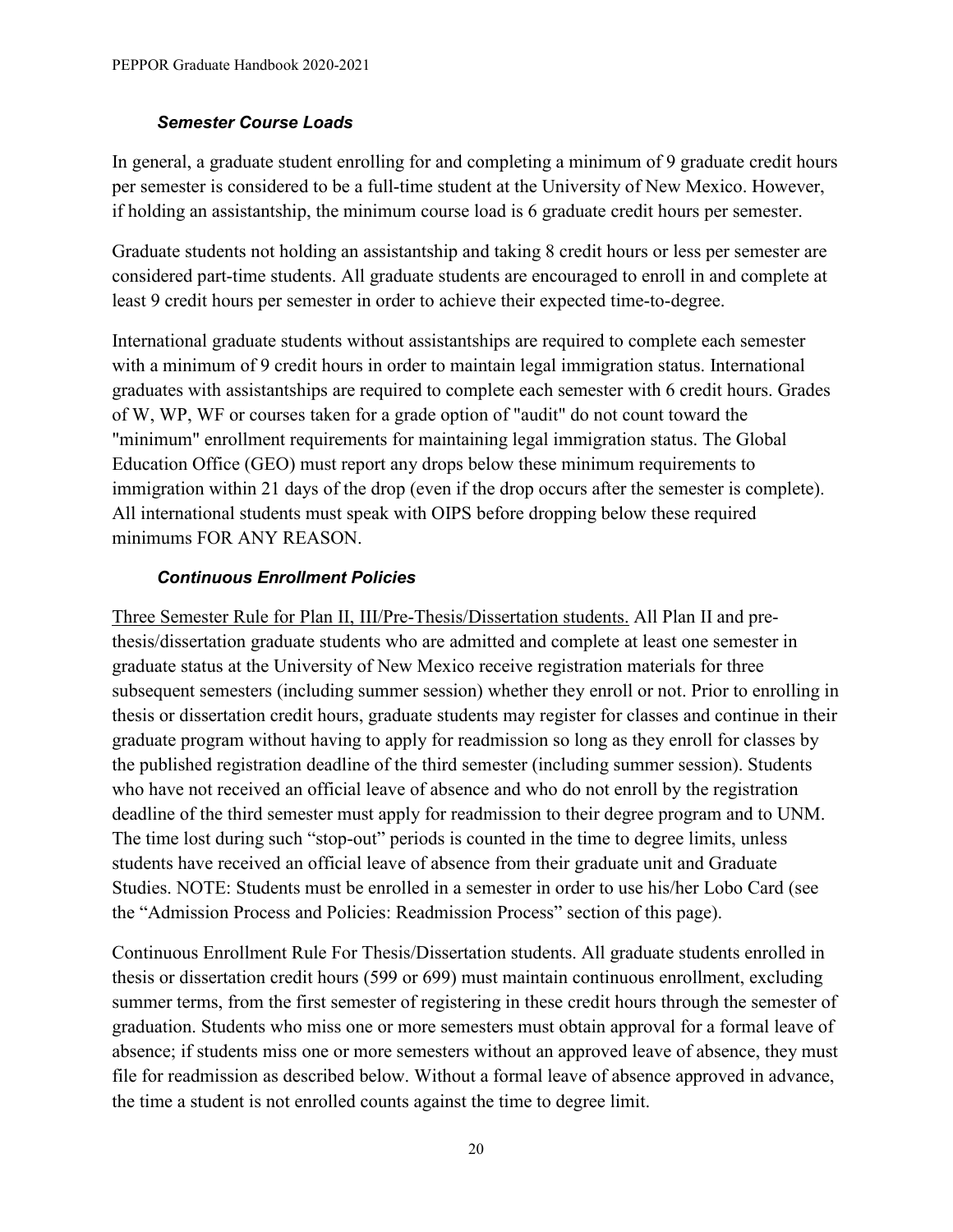#### *Semester Course Loads*

In general, a graduate student enrolling for and completing a minimum of 9 graduate credit hours per semester is considered to be a full-time student at the University of New Mexico. However, if holding an assistantship, the minimum course load is 6 graduate credit hours per semester.

Graduate students not holding an assistantship and taking 8 credit hours or less per semester are considered part-time students. All graduate students are encouraged to enroll in and complete at least 9 credit hours per semester in order to achieve their expected time-to-degree.

International graduate students without assistantships are required to complete each semester with a minimum of 9 credit hours in order to maintain legal immigration status. International graduates with assistantships are required to complete each semester with 6 credit hours. Grades of W, WP, WF or courses taken for a grade option of "audit" do not count toward the "minimum" enrollment requirements for maintaining legal immigration status. The Global Education Office (GEO) must report any drops below these minimum requirements to immigration within 21 days of the drop (even if the drop occurs after the semester is complete). All international students must speak with OIPS before dropping below these required minimums FOR ANY REASON.

#### *Continuous Enrollment Policies*

Three Semester Rule for Plan II, III/Pre-Thesis/Dissertation students. All Plan II and prethesis/dissertation graduate students who are admitted and complete at least one semester in graduate status at the University of New Mexico receive registration materials for three subsequent semesters (including summer session) whether they enroll or not. Prior to enrolling in thesis or dissertation credit hours, graduate students may register for classes and continue in their graduate program without having to apply for readmission so long as they enroll for classes by the published registration deadline of the third semester (including summer session). Students who have not received an official leave of absence and who do not enroll by the registration deadline of the third semester must apply for readmission to their degree program and to UNM. The time lost during such "stop-out" periods is counted in the time to degree limits, unless students have received an official leave of absence from their graduate unit and Graduate Studies. NOTE: Students must be enrolled in a semester in order to use his/her Lobo Card (see the "Admission Process and Policies: Readmission Process" section of this page).

Continuous Enrollment Rule For Thesis/Dissertation students. All graduate students enrolled in thesis or dissertation credit hours (599 or 699) must maintain continuous enrollment, excluding summer terms, from the first semester of registering in these credit hours through the semester of graduation. Students who miss one or more semesters must obtain approval for a formal leave of absence; if students miss one or more semesters without an approved leave of absence, they must file for readmission as described below. Without a formal leave of absence approved in advance, the time a student is not enrolled counts against the time to degree limit.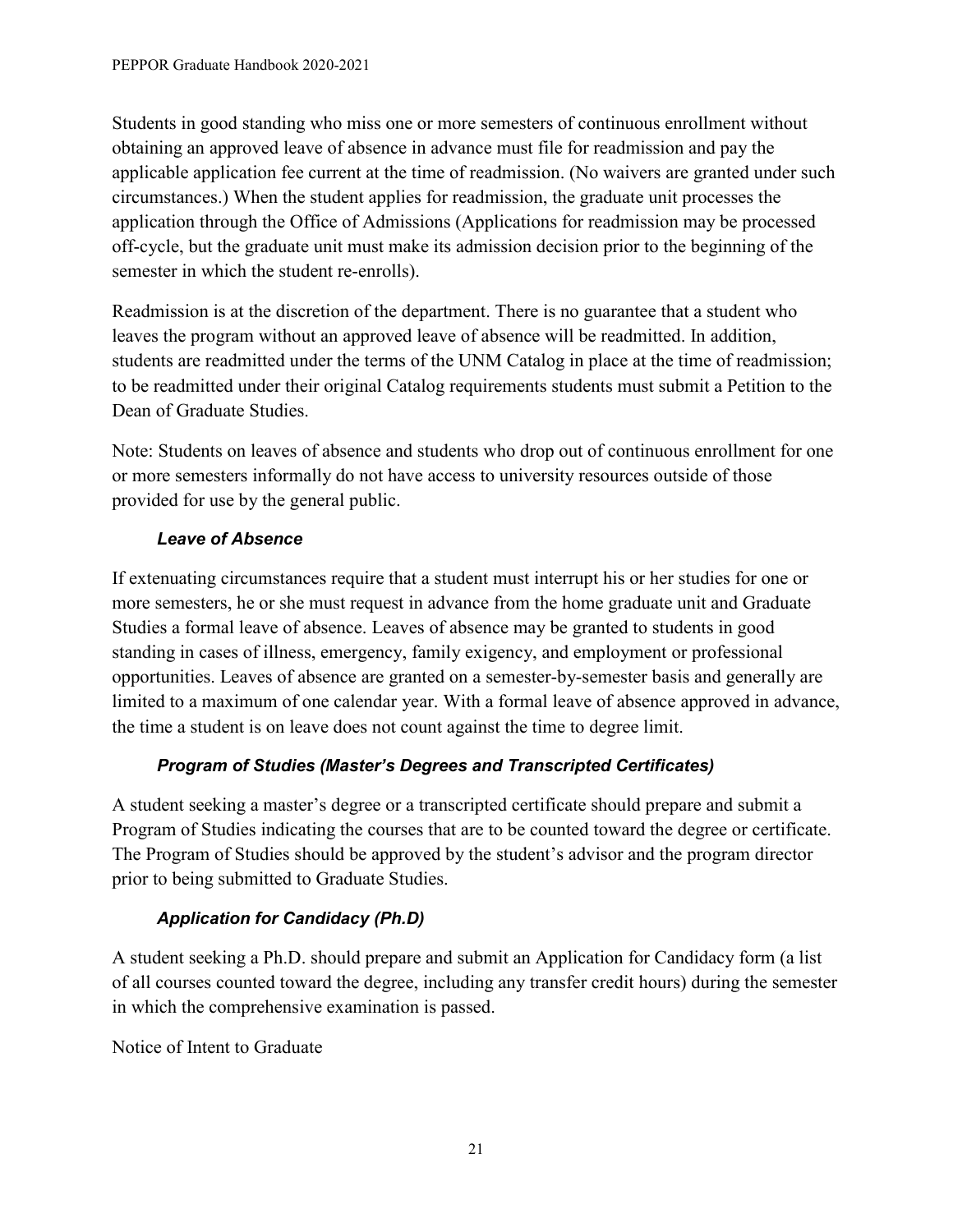Students in good standing who miss one or more semesters of continuous enrollment without obtaining an approved leave of absence in advance must file for readmission and pay the applicable application fee current at the time of readmission. (No waivers are granted under such circumstances.) When the student applies for readmission, the graduate unit processes the application through the Office of Admissions (Applications for readmission may be processed off-cycle, but the graduate unit must make its admission decision prior to the beginning of the semester in which the student re-enrolls).

Readmission is at the discretion of the department. There is no guarantee that a student who leaves the program without an approved leave of absence will be readmitted. In addition, students are readmitted under the terms of the UNM Catalog in place at the time of readmission; to be readmitted under their original Catalog requirements students must submit a Petition to the Dean of Graduate Studies.

Note: Students on leaves of absence and students who drop out of continuous enrollment for one or more semesters informally do not have access to university resources outside of those provided for use by the general public.

## *Leave of Absence*

If extenuating circumstances require that a student must interrupt his or her studies for one or more semesters, he or she must request in advance from the home graduate unit and Graduate Studies a formal leave of absence. Leaves of absence may be granted to students in good standing in cases of illness, emergency, family exigency, and employment or professional opportunities. Leaves of absence are granted on a semester-by-semester basis and generally are limited to a maximum of one calendar year. With a formal leave of absence approved in advance, the time a student is on leave does not count against the time to degree limit.

## *Program of Studies (Master's Degrees and Transcripted Certificates)*

A student seeking a master's degree or a transcripted certificate should prepare and submit a Program of Studies indicating the courses that are to be counted toward the degree or certificate. The Program of Studies should be approved by the student's advisor and the program director prior to being submitted to Graduate Studies.

## *Application for Candidacy (Ph.D)*

A student seeking a Ph.D. should prepare and submit an Application for Candidacy form (a list of all courses counted toward the degree, including any transfer credit hours) during the semester in which the comprehensive examination is passed.

Notice of Intent to Graduate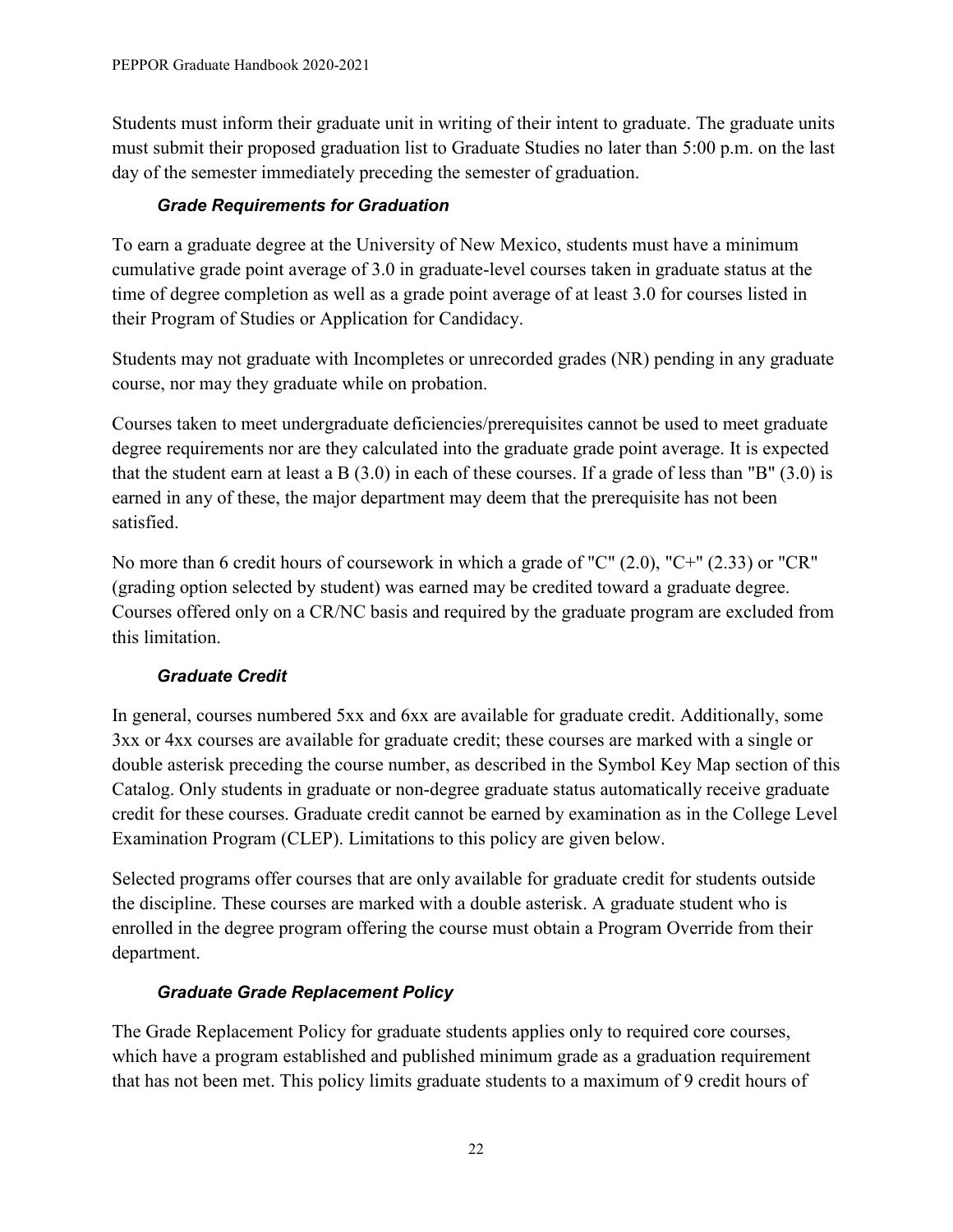Students must inform their graduate unit in writing of their intent to graduate. The graduate units must submit their proposed graduation list to Graduate Studies no later than 5:00 p.m. on the last day of the semester immediately preceding the semester of graduation.

#### *Grade Requirements for Graduation*

To earn a graduate degree at the University of New Mexico, students must have a minimum cumulative grade point average of 3.0 in graduate-level courses taken in graduate status at the time of degree completion as well as a grade point average of at least 3.0 for courses listed in their Program of Studies or Application for Candidacy.

Students may not graduate with Incompletes or unrecorded grades (NR) pending in any graduate course, nor may they graduate while on probation.

Courses taken to meet undergraduate deficiencies/prerequisites cannot be used to meet graduate degree requirements nor are they calculated into the graduate grade point average. It is expected that the student earn at least a B  $(3.0)$  in each of these courses. If a grade of less than "B"  $(3.0)$  is earned in any of these, the major department may deem that the prerequisite has not been satisfied.

No more than 6 credit hours of coursework in which a grade of "C" (2.0), "C+" (2.33) or "CR" (grading option selected by student) was earned may be credited toward a graduate degree. Courses offered only on a CR/NC basis and required by the graduate program are excluded from this limitation.

#### *Graduate Credit*

In general, courses numbered 5xx and 6xx are available for graduate credit. Additionally, some 3xx or 4xx courses are available for graduate credit; these courses are marked with a single or double asterisk preceding the course number, as described in the Symbol Key Map section of this Catalog. Only students in graduate or non-degree graduate status automatically receive graduate credit for these courses. Graduate credit cannot be earned by examination as in the College Level Examination Program (CLEP). Limitations to this policy are given below.

Selected programs offer courses that are only available for graduate credit for students outside the discipline. These courses are marked with a double asterisk. A graduate student who is enrolled in the degree program offering the course must obtain a Program Override from their department.

## *Graduate Grade Replacement Policy*

The Grade Replacement Policy for graduate students applies only to required core courses, which have a program established and published minimum grade as a graduation requirement that has not been met. This policy limits graduate students to a maximum of 9 credit hours of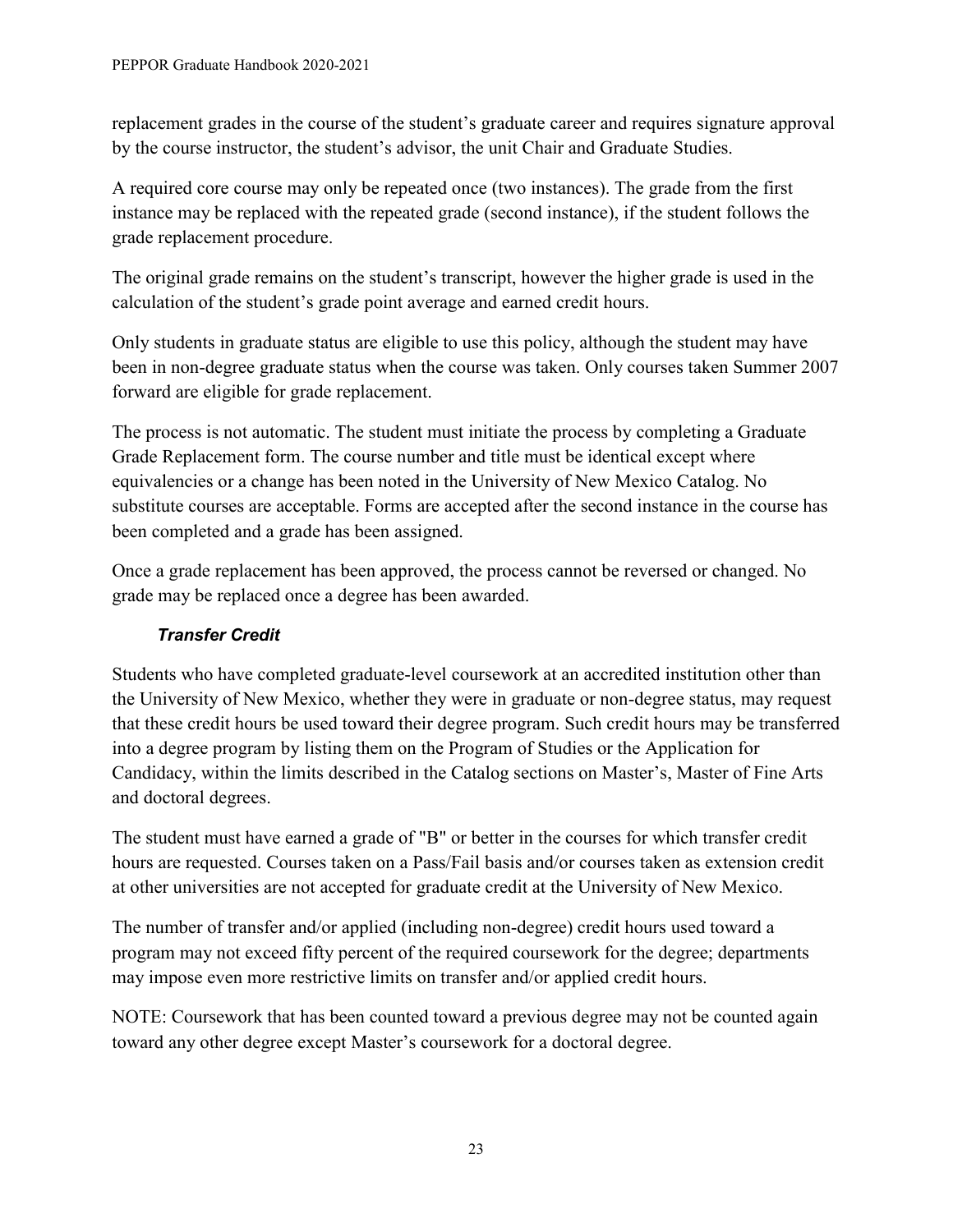replacement grades in the course of the student's graduate career and requires signature approval by the course instructor, the student's advisor, the unit Chair and Graduate Studies.

A required core course may only be repeated once (two instances). The grade from the first instance may be replaced with the repeated grade (second instance), if the student follows the grade replacement procedure.

The original grade remains on the student's transcript, however the higher grade is used in the calculation of the student's grade point average and earned credit hours.

Only students in graduate status are eligible to use this policy, although the student may have been in non-degree graduate status when the course was taken. Only courses taken Summer 2007 forward are eligible for grade replacement.

The process is not automatic. The student must initiate the process by completing a Graduate Grade Replacement form. The course number and title must be identical except where equivalencies or a change has been noted in the University of New Mexico Catalog. No substitute courses are acceptable. Forms are accepted after the second instance in the course has been completed and a grade has been assigned.

Once a grade replacement has been approved, the process cannot be reversed or changed. No grade may be replaced once a degree has been awarded.

## *Transfer Credit*

Students who have completed graduate-level coursework at an accredited institution other than the University of New Mexico, whether they were in graduate or non-degree status, may request that these credit hours be used toward their degree program. Such credit hours may be transferred into a degree program by listing them on the Program of Studies or the Application for Candidacy, within the limits described in the Catalog sections on Master's, Master of Fine Arts and doctoral degrees.

The student must have earned a grade of "B" or better in the courses for which transfer credit hours are requested. Courses taken on a Pass/Fail basis and/or courses taken as extension credit at other universities are not accepted for graduate credit at the University of New Mexico.

The number of transfer and/or applied (including non-degree) credit hours used toward a program may not exceed fifty percent of the required coursework for the degree; departments may impose even more restrictive limits on transfer and/or applied credit hours.

NOTE: Coursework that has been counted toward a previous degree may not be counted again toward any other degree except Master's coursework for a doctoral degree.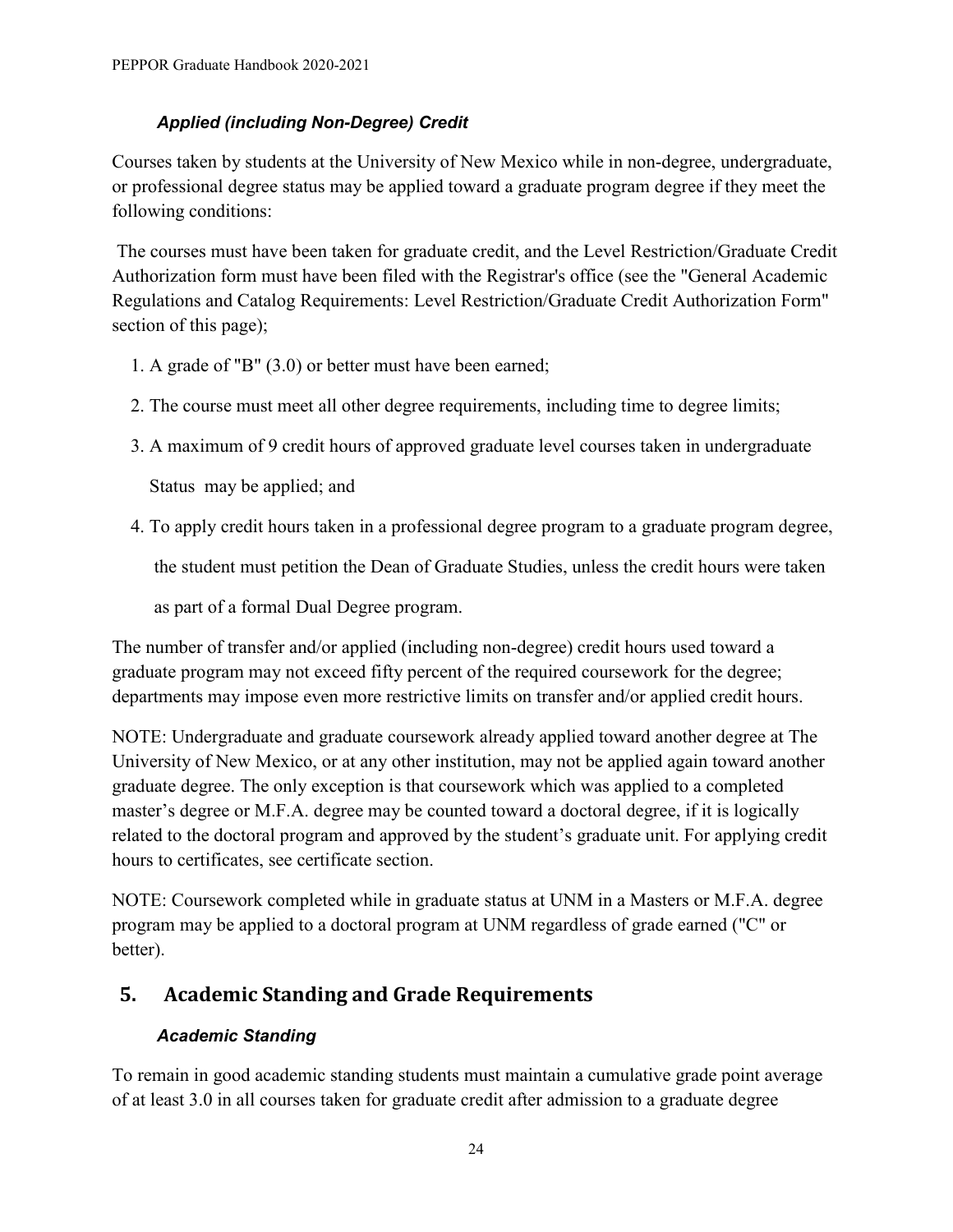## *Applied (including Non-Degree) Credit*

Courses taken by students at the University of New Mexico while in non-degree, undergraduate, or professional degree status may be applied toward a graduate program degree if they meet the following conditions:

The courses must have been taken for graduate credit, and the Level Restriction/Graduate Credit Authorization form must have been filed with the Registrar's office (see the "General Academic Regulations and Catalog Requirements: Level Restriction/Graduate Credit Authorization Form" section of this page);

- 1. A grade of "B" (3.0) or better must have been earned;
- 2. The course must meet all other degree requirements, including time to degree limits;
- 3. A maximum of 9 credit hours of approved graduate level courses taken in undergraduate

Status may be applied; and

4. To apply credit hours taken in a professional degree program to a graduate program degree,

the student must petition the Dean of Graduate Studies, unless the credit hours were taken

as part of a formal Dual Degree program.

The number of transfer and/or applied (including non-degree) credit hours used toward a graduate program may not exceed fifty percent of the required coursework for the degree; departments may impose even more restrictive limits on transfer and/or applied credit hours.

NOTE: Undergraduate and graduate coursework already applied toward another degree at The University of New Mexico, or at any other institution, may not be applied again toward another graduate degree. The only exception is that coursework which was applied to a completed master's degree or M.F.A. degree may be counted toward a doctoral degree, if it is logically related to the doctoral program and approved by the student's graduate unit. For applying credit hours to certificates, see certificate section.

NOTE: Coursework completed while in graduate status at UNM in a Masters or M.F.A. degree program may be applied to a doctoral program at UNM regardless of grade earned ("C" or better).

# <span id="page-27-0"></span>**5. Academic Standing and Grade Requirements**

## *Academic Standing*

To remain in good academic standing students must maintain a cumulative grade point average of at least 3.0 in all courses taken for graduate credit after admission to a graduate degree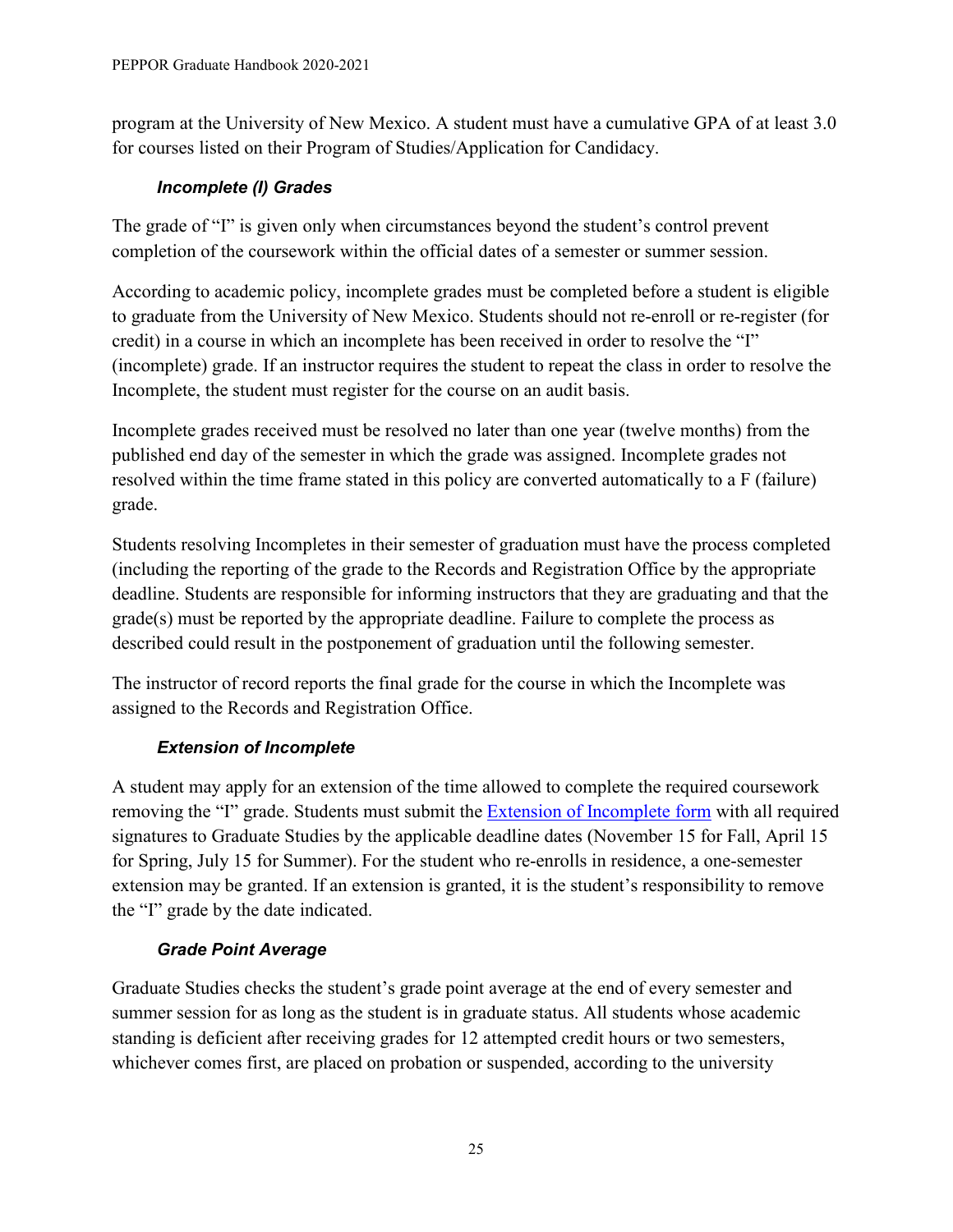program at the University of New Mexico. A student must have a cumulative GPA of at least 3.0 for courses listed on their Program of Studies/Application for Candidacy.

## *Incomplete (I) Grades*

The grade of "I" is given only when circumstances beyond the student's control prevent completion of the coursework within the official dates of a semester or summer session.

According to academic policy, incomplete grades must be completed before a student is eligible to graduate from the University of New Mexico. Students should not re-enroll or re-register (for credit) in a course in which an incomplete has been received in order to resolve the "I" (incomplete) grade. If an instructor requires the student to repeat the class in order to resolve the Incomplete, the student must register for the course on an audit basis.

Incomplete grades received must be resolved no later than one year (twelve months) from the published end day of the semester in which the grade was assigned. Incomplete grades not resolved within the time frame stated in this policy are converted automatically to a F (failure) grade.

Students resolving Incompletes in their semester of graduation must have the process completed (including the reporting of the grade to the Records and Registration Office by the appropriate deadline. Students are responsible for informing instructors that they are graduating and that the grade(s) must be reported by the appropriate deadline. Failure to complete the process as described could result in the postponement of graduation until the following semester.

The instructor of record reports the final grade for the course in which the Incomplete was assigned to the Records and Registration Office.

# *Extension of Incomplete*

A student may apply for an extension of the time allowed to complete the required coursework removing the "I" grade. Students must submit the **Extension of Incomplete form** with all required signatures to Graduate Studies by the applicable deadline dates (November 15 for Fall, April 15 for Spring, July 15 for Summer). For the student who re-enrolls in residence, a one-semester extension may be granted. If an extension is granted, it is the student's responsibility to remove the "I" grade by the date indicated.

## *Grade Point Average*

Graduate Studies checks the student's grade point average at the end of every semester and summer session for as long as the student is in graduate status. All students whose academic standing is deficient after receiving grades for 12 attempted credit hours or two semesters, whichever comes first, are placed on probation or suspended, according to the university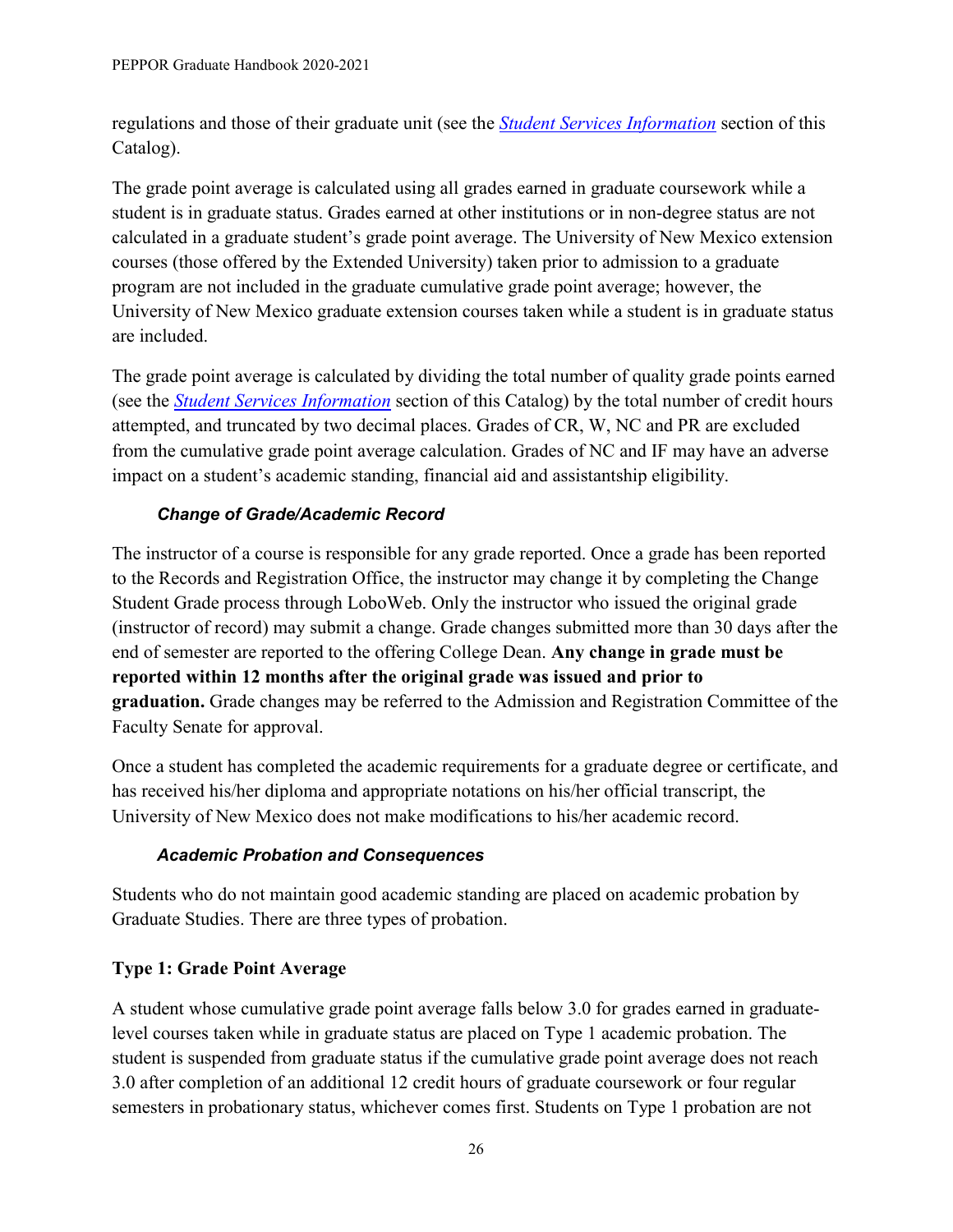regulations and those of their graduate unit (see the *[Student Services Information](http://catalog.unm.edu/catalogs/2020-2021/student-services-information.html)* section of this Catalog).

The grade point average is calculated using all grades earned in graduate coursework while a student is in graduate status. Grades earned at other institutions or in non-degree status are not calculated in a graduate student's grade point average. The University of New Mexico extension courses (those offered by the Extended University) taken prior to admission to a graduate program are not included in the graduate cumulative grade point average; however, the University of New Mexico graduate extension courses taken while a student is in graduate status are included.

The grade point average is calculated by dividing the total number of quality grade points earned (see the *[Student Services Information](http://catalog.unm.edu/catalogs/2020-2021/student-services-information.html)* section of this Catalog) by the total number of credit hours attempted, and truncated by two decimal places. Grades of CR, W, NC and PR are excluded from the cumulative grade point average calculation. Grades of NC and IF may have an adverse impact on a student's academic standing, financial aid and assistantship eligibility.

## *Change of Grade/Academic Record*

The instructor of a course is responsible for any grade reported. Once a grade has been reported to the Records and Registration Office, the instructor may change it by completing the Change Student Grade process through LoboWeb. Only the instructor who issued the original grade (instructor of record) may submit a change. Grade changes submitted more than 30 days after the end of semester are reported to the offering College Dean. **Any change in grade must be reported within 12 months after the original grade was issued and prior to graduation.** Grade changes may be referred to the Admission and Registration Committee of the Faculty Senate for approval.

Once a student has completed the academic requirements for a graduate degree or certificate, and has received his/her diploma and appropriate notations on his/her official transcript, the University of New Mexico does not make modifications to his/her academic record.

#### *Academic Probation and Consequences*

Students who do not maintain good academic standing are placed on academic probation by Graduate Studies. There are three types of probation.

## **Type 1: Grade Point Average**

A student whose cumulative grade point average falls below 3.0 for grades earned in graduatelevel courses taken while in graduate status are placed on Type 1 academic probation. The student is suspended from graduate status if the cumulative grade point average does not reach 3.0 after completion of an additional 12 credit hours of graduate coursework or four regular semesters in probationary status, whichever comes first. Students on Type 1 probation are not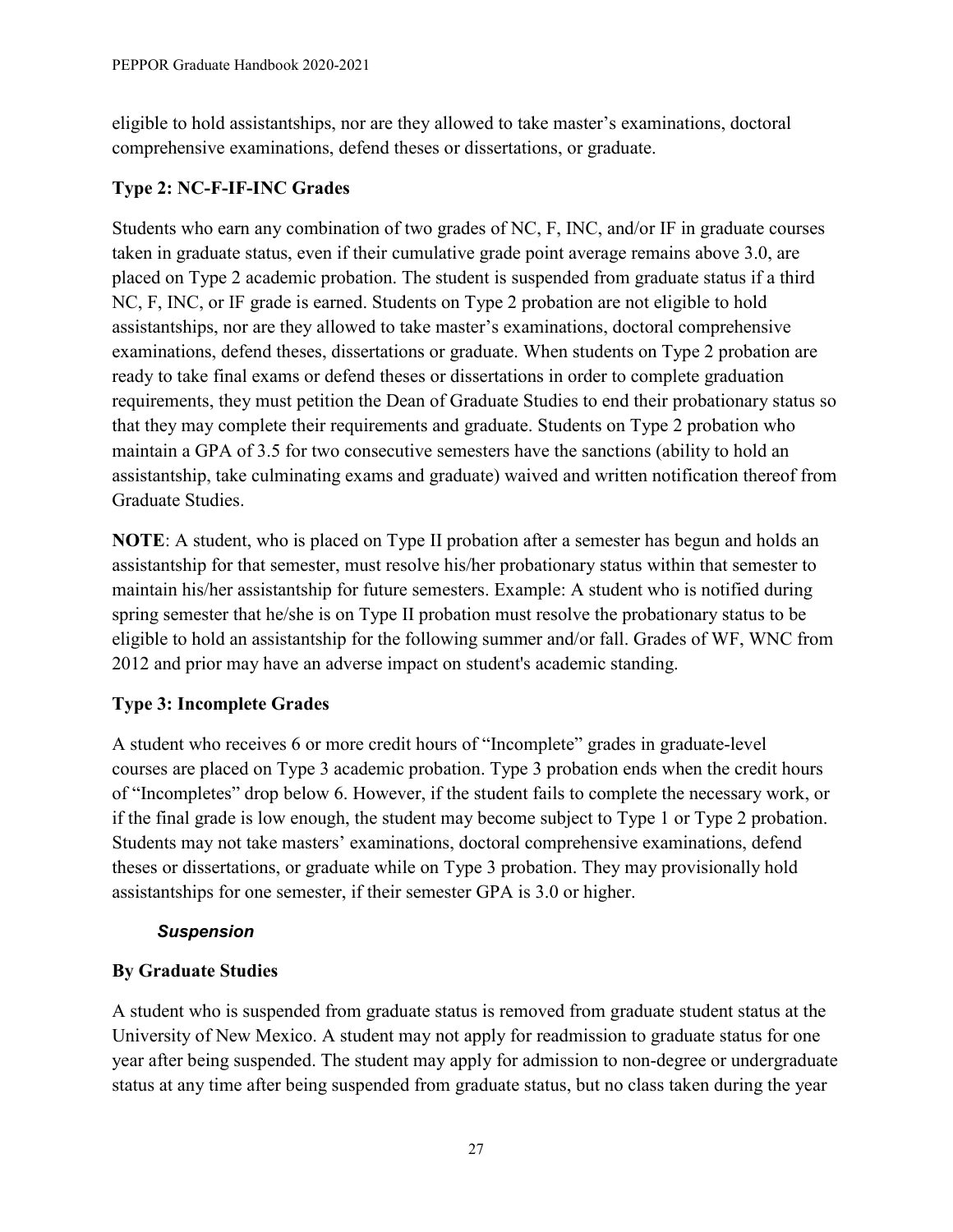eligible to hold assistantships, nor are they allowed to take master's examinations, doctoral comprehensive examinations, defend theses or dissertations, or graduate.

#### **Type 2: NC-F-IF-INC Grades**

Students who earn any combination of two grades of NC, F, INC, and/or IF in graduate courses taken in graduate status, even if their cumulative grade point average remains above 3.0, are placed on Type 2 academic probation. The student is suspended from graduate status if a third NC, F, INC, or IF grade is earned. Students on Type 2 probation are not eligible to hold assistantships, nor are they allowed to take master's examinations, doctoral comprehensive examinations, defend theses, dissertations or graduate. When students on Type 2 probation are ready to take final exams or defend theses or dissertations in order to complete graduation requirements, they must petition the Dean of Graduate Studies to end their probationary status so that they may complete their requirements and graduate. Students on Type 2 probation who maintain a GPA of 3.5 for two consecutive semesters have the sanctions (ability to hold an assistantship, take culminating exams and graduate) waived and written notification thereof from Graduate Studies.

**NOTE**: A student, who is placed on Type II probation after a semester has begun and holds an assistantship for that semester, must resolve his/her probationary status within that semester to maintain his/her assistantship for future semesters. Example: A student who is notified during spring semester that he/she is on Type II probation must resolve the probationary status to be eligible to hold an assistantship for the following summer and/or fall. Grades of WF, WNC from 2012 and prior may have an adverse impact on student's academic standing.

## **Type 3: Incomplete Grades**

A student who receives 6 or more credit hours of "Incomplete" grades in graduate-level courses are placed on Type 3 academic probation. Type 3 probation ends when the credit hours of "Incompletes" drop below 6. However, if the student fails to complete the necessary work, or if the final grade is low enough, the student may become subject to Type 1 or Type 2 probation. Students may not take masters' examinations, doctoral comprehensive examinations, defend theses or dissertations, or graduate while on Type 3 probation. They may provisionally hold assistantships for one semester, if their semester GPA is 3.0 or higher.

#### *Suspension*

#### **By Graduate Studies**

A student who is suspended from graduate status is removed from graduate student status at the University of New Mexico. A student may not apply for readmission to graduate status for one year after being suspended. The student may apply for admission to non-degree or undergraduate status at any time after being suspended from graduate status, but no class taken during the year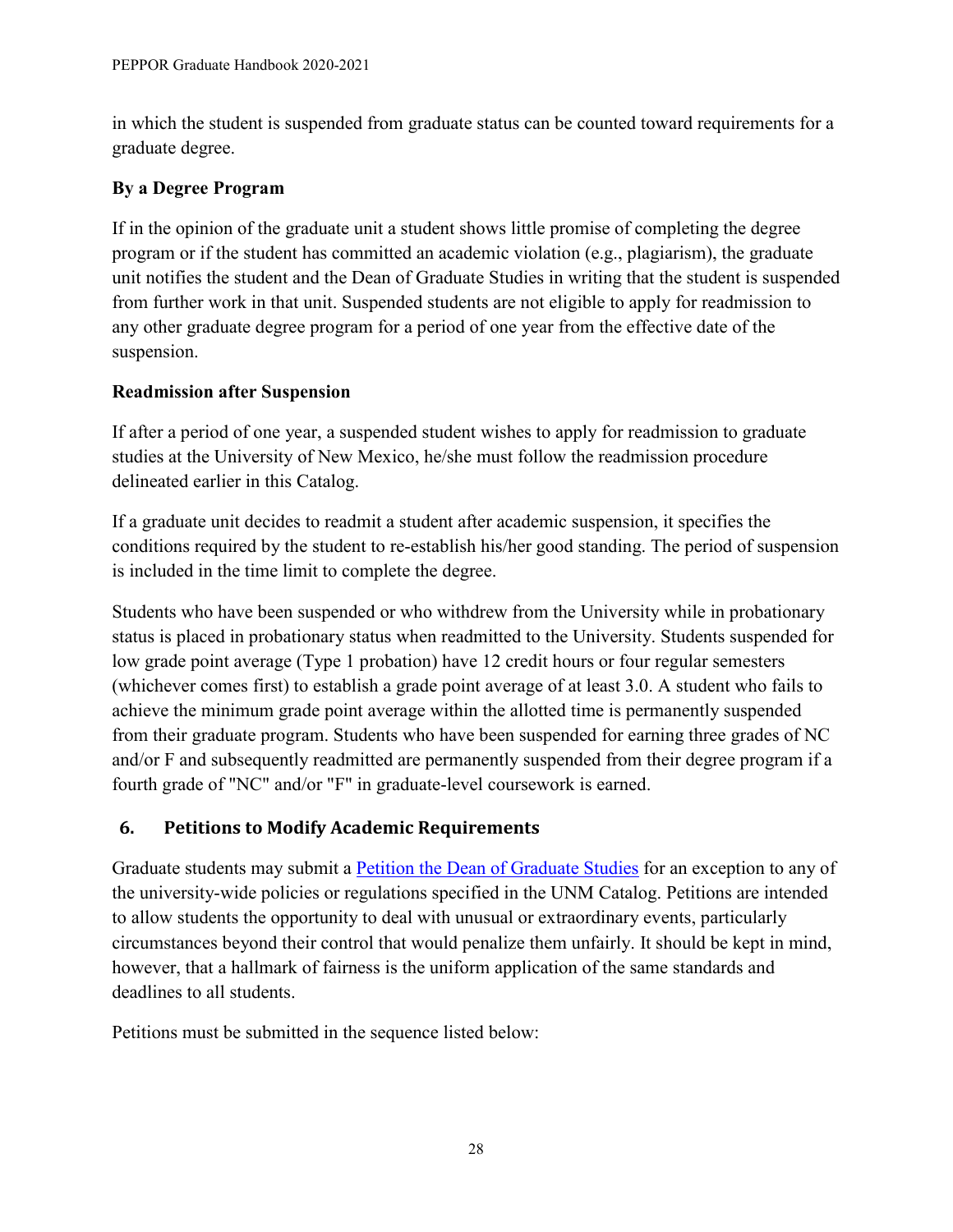in which the student is suspended from graduate status can be counted toward requirements for a graduate degree.

## **By a Degree Program**

If in the opinion of the graduate unit a student shows little promise of completing the degree program or if the student has committed an academic violation (e.g., plagiarism), the graduate unit notifies the student and the Dean of Graduate Studies in writing that the student is suspended from further work in that unit. Suspended students are not eligible to apply for readmission to any other graduate degree program for a period of one year from the effective date of the suspension.

## **Readmission after Suspension**

If after a period of one year, a suspended student wishes to apply for readmission to graduate studies at the University of New Mexico, he/she must follow the readmission procedure delineated earlier in this Catalog.

If a graduate unit decides to readmit a student after academic suspension, it specifies the conditions required by the student to re-establish his/her good standing. The period of suspension is included in the time limit to complete the degree.

Students who have been suspended or who withdrew from the University while in probationary status is placed in probationary status when readmitted to the University. Students suspended for low grade point average (Type 1 probation) have 12 credit hours or four regular semesters (whichever comes first) to establish a grade point average of at least 3.0. A student who fails to achieve the minimum grade point average within the allotted time is permanently suspended from their graduate program. Students who have been suspended for earning three grades of NC and/or F and subsequently readmitted are permanently suspended from their degree program if a fourth grade of "NC" and/or "F" in graduate-level coursework is earned.

## <span id="page-31-0"></span>**6. Petitions to Modify Academic Requirements**

Graduate students may submit a [Petition the Dean of Graduate Studies](http://grad.unm.edu/resources/gs-forms/index.html) for an exception to any of the university-wide policies or regulations specified in the UNM Catalog. Petitions are intended to allow students the opportunity to deal with unusual or extraordinary events, particularly circumstances beyond their control that would penalize them unfairly. It should be kept in mind, however, that a hallmark of fairness is the uniform application of the same standards and deadlines to all students.

Petitions must be submitted in the sequence listed below: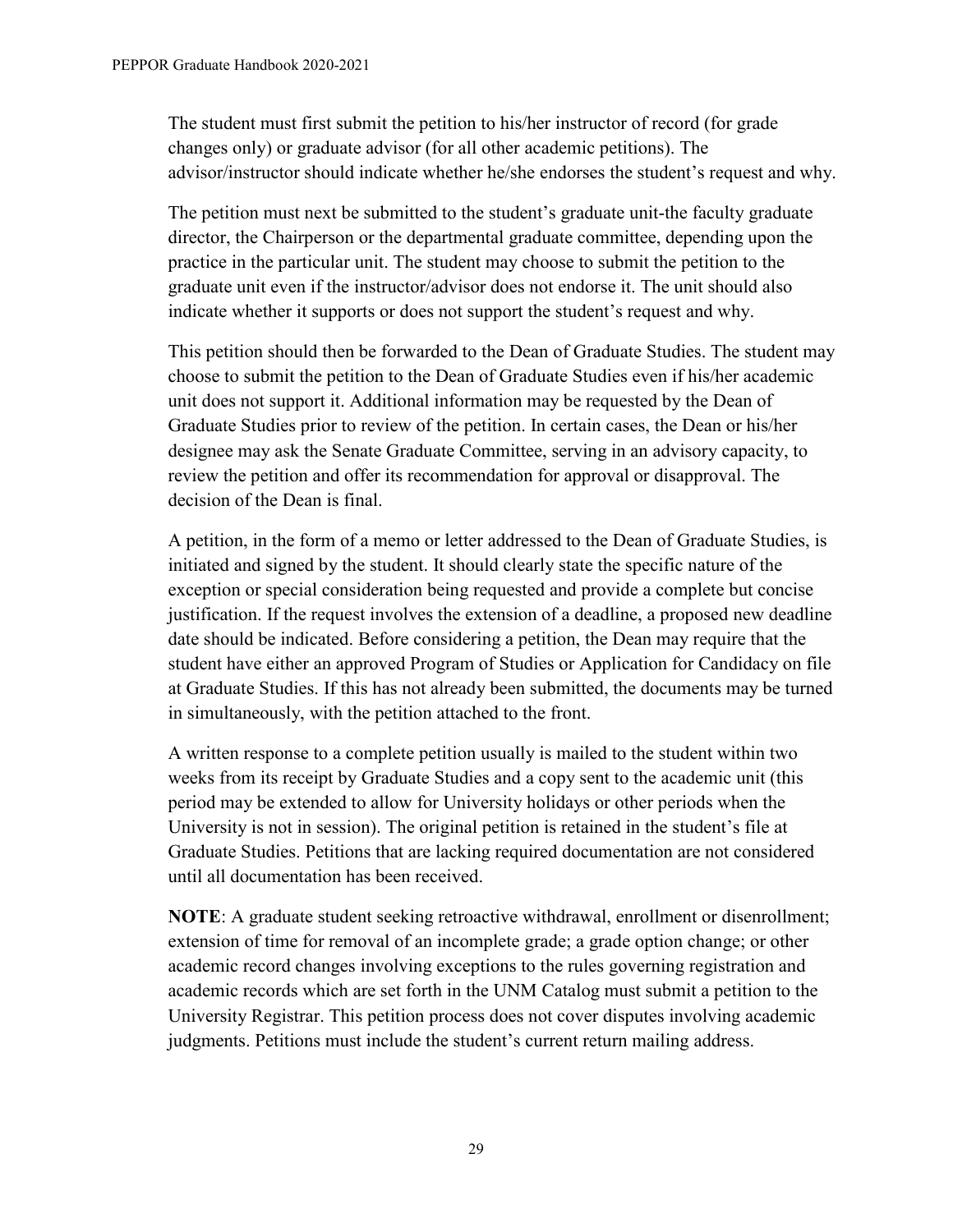The student must first submit the petition to his/her instructor of record (for grade changes only) or graduate advisor (for all other academic petitions). The advisor/instructor should indicate whether he/she endorses the student's request and why.

The petition must next be submitted to the student's graduate unit-the faculty graduate director, the Chairperson or the departmental graduate committee, depending upon the practice in the particular unit. The student may choose to submit the petition to the graduate unit even if the instructor/advisor does not endorse it. The unit should also indicate whether it supports or does not support the student's request and why.

This petition should then be forwarded to the Dean of Graduate Studies. The student may choose to submit the petition to the Dean of Graduate Studies even if his/her academic unit does not support it. Additional information may be requested by the Dean of Graduate Studies prior to review of the petition. In certain cases, the Dean or his/her designee may ask the Senate Graduate Committee, serving in an advisory capacity, to review the petition and offer its recommendation for approval or disapproval. The decision of the Dean is final.

A petition, in the form of a memo or letter addressed to the Dean of Graduate Studies, is initiated and signed by the student. It should clearly state the specific nature of the exception or special consideration being requested and provide a complete but concise justification. If the request involves the extension of a deadline, a proposed new deadline date should be indicated. Before considering a petition, the Dean may require that the student have either an approved Program of Studies or Application for Candidacy on file at Graduate Studies. If this has not already been submitted, the documents may be turned in simultaneously, with the petition attached to the front.

A written response to a complete petition usually is mailed to the student within two weeks from its receipt by Graduate Studies and a copy sent to the academic unit (this period may be extended to allow for University holidays or other periods when the University is not in session). The original petition is retained in the student's file at Graduate Studies. Petitions that are lacking required documentation are not considered until all documentation has been received.

**NOTE:** A graduate student seeking retroactive withdrawal, enrollment or disenrollment; extension of time for removal of an incomplete grade; a grade option change; or other academic record changes involving exceptions to the rules governing registration and academic records which are set forth in the UNM Catalog must submit a petition to the University Registrar. This petition process does not cover disputes involving academic judgments. Petitions must include the student's current return mailing address.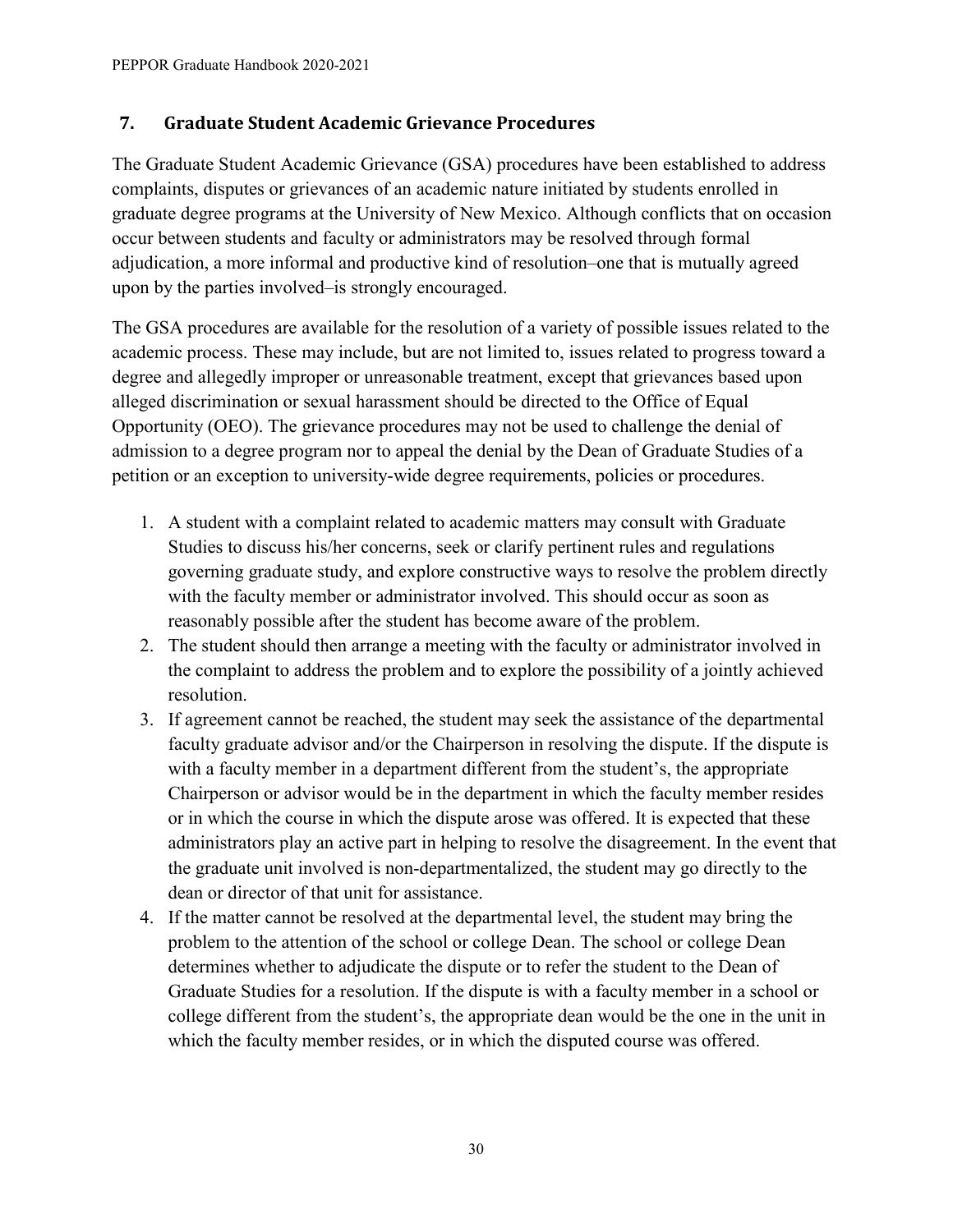## <span id="page-33-0"></span>**7. Graduate Student Academic Grievance Procedures**

The Graduate Student Academic Grievance (GSA) procedures have been established to address complaints, disputes or grievances of an academic nature initiated by students enrolled in graduate degree programs at the University of New Mexico. Although conflicts that on occasion occur between students and faculty or administrators may be resolved through formal adjudication, a more informal and productive kind of resolution–one that is mutually agreed upon by the parties involved–is strongly encouraged.

The GSA procedures are available for the resolution of a variety of possible issues related to the academic process. These may include, but are not limited to, issues related to progress toward a degree and allegedly improper or unreasonable treatment, except that grievances based upon alleged discrimination or sexual harassment should be directed to the Office of Equal Opportunity (OEO). The grievance procedures may not be used to challenge the denial of admission to a degree program nor to appeal the denial by the Dean of Graduate Studies of a petition or an exception to university-wide degree requirements, policies or procedures.

- 1. A student with a complaint related to academic matters may consult with Graduate Studies to discuss his/her concerns, seek or clarify pertinent rules and regulations governing graduate study, and explore constructive ways to resolve the problem directly with the faculty member or administrator involved. This should occur as soon as reasonably possible after the student has become aware of the problem.
- 2. The student should then arrange a meeting with the faculty or administrator involved in the complaint to address the problem and to explore the possibility of a jointly achieved resolution.
- 3. If agreement cannot be reached, the student may seek the assistance of the departmental faculty graduate advisor and/or the Chairperson in resolving the dispute. If the dispute is with a faculty member in a department different from the student's, the appropriate Chairperson or advisor would be in the department in which the faculty member resides or in which the course in which the dispute arose was offered. It is expected that these administrators play an active part in helping to resolve the disagreement. In the event that the graduate unit involved is non-departmentalized, the student may go directly to the dean or director of that unit for assistance.
- 4. If the matter cannot be resolved at the departmental level, the student may bring the problem to the attention of the school or college Dean. The school or college Dean determines whether to adjudicate the dispute or to refer the student to the Dean of Graduate Studies for a resolution. If the dispute is with a faculty member in a school or college different from the student's, the appropriate dean would be the one in the unit in which the faculty member resides, or in which the disputed course was offered.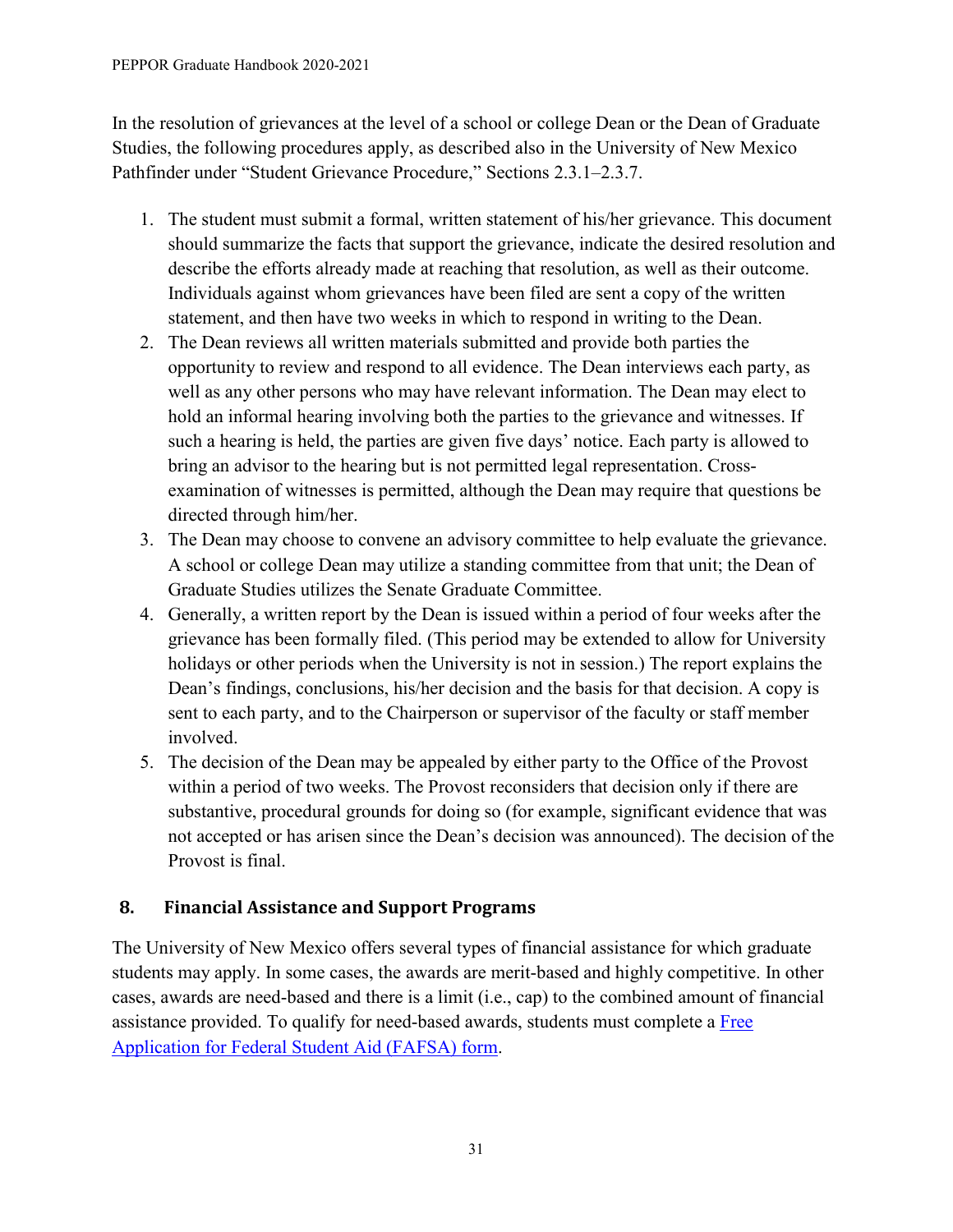In the resolution of grievances at the level of a school or college Dean or the Dean of Graduate Studies, the following procedures apply, as described also in the University of New Mexico Pathfinder under "Student Grievance Procedure," Sections 2.3.1–2.3.7.

- 1. The student must submit a formal, written statement of his/her grievance. This document should summarize the facts that support the grievance, indicate the desired resolution and describe the efforts already made at reaching that resolution, as well as their outcome. Individuals against whom grievances have been filed are sent a copy of the written statement, and then have two weeks in which to respond in writing to the Dean.
- 2. The Dean reviews all written materials submitted and provide both parties the opportunity to review and respond to all evidence. The Dean interviews each party, as well as any other persons who may have relevant information. The Dean may elect to hold an informal hearing involving both the parties to the grievance and witnesses. If such a hearing is held, the parties are given five days' notice. Each party is allowed to bring an advisor to the hearing but is not permitted legal representation. Crossexamination of witnesses is permitted, although the Dean may require that questions be directed through him/her.
- 3. The Dean may choose to convene an advisory committee to help evaluate the grievance. A school or college Dean may utilize a standing committee from that unit; the Dean of Graduate Studies utilizes the Senate Graduate Committee.
- 4. Generally, a written report by the Dean is issued within a period of four weeks after the grievance has been formally filed. (This period may be extended to allow for University holidays or other periods when the University is not in session.) The report explains the Dean's findings, conclusions, his/her decision and the basis for that decision. A copy is sent to each party, and to the Chairperson or supervisor of the faculty or staff member involved.
- 5. The decision of the Dean may be appealed by either party to the Office of the Provost within a period of two weeks. The Provost reconsiders that decision only if there are substantive, procedural grounds for doing so (for example, significant evidence that was not accepted or has arisen since the Dean's decision was announced). The decision of the Provost is final.

# <span id="page-34-0"></span>**8. Financial Assistance and Support Programs**

The University of New Mexico offers several types of financial assistance for which graduate students may apply. In some cases, the awards are merit-based and highly competitive. In other cases, awards are need-based and there is a limit (i.e., cap) to the combined amount of financial assistance provided. To qualify for need-based awards, students must complete a [Free](http://www.fafsa.ed.gov/)  [Application for Federal Student Aid \(FAFSA\)](http://www.fafsa.ed.gov/) form.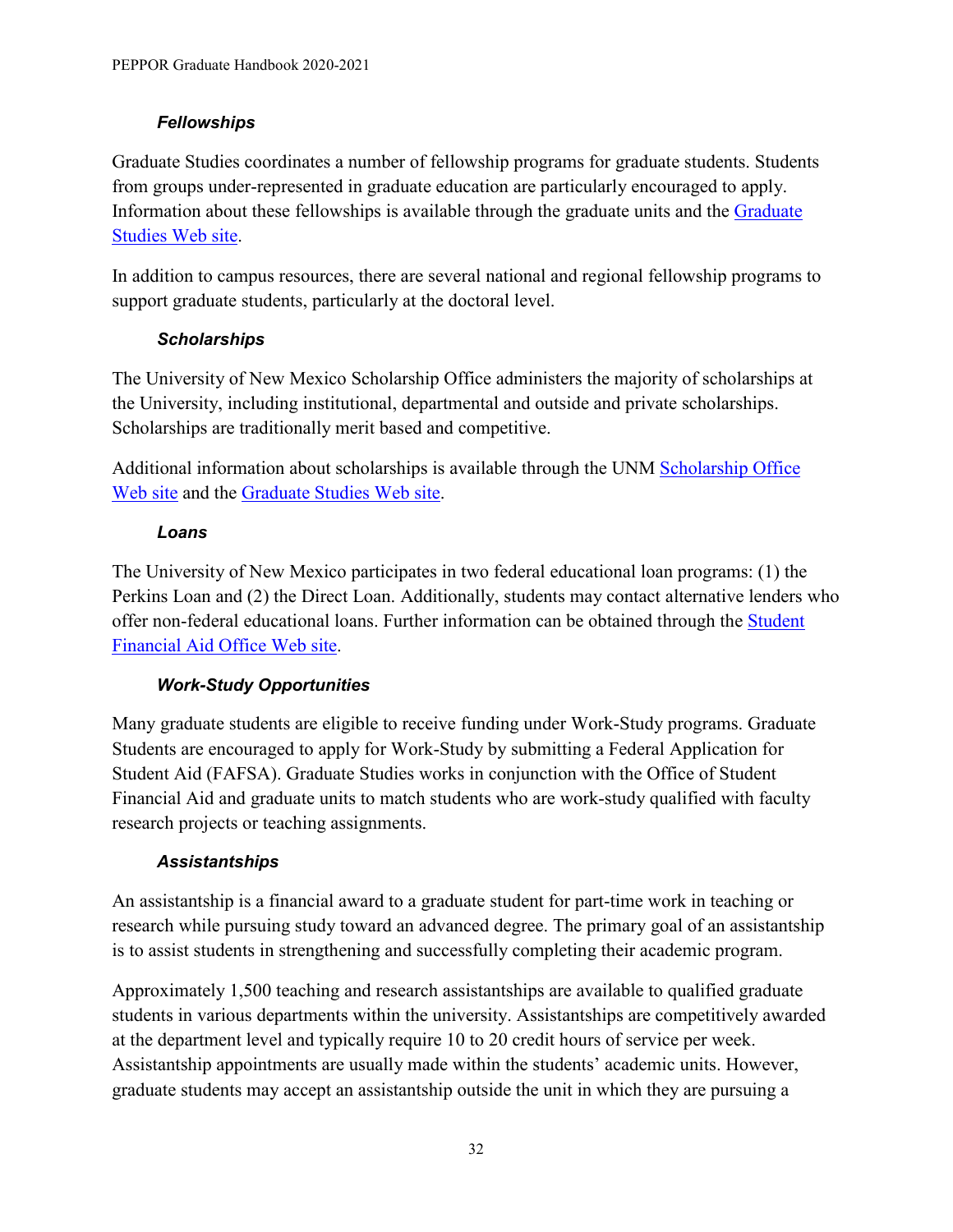#### *Fellowships*

Graduate Studies coordinates a number of fellowship programs for graduate students. Students from groups under-represented in graduate education are particularly encouraged to apply. Information about these fellowships is available through the graduate units and the [Graduate](http://grad.unm.edu/funding/fellowships/index.html)  [Studies Web site.](http://grad.unm.edu/funding/fellowships/index.html)

In addition to campus resources, there are several national and regional fellowship programs to support graduate students, particularly at the doctoral level.

## *Scholarships*

The University of New Mexico Scholarship Office administers the majority of scholarships at the University, including institutional, departmental and outside and private scholarships. Scholarships are traditionally merit based and competitive.

Additional information about scholarships is available through the UNM [Scholarship Office](http://scholarship.unm.edu/)  [Web site](http://scholarship.unm.edu/) and the [Graduate Studies Web site.](http://grad.unm.edu/funding/scholarships/)

#### *Loans*

The University of New Mexico participates in two federal educational loan programs: (1) the Perkins Loan and (2) the Direct Loan. Additionally, students may contact alternative lenders who offer non-federal educational loans. Further information can be obtained through the [Student](http://finaid.unm.edu/)  [Financial Aid Office Web site.](http://finaid.unm.edu/)

## *Work-Study Opportunities*

Many graduate students are eligible to receive funding under Work-Study programs. Graduate Students are encouraged to apply for Work-Study by submitting a Federal Application for Student Aid (FAFSA). Graduate Studies works in conjunction with the Office of Student Financial Aid and graduate units to match students who are work-study qualified with faculty research projects or teaching assignments.

#### *Assistantships*

An assistantship is a financial award to a graduate student for part-time work in teaching or research while pursuing study toward an advanced degree. The primary goal of an assistantship is to assist students in strengthening and successfully completing their academic program.

Approximately 1,500 teaching and research assistantships are available to qualified graduate students in various departments within the university. Assistantships are competitively awarded at the department level and typically require 10 to 20 credit hours of service per week. Assistantship appointments are usually made within the students' academic units. However, graduate students may accept an assistantship outside the unit in which they are pursuing a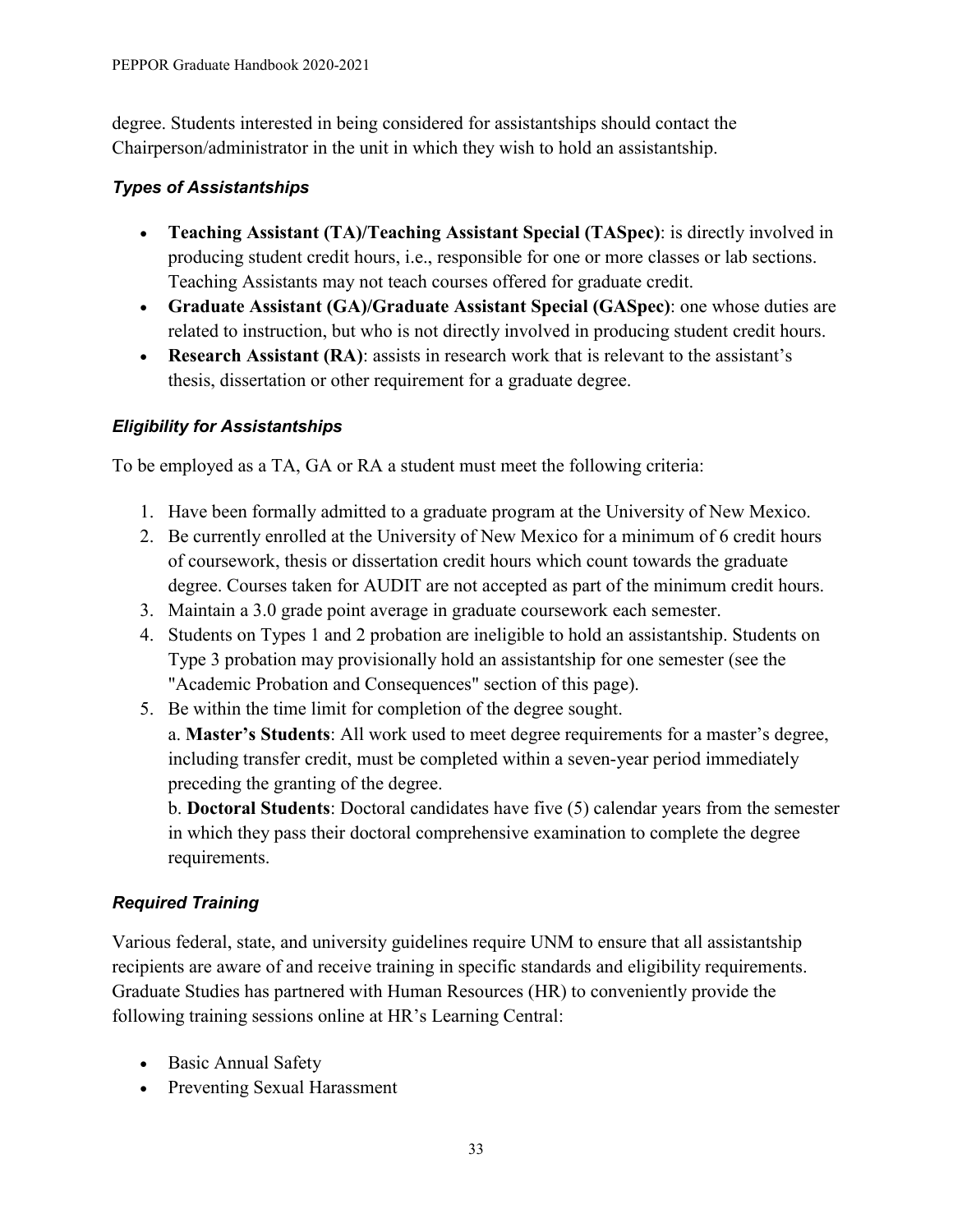degree. Students interested in being considered for assistantships should contact the Chairperson/administrator in the unit in which they wish to hold an assistantship.

## *Types of Assistantships*

- **Teaching Assistant (TA)/Teaching Assistant Special (TASpec)**: is directly involved in producing student credit hours, i.e., responsible for one or more classes or lab sections. Teaching Assistants may not teach courses offered for graduate credit.
- **Graduate Assistant (GA)/Graduate Assistant Special (GASpec)**: one whose duties are related to instruction, but who is not directly involved in producing student credit hours.
- **Research Assistant (RA)**: assists in research work that is relevant to the assistant's thesis, dissertation or other requirement for a graduate degree.

# *Eligibility for Assistantships*

To be employed as a TA, GA or RA a student must meet the following criteria:

- 1. Have been formally admitted to a graduate program at the University of New Mexico.
- 2. Be currently enrolled at the University of New Mexico for a minimum of 6 credit hours of coursework, thesis or dissertation credit hours which count towards the graduate degree. Courses taken for AUDIT are not accepted as part of the minimum credit hours.
- 3. Maintain a 3.0 grade point average in graduate coursework each semester.
- 4. Students on Types 1 and 2 probation are ineligible to hold an assistantship. Students on Type 3 probation may provisionally hold an assistantship for one semester (see the "Academic Probation and Consequences" section of this page).
- 5. Be within the time limit for completion of the degree sought.

a. **Master's Students**: All work used to meet degree requirements for a master's degree, including transfer credit, must be completed within a seven-year period immediately preceding the granting of the degree.

b. **Doctoral Students**: Doctoral candidates have five (5) calendar years from the semester in which they pass their doctoral comprehensive examination to complete the degree requirements.

# *Required Training*

Various federal, state, and university guidelines require UNM to ensure that all assistantship recipients are aware of and receive training in specific standards and eligibility requirements. Graduate Studies has partnered with Human Resources (HR) to conveniently provide the following training sessions online at HR's Learning Central:

- Basic Annual Safety
- Preventing Sexual Harassment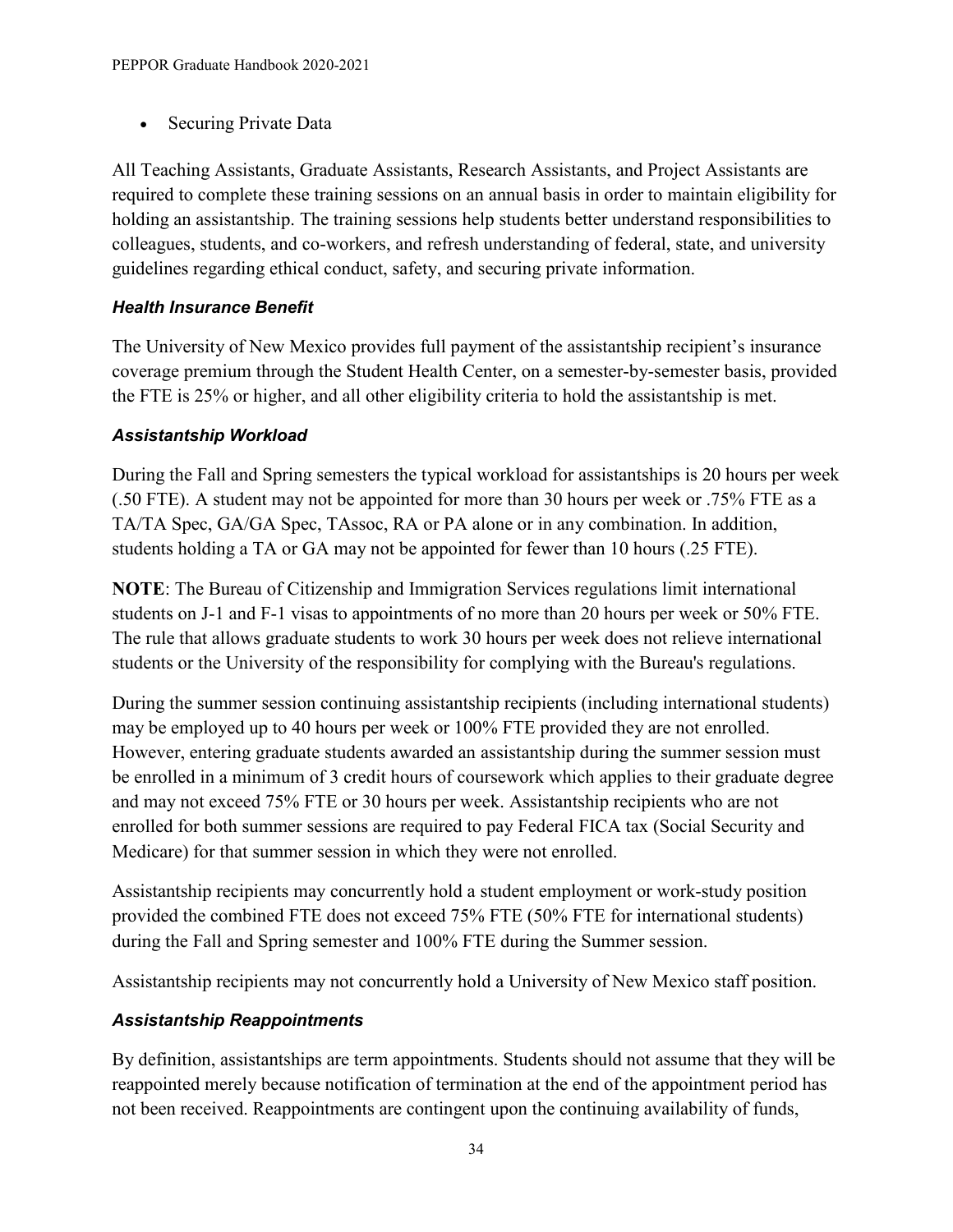• Securing Private Data

All Teaching Assistants, Graduate Assistants, Research Assistants, and Project Assistants are required to complete these training sessions on an annual basis in order to maintain eligibility for holding an assistantship. The training sessions help students better understand responsibilities to colleagues, students, and co-workers, and refresh understanding of federal, state, and university guidelines regarding ethical conduct, safety, and securing private information.

#### *Health Insurance Benefit*

The University of New Mexico provides full payment of the assistantship recipient's insurance coverage premium through the Student Health Center, on a semester-by-semester basis, provided the FTE is 25% or higher, and all other eligibility criteria to hold the assistantship is met.

#### *Assistantship Workload*

During the Fall and Spring semesters the typical workload for assistantships is 20 hours per week (.50 FTE). A student may not be appointed for more than 30 hours per week or .75% FTE as a TA/TA Spec, GA/GA Spec, TAssoc, RA or PA alone or in any combination. In addition, students holding a TA or GA may not be appointed for fewer than 10 hours (.25 FTE).

**NOTE**: The Bureau of Citizenship and Immigration Services regulations limit international students on J-1 and F-1 visas to appointments of no more than 20 hours per week or 50% FTE. The rule that allows graduate students to work 30 hours per week does not relieve international students or the University of the responsibility for complying with the Bureau's regulations.

During the summer session continuing assistantship recipients (including international students) may be employed up to 40 hours per week or 100% FTE provided they are not enrolled. However, entering graduate students awarded an assistantship during the summer session must be enrolled in a minimum of 3 credit hours of coursework which applies to their graduate degree and may not exceed 75% FTE or 30 hours per week. Assistantship recipients who are not enrolled for both summer sessions are required to pay Federal FICA tax (Social Security and Medicare) for that summer session in which they were not enrolled.

Assistantship recipients may concurrently hold a student employment or work-study position provided the combined FTE does not exceed 75% FTE (50% FTE for international students) during the Fall and Spring semester and 100% FTE during the Summer session.

Assistantship recipients may not concurrently hold a University of New Mexico staff position.

## *Assistantship Reappointments*

By definition, assistantships are term appointments. Students should not assume that they will be reappointed merely because notification of termination at the end of the appointment period has not been received. Reappointments are contingent upon the continuing availability of funds,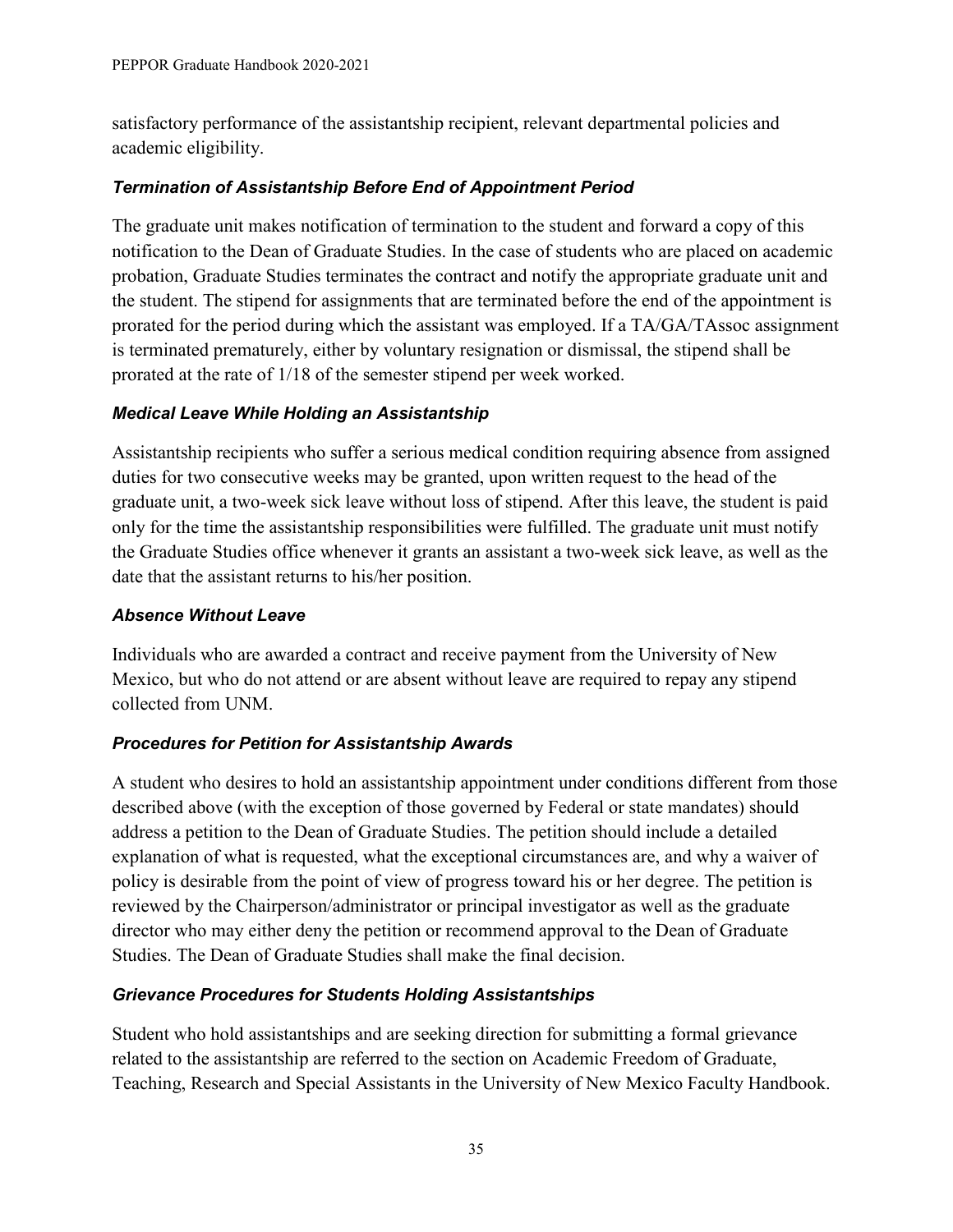satisfactory performance of the assistantship recipient, relevant departmental policies and academic eligibility.

#### *Termination of Assistantship Before End of Appointment Period*

The graduate unit makes notification of termination to the student and forward a copy of this notification to the Dean of Graduate Studies. In the case of students who are placed on academic probation, Graduate Studies terminates the contract and notify the appropriate graduate unit and the student. The stipend for assignments that are terminated before the end of the appointment is prorated for the period during which the assistant was employed. If a TA/GA/TAssoc assignment is terminated prematurely, either by voluntary resignation or dismissal, the stipend shall be prorated at the rate of 1/18 of the semester stipend per week worked.

#### *Medical Leave While Holding an Assistantship*

Assistantship recipients who suffer a serious medical condition requiring absence from assigned duties for two consecutive weeks may be granted, upon written request to the head of the graduate unit, a two-week sick leave without loss of stipend. After this leave, the student is paid only for the time the assistantship responsibilities were fulfilled. The graduate unit must notify the Graduate Studies office whenever it grants an assistant a two-week sick leave, as well as the date that the assistant returns to his/her position.

#### *Absence Without Leave*

Individuals who are awarded a contract and receive payment from the University of New Mexico, but who do not attend or are absent without leave are required to repay any stipend collected from UNM.

## *Procedures for Petition for Assistantship Awards*

A student who desires to hold an assistantship appointment under conditions different from those described above (with the exception of those governed by Federal or state mandates) should address a petition to the Dean of Graduate Studies. The petition should include a detailed explanation of what is requested, what the exceptional circumstances are, and why a waiver of policy is desirable from the point of view of progress toward his or her degree. The petition is reviewed by the Chairperson/administrator or principal investigator as well as the graduate director who may either deny the petition or recommend approval to the Dean of Graduate Studies. The Dean of Graduate Studies shall make the final decision.

## *Grievance Procedures for Students Holding Assistantships*

Student who hold assistantships and are seeking direction for submitting a formal grievance related to the assistantship are referred to the section on Academic Freedom of Graduate, Teaching, Research and Special Assistants in the University of New Mexico Faculty Handbook.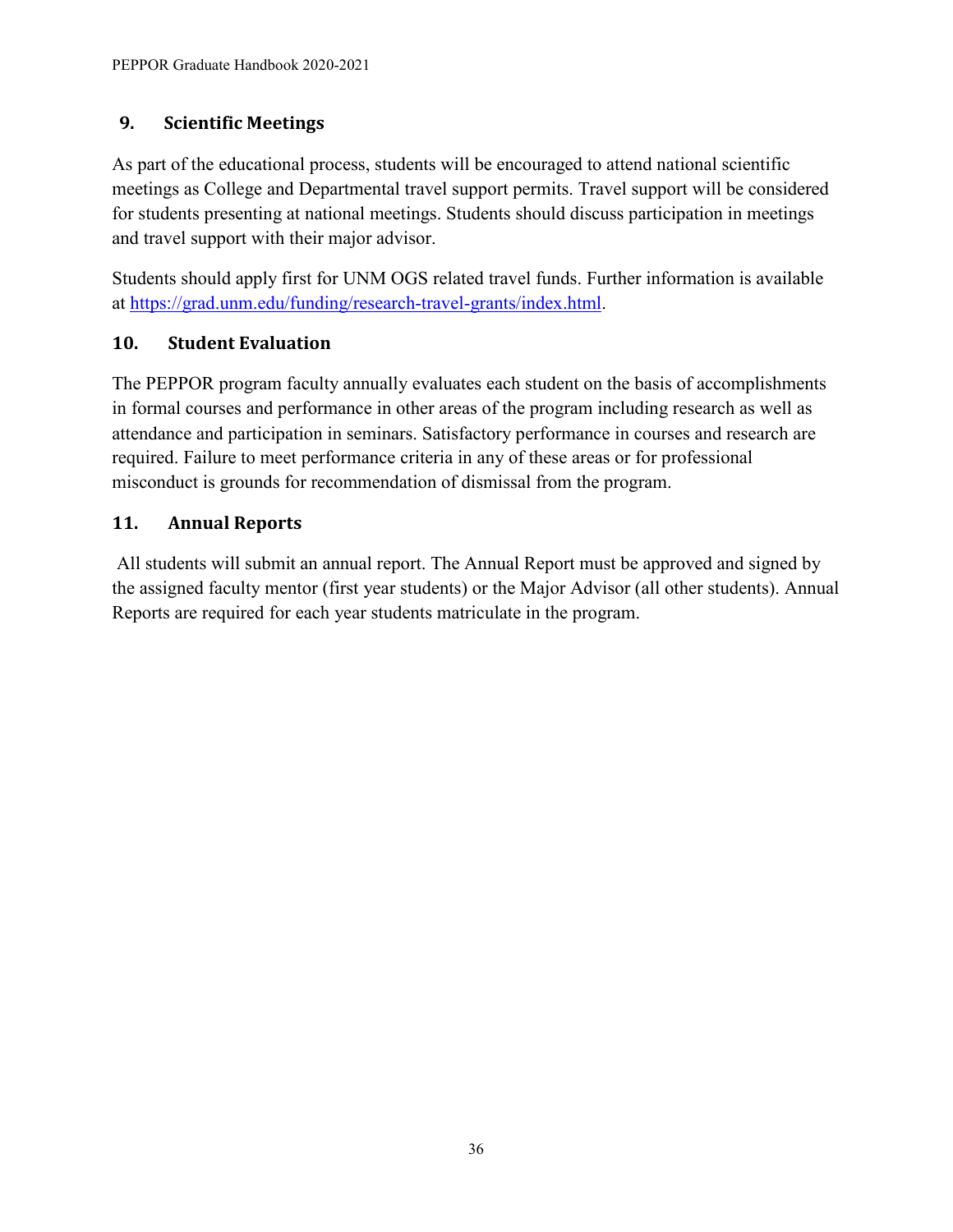# <span id="page-39-0"></span>**9. Scientific Meetings**

As part of the educational process, students will be encouraged to attend national scientific meetings as College and Departmental travel support permits. Travel support will be considered for students presenting at national meetings. Students should discuss participation in meetings and travel support with their major advisor.

Students should apply first for UNM OGS related travel funds. Further information is available at [https://grad.unm.edu/funding/research-travel-grants/index.html.](https://grad.unm.edu/funding/research-travel-grants/index.html)

# **10. Student Evaluation**

The PEPPOR program faculty annually evaluates each student on the basis of accomplishments in formal courses and performance in other areas of the program including research as well as attendance and participation in seminars. Satisfactory performance in courses and research are required. Failure to meet performance criteria in any of these areas or for professional misconduct is grounds for recommendation of dismissal from the program.

# **11. Annual Reports**

All students will submit an annual report. The Annual Report must be approved and signed by the assigned faculty mentor (first year students) or the Major Advisor (all other students). Annual Reports are required for each year students matriculate in the program.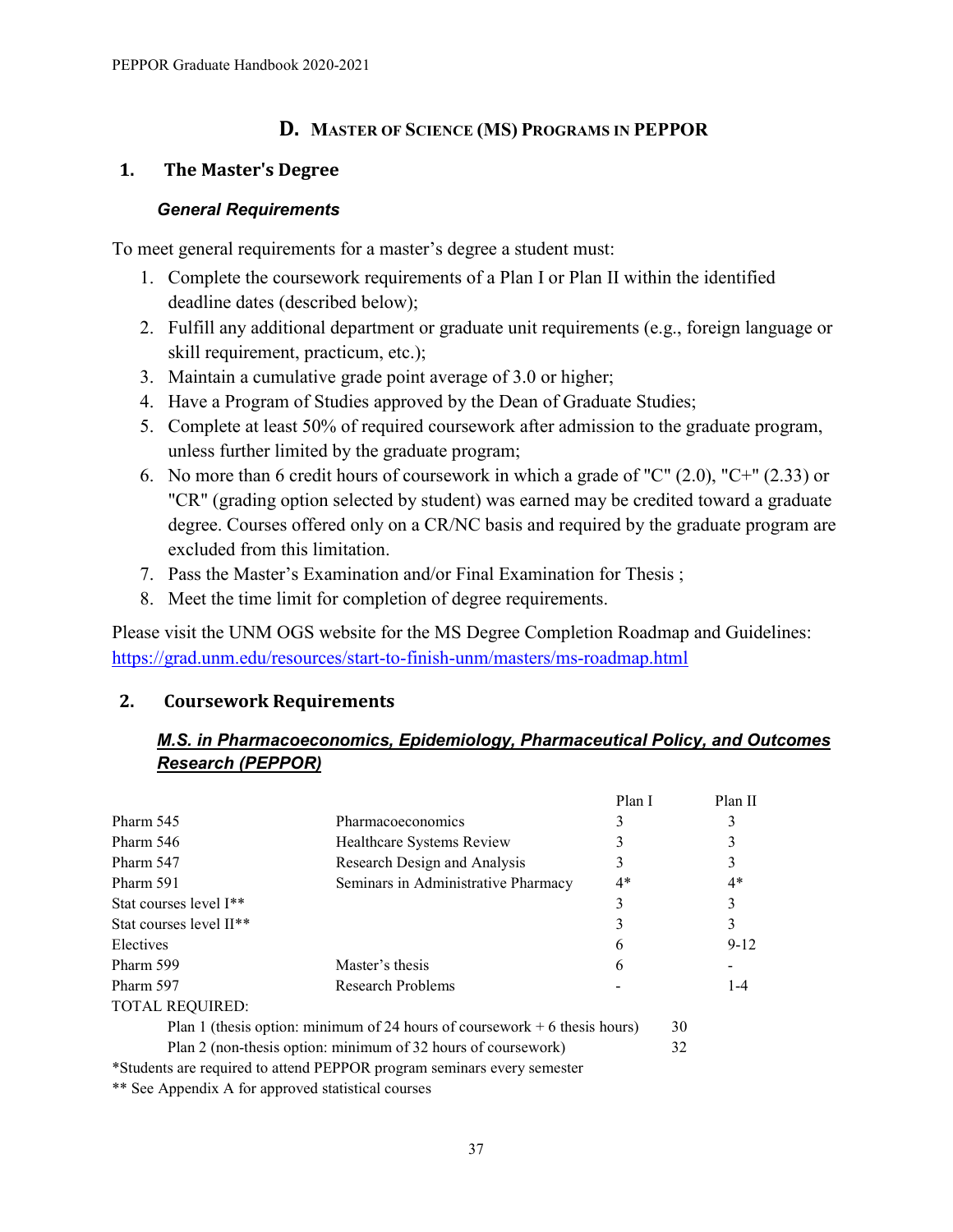#### <span id="page-40-0"></span>**D. MASTER OF SCIENCE (MS) PROGRAMS IN PEPPOR**

#### <span id="page-40-1"></span>**1. The Master's Degree**

#### *General Requirements*

To meet general requirements for a master's degree a student must:

- 1. Complete the coursework requirements of a Plan I or Plan II within the identified deadline dates (described below);
- 2. Fulfill any additional department or graduate unit requirements (e.g., foreign language or skill requirement, practicum, etc.);
- 3. Maintain a cumulative grade point average of 3.0 or higher;
- 4. Have a Program of Studies approved by the Dean of Graduate Studies;
- 5. Complete at least 50% of required coursework after admission to the graduate program, unless further limited by the graduate program;
- 6. No more than 6 credit hours of coursework in which a grade of "C" (2.0), "C+" (2.33) or "CR" (grading option selected by student) was earned may be credited toward a graduate degree. Courses offered only on a CR/NC basis and required by the graduate program are excluded from this limitation.
- 7. Pass the Master's Examination and/or Final Examination for Thesis ;
- 8. Meet the time limit for completion of degree requirements.

Please visit the UNM OGS website for the MS Degree Completion Roadmap and Guidelines: <https://grad.unm.edu/resources/start-to-finish-unm/masters/ms-roadmap.html>

#### <span id="page-40-2"></span>**2. Coursework Requirements**

#### *M.S. in Pharmacoeconomics, Epidemiology, Pharmaceutical Policy, and Outcomes Research (PEPPOR)*

|                                                    |                                                                             | Plan I |    | Plan II  |
|----------------------------------------------------|-----------------------------------------------------------------------------|--------|----|----------|
| Pharm 545                                          | Pharmacoeconomics                                                           |        |    |          |
| Pharm 546                                          | Healthcare Systems Review                                                   |        |    |          |
| Pharm 547                                          | Research Design and Analysis                                                |        |    |          |
| Pharm 591                                          | Seminars in Administrative Pharmacy                                         | $4*$   |    | $4*$     |
| Stat courses level I <sup>**</sup>                 |                                                                             |        |    |          |
| Stat courses level II <sup>**</sup>                |                                                                             |        |    | 3        |
| Electives                                          |                                                                             | h      |    | $9 - 12$ |
| Pharm 599                                          | Master's thesis                                                             | h      |    |          |
| Pharm 597                                          | Research Problems                                                           |        |    | $1 - 4$  |
| <b>TOTAL REQUIRED:</b>                             |                                                                             |        |    |          |
|                                                    | Plan 1 (thesis option: minimum of 24 hours of coursework $+6$ thesis hours) |        | 30 |          |
|                                                    | Plan 2 (non-thesis option: minimum of 32 hours of coursework)               |        | 32 |          |
|                                                    | *Students are required to attend PEPPOR program seminars every semester     |        |    |          |
| ** See Appendix A for approved statistical courses |                                                                             |        |    |          |

37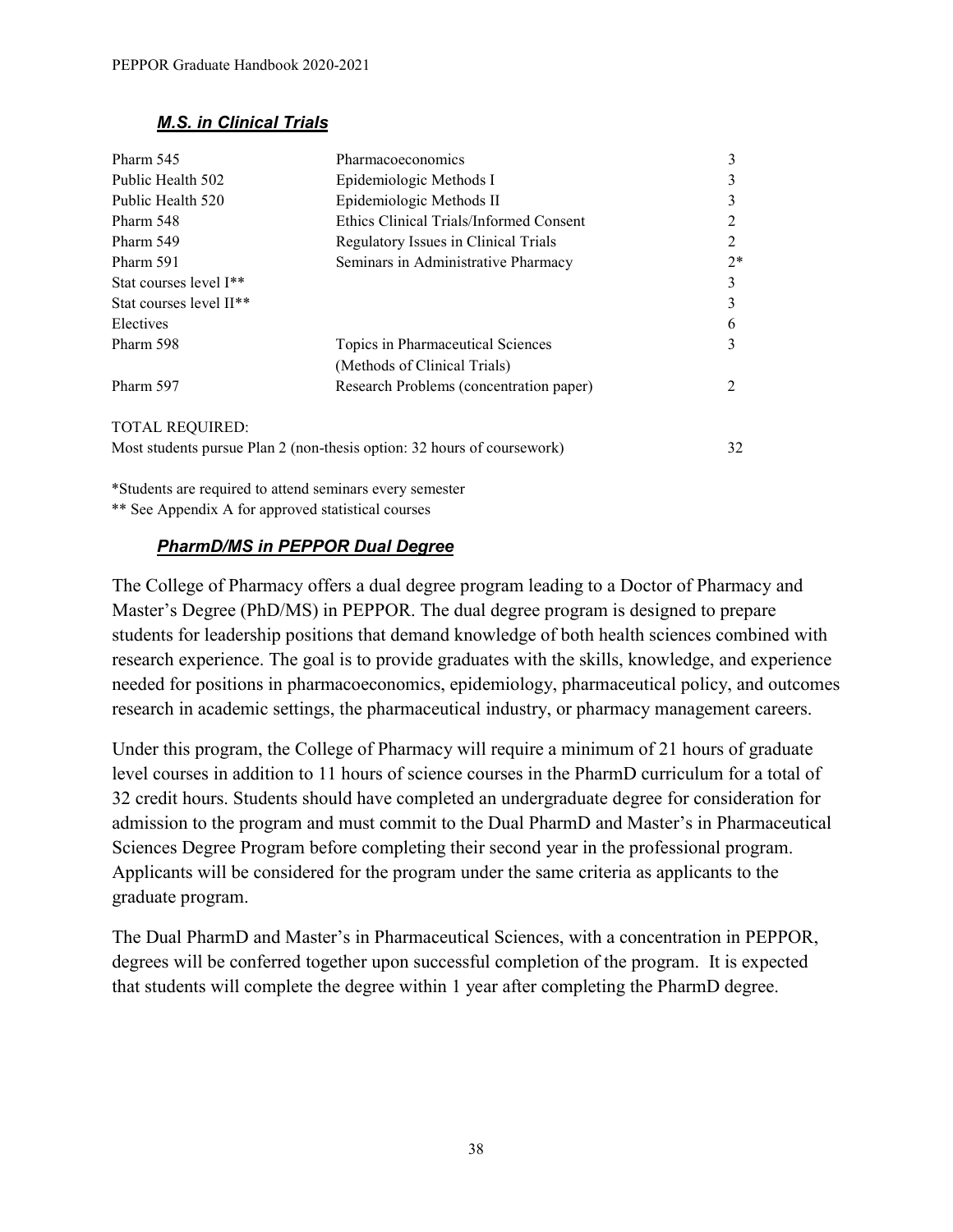#### *M.S. in Clinical Trials*

| Pharm 545                           | Pharmacoeconomics                                                       | 3              |
|-------------------------------------|-------------------------------------------------------------------------|----------------|
| Public Health 502                   | Epidemiologic Methods I                                                 | 3              |
| Public Health 520                   | Epidemiologic Methods II                                                | 3              |
| Pharm 548                           | Ethics Clinical Trials/Informed Consent                                 |                |
| Pharm 549                           | Regulatory Issues in Clinical Trials                                    | $\mathfrak{D}$ |
| Pharm 591                           | Seminars in Administrative Pharmacy                                     | $2*$           |
| Stat courses level I <sup>**</sup>  |                                                                         | 3              |
| Stat courses level II <sup>**</sup> |                                                                         | 3              |
| Electives                           |                                                                         | 6              |
| Pharm 598                           | Topics in Pharmaceutical Sciences                                       | 3              |
|                                     | (Methods of Clinical Trials)                                            |                |
| Pharm 597                           | Research Problems (concentration paper)                                 | $\mathfrak{D}$ |
| <b>TOTAL REQUIRED:</b>              |                                                                         |                |
|                                     | Most students pursue Plan 2 (non-thesis option: 32 hours of coursework) | 32             |

\*Students are required to attend seminars every semester

\*\* See Appendix A for approved statistical courses

#### *PharmD/MS in PEPPOR Dual Degree*

The College of Pharmacy offers a dual degree program leading to a Doctor of Pharmacy and Master's Degree (PhD/MS) in PEPPOR. The dual degree program is designed to prepare students for leadership positions that demand knowledge of both health sciences combined with research experience. The goal is to provide graduates with the skills, knowledge, and experience needed for positions in pharmacoeconomics, epidemiology, pharmaceutical policy, and outcomes research in academic settings, the pharmaceutical industry, or pharmacy management careers.

Under this program, the College of Pharmacy will require a minimum of 21 hours of graduate level courses in addition to 11 hours of science courses in the PharmD curriculum for a total of 32 credit hours. Students should have completed an undergraduate degree for consideration for admission to the program and must commit to the Dual PharmD and Master's in Pharmaceutical Sciences Degree Program before completing their second year in the professional program. Applicants will be considered for the program under the same criteria as applicants to the graduate program.

The Dual PharmD and Master's in Pharmaceutical Sciences, with a concentration in PEPPOR, degrees will be conferred together upon successful completion of the program. It is expected that students will complete the degree within 1 year after completing the PharmD degree.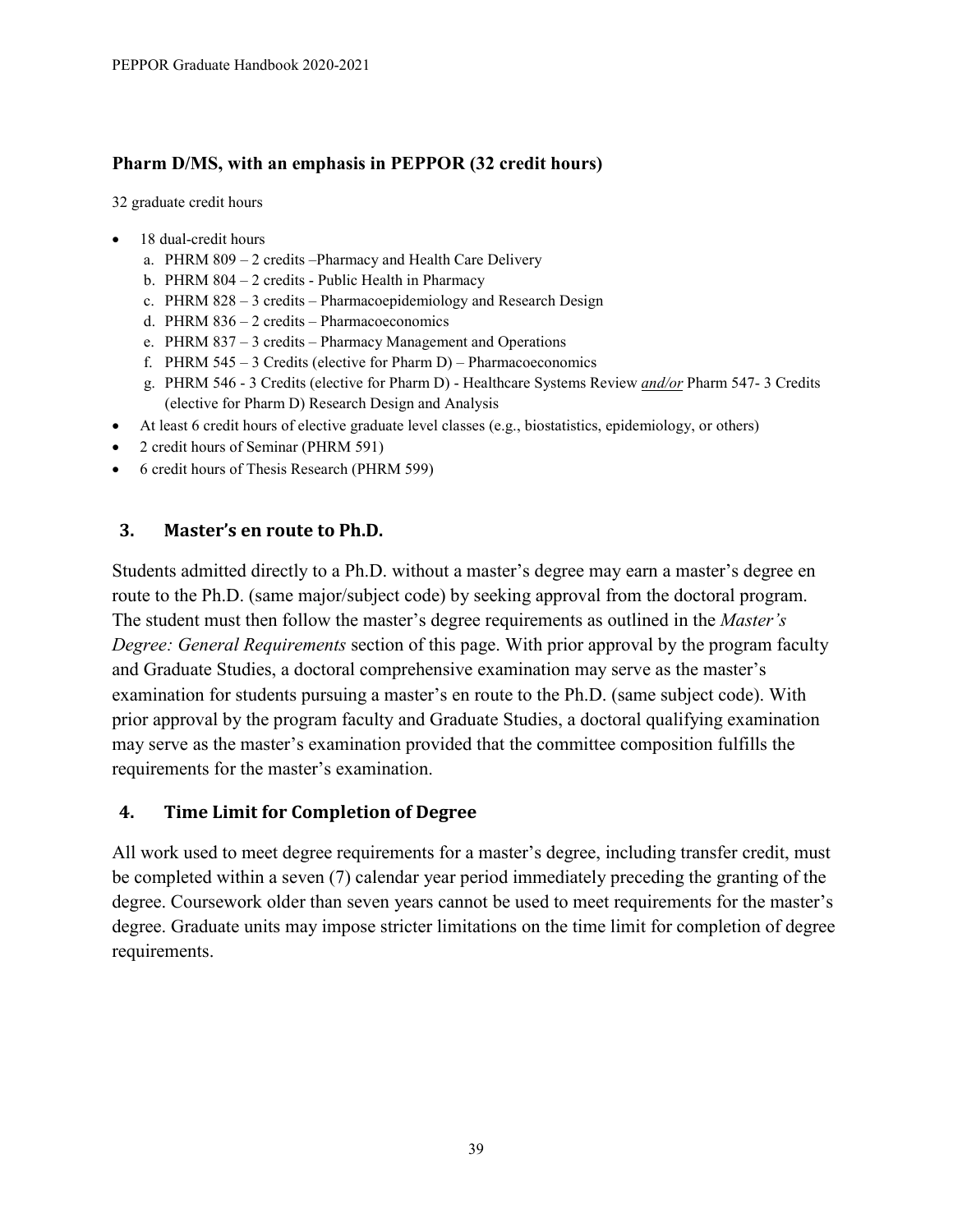#### **Pharm D/MS, with an emphasis in PEPPOR (32 credit hours)**

32 graduate credit hours

- 18 dual-credit hours
	- a. PHRM 809 2 credits –Pharmacy and Health Care Delivery
	- b. PHRM 804 2 credits Public Health in Pharmacy
	- c. PHRM 828 3 credits Pharmacoepidemiology and Research Design
	- d. PHRM 836 2 credits Pharmacoeconomics
	- e. PHRM 837 3 credits Pharmacy Management and Operations
	- f. PHRM  $545 3$  Credits (elective for Pharm D) Pharmacoeconomics
	- g. PHRM 546 3 Credits (elective for Pharm D) Healthcare Systems Review *and/or* Pharm 547- 3 Credits (elective for Pharm D) Research Design and Analysis
- At least 6 credit hours of elective graduate level classes (e.g., biostatistics, epidemiology, or others)
- 2 credit hours of Seminar (PHRM 591)
- 6 credit hours of Thesis Research (PHRM 599)

#### <span id="page-42-0"></span>**3. Master's en route to Ph.D.**

Students admitted directly to a Ph.D. without a master's degree may earn a master's degree en route to the Ph.D. (same major/subject code) by seeking approval from the doctoral program. The student must then follow the master's degree requirements as outlined in the *Master's Degree: General Requirements* section of this page. With prior approval by the program faculty and Graduate Studies, a doctoral comprehensive examination may serve as the master's examination for students pursuing a master's en route to the Ph.D. (same subject code). With prior approval by the program faculty and Graduate Studies, a doctoral qualifying examination may serve as the master's examination provided that the committee composition fulfills the requirements for the master's examination.

#### <span id="page-42-1"></span>**4. Time Limit for Completion of Degree**

All work used to meet degree requirements for a master's degree, including transfer credit, must be completed within a seven (7) calendar year period immediately preceding the granting of the degree. Coursework older than seven years cannot be used to meet requirements for the master's degree. Graduate units may impose stricter limitations on the time limit for completion of degree requirements.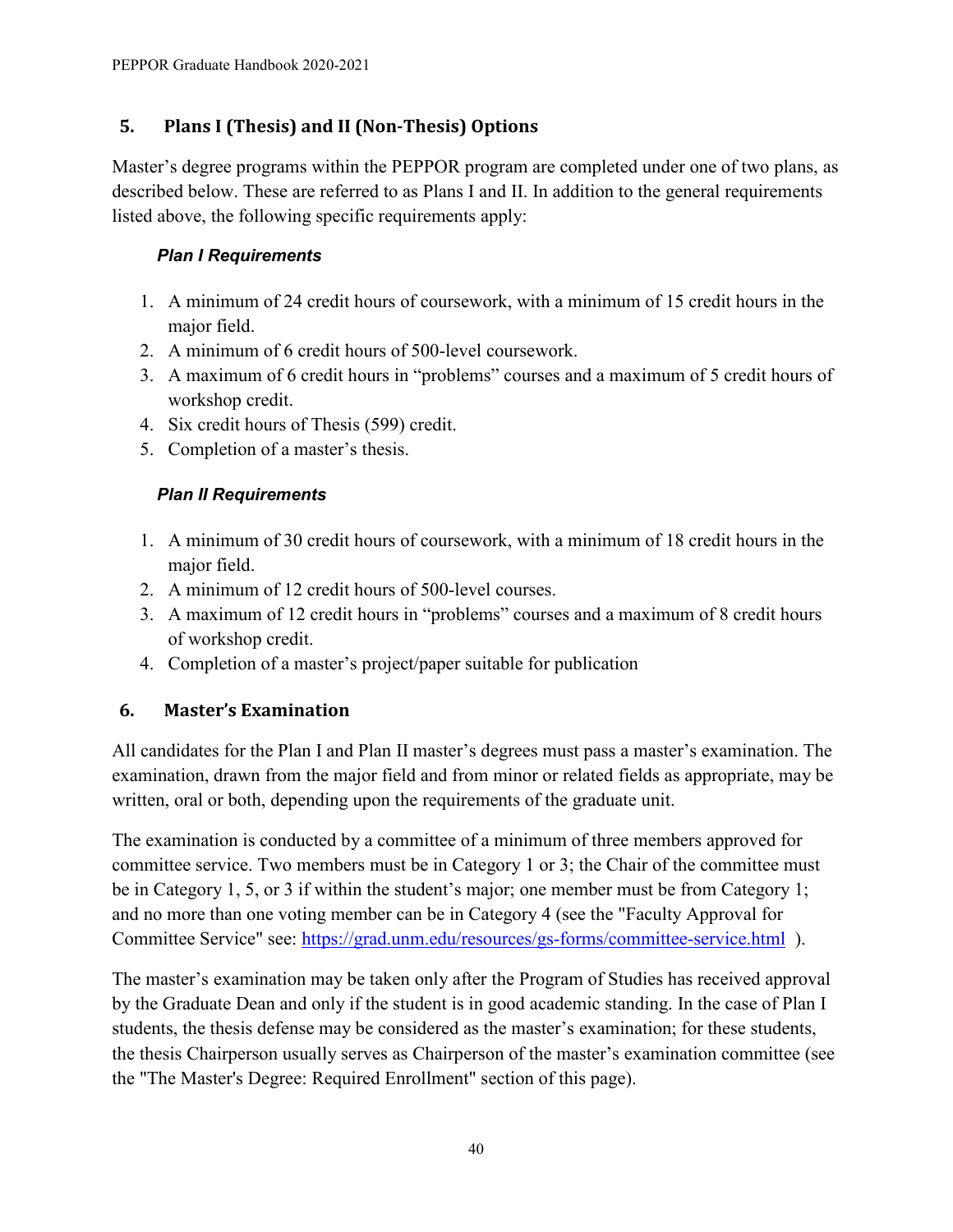# <span id="page-43-0"></span>**5. Plans I (Thesis) and II (Non-Thesis) Options**

Master's degree programs within the PEPPOR program are completed under one of two plans, as described below. These are referred to as Plans I and II. In addition to the general requirements listed above, the following specific requirements apply:

## *Plan I Requirements*

- 1. A minimum of 24 credit hours of coursework, with a minimum of 15 credit hours in the major field.
- 2. A minimum of 6 credit hours of 500-level coursework.
- 3. A maximum of 6 credit hours in "problems" courses and a maximum of 5 credit hours of workshop credit.
- 4. Six credit hours of Thesis (599) credit.
- 5. Completion of a master's thesis.

## *Plan II Requirements*

- 1. A minimum of 30 credit hours of coursework, with a minimum of 18 credit hours in the major field.
- 2. A minimum of 12 credit hours of 500-level courses.
- 3. A maximum of 12 credit hours in "problems" courses and a maximum of 8 credit hours of workshop credit.
- 4. Completion of a master's project/paper suitable for publication

# <span id="page-43-1"></span>**6. Master's Examination**

All candidates for the Plan I and Plan II master's degrees must pass a master's examination. The examination, drawn from the major field and from minor or related fields as appropriate, may be written, oral or both, depending upon the requirements of the graduate unit.

The examination is conducted by a committee of a minimum of three members approved for committee service. Two members must be in Category 1 or 3; the Chair of the committee must be in Category 1, 5, or 3 if within the student's major; one member must be from Category 1; and no more than one voting member can be in Category 4 (see the "Faculty Approval for Committee Service" see:<https://grad.unm.edu/resources/gs-forms/committee-service.html> ).

The master's examination may be taken only after the Program of Studies has received approval by the Graduate Dean and only if the student is in good academic standing. In the case of Plan I students, the thesis defense may be considered as the master's examination; for these students, the thesis Chairperson usually serves as Chairperson of the master's examination committee (see the "The Master's Degree: Required Enrollment" section of this page).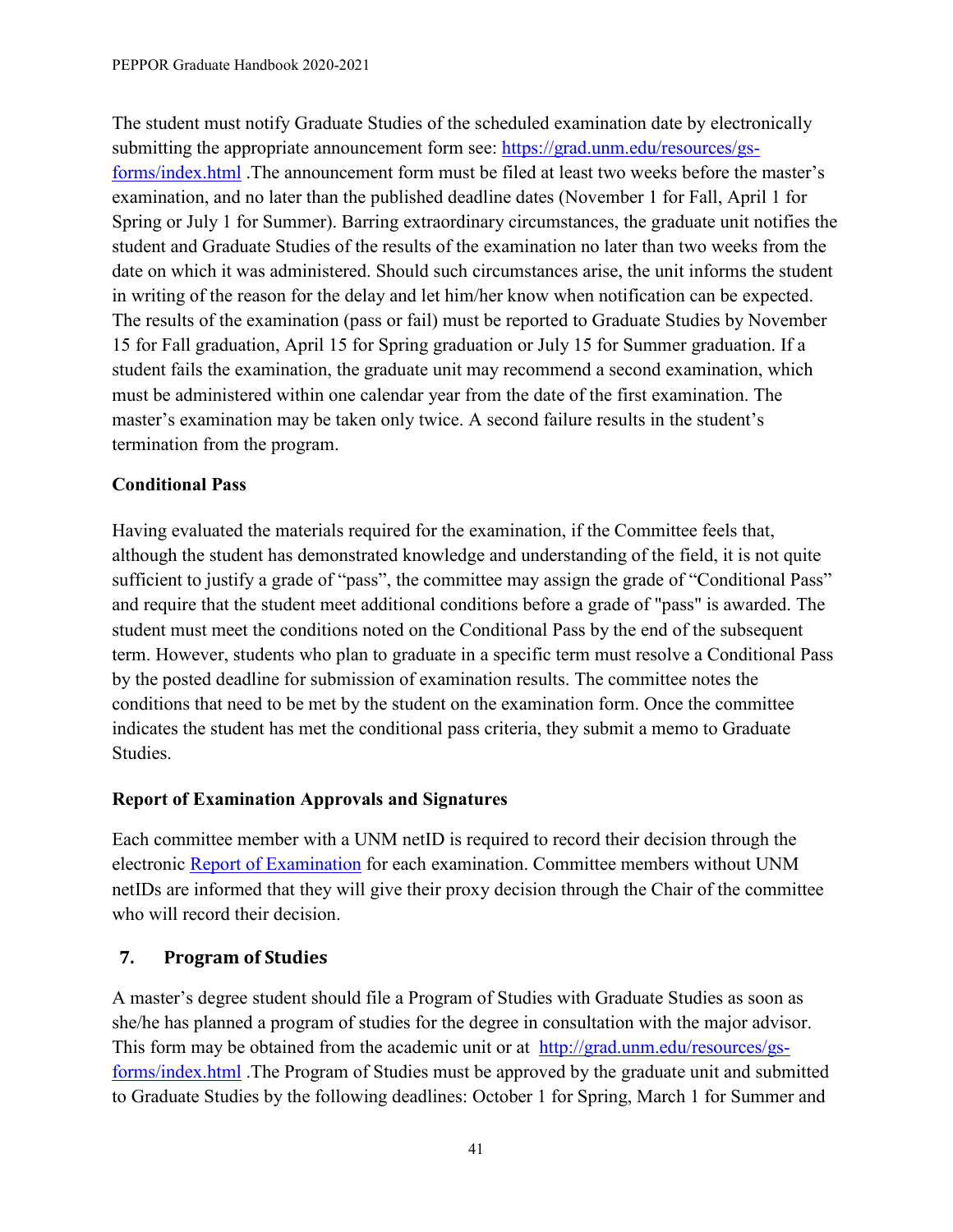The student must notify Graduate Studies of the scheduled examination date by electronically submitting the [appropriate announcement form](http://gradforms.unm.edu/home) see: [https://grad.unm.edu/resources/gs](https://grad.unm.edu/resources/gs-forms/index.html)[forms/index.html](https://grad.unm.edu/resources/gs-forms/index.html) .The announcement form must be filed at least two weeks before the master's examination, and no later than the published deadline dates (November 1 for Fall, April 1 for Spring or July 1 for Summer). Barring extraordinary circumstances, the graduate unit notifies the student and Graduate Studies of the results of the examination no later than two weeks from the date on which it was administered. Should such circumstances arise, the unit informs the student in writing of the reason for the delay and let him/her know when notification can be expected. The results of the examination (pass or fail) must be reported to Graduate Studies by November 15 for Fall graduation, April 15 for Spring graduation or July 15 for Summer graduation. If a student fails the examination, the graduate unit may recommend a second examination, which must be administered within one calendar year from the date of the first examination. The master's examination may be taken only twice. A second failure results in the student's termination from the program.

## **Conditional Pass**

Having evaluated the materials required for the examination, if the Committee feels that, although the student has demonstrated knowledge and understanding of the field, it is not quite sufficient to justify a grade of "pass", the committee may assign the grade of "Conditional Pass" and require that the student meet additional conditions before a grade of "pass" is awarded. The student must meet the conditions noted on the Conditional Pass by the end of the subsequent term. However, students who plan to graduate in a specific term must resolve a Conditional Pass by the posted deadline for submission of examination results. The committee notes the conditions that need to be met by the student on the examination form. Once the committee indicates the student has met the conditional pass criteria, they submit a memo to Graduate Studies.

## **Report of Examination Approvals and Signatures**

Each committee member with a UNM netID is required to record their decision through the electronic [Report of Examination](https://gradforms.unm.edu/home) for each examination. Committee members without UNM netIDs are informed that they will give their proxy decision through the Chair of the committee who will record their decision.

## <span id="page-44-0"></span>**7. Program of Studies**

A master's degree student should file a Program of Studies with Graduate Studies as soon as she/he has planned a program of studies for the degree in consultation with the major advisor. This form may be obtained from the academic unit or at [http://grad.unm.edu/resources/gs](http://grad.unm.edu/resources/gs-forms/index.html)[forms/index.html](http://grad.unm.edu/resources/gs-forms/index.html) .The Program of Studies must be approved by the graduate unit and submitted to Graduate Studies by the following deadlines: October 1 for Spring, March 1 for Summer and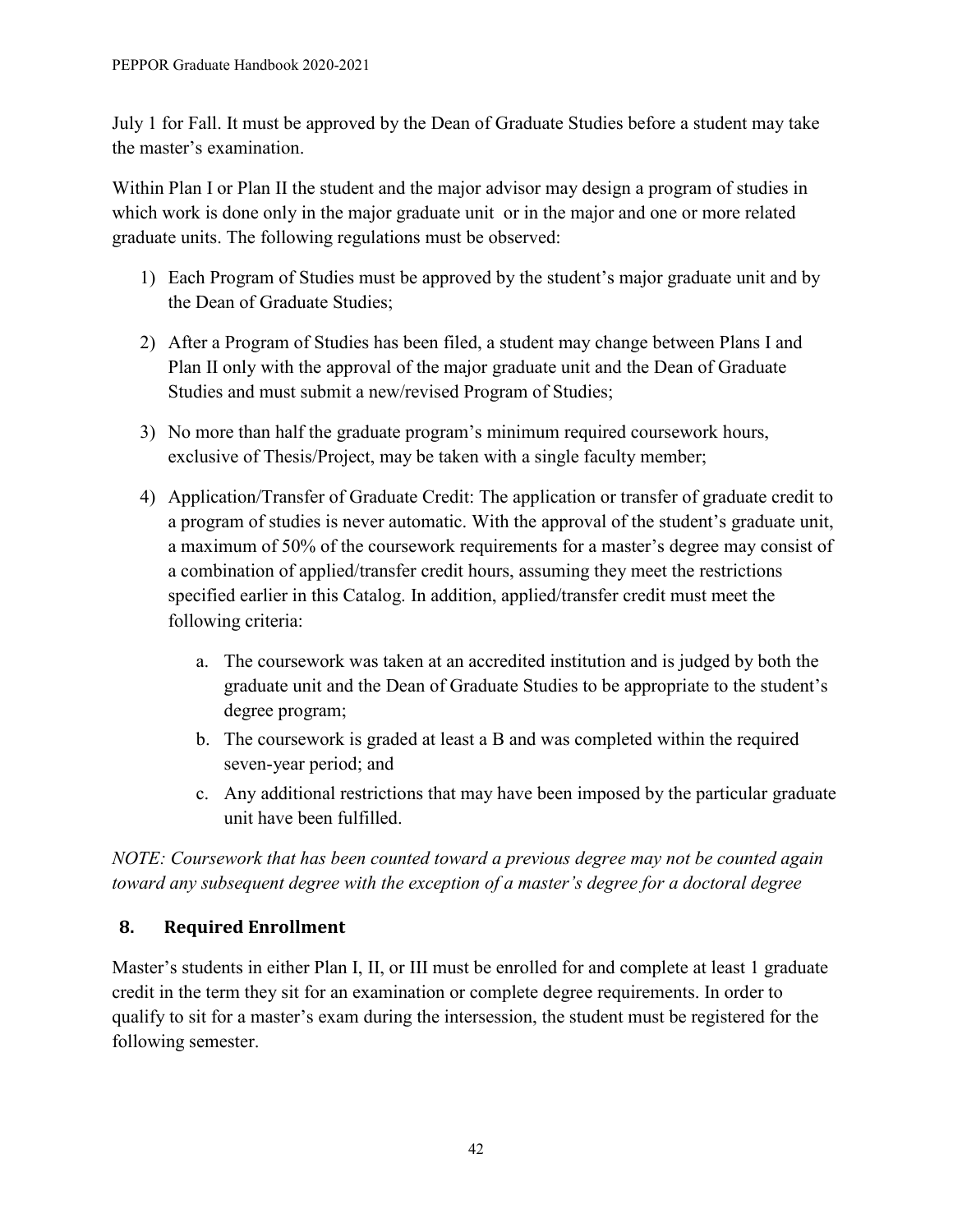July 1 for Fall. It must be approved by the Dean of Graduate Studies before a student may take the master's examination.

Within Plan I or Plan II the student and the major advisor may design a program of studies in which work is done only in the major graduate unit or in the major and one or more related graduate units. The following regulations must be observed:

- 1) Each Program of Studies must be approved by the student's major graduate unit and by the Dean of Graduate Studies;
- 2) After a Program of Studies has been filed, a student may change between Plans I and Plan II only with the approval of the major graduate unit and the Dean of Graduate Studies and must submit a new/revised Program of Studies;
- 3) No more than half the graduate program's minimum required coursework hours, exclusive of Thesis/Project, may be taken with a single faculty member;
- 4) Application/Transfer of Graduate Credit: The application or transfer of graduate credit to a program of studies is never automatic. With the approval of the student's graduate unit, a maximum of 50% of the coursework requirements for a master's degree may consist of a combination of applied/transfer credit hours, assuming they meet the restrictions specified earlier in this Catalog. In addition, applied/transfer credit must meet the following criteria:
	- a. The coursework was taken at an accredited institution and is judged by both the graduate unit and the Dean of Graduate Studies to be appropriate to the student's degree program;
	- b. The coursework is graded at least a B and was completed within the required seven-year period; and
	- c. Any additional restrictions that may have been imposed by the particular graduate unit have been fulfilled.

*NOTE: Coursework that has been counted toward a previous degree may not be counted again toward any subsequent degree with the exception of a master's degree for a doctoral degree*

# <span id="page-45-0"></span>**8. Required Enrollment**

Master's students in either Plan I, II, or III must be enrolled for and complete at least 1 graduate credit in the term they sit for an examination or complete degree requirements. In order to qualify to sit for a master's exam during the intersession, the student must be registered for the following semester.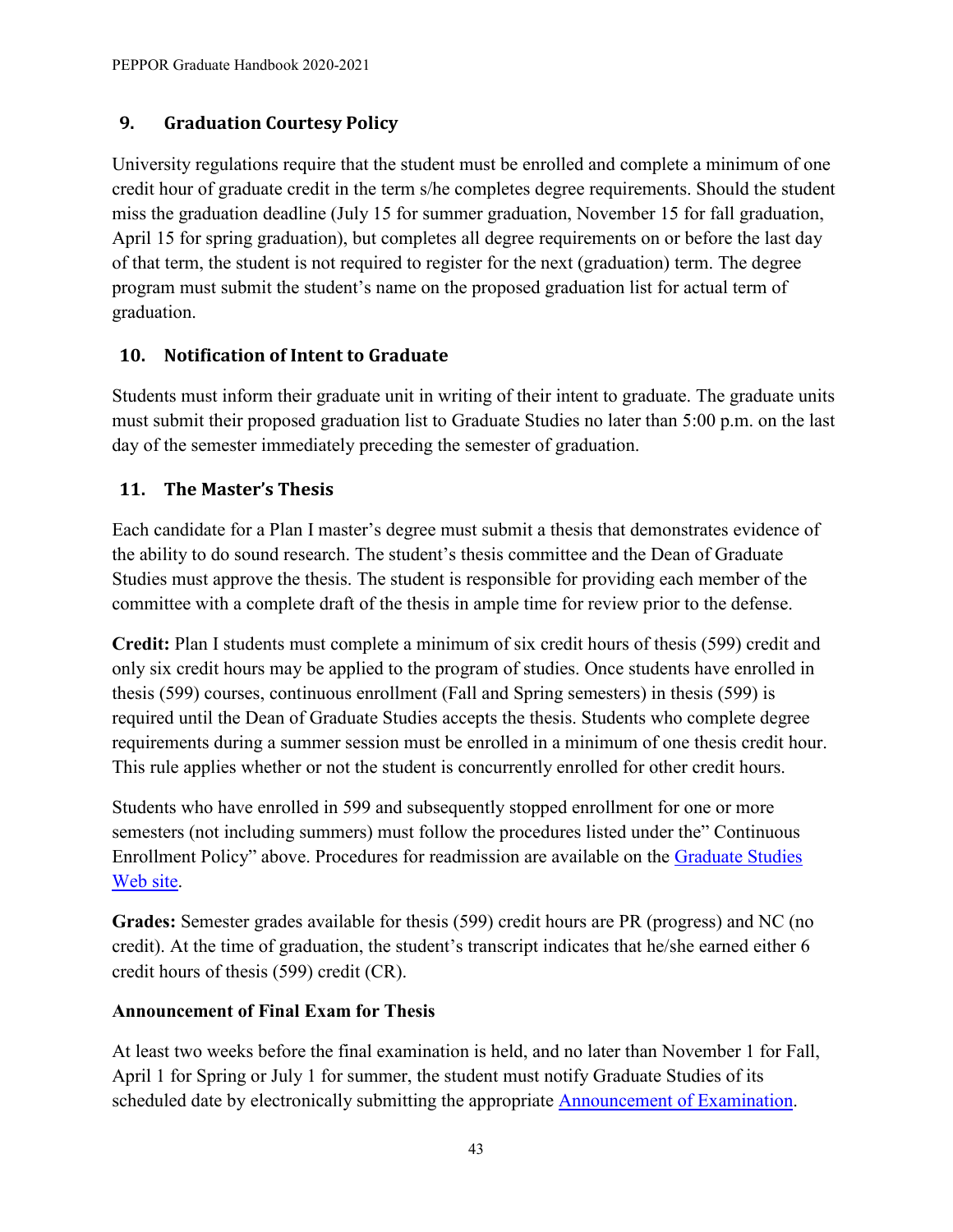# <span id="page-46-0"></span>**9. Graduation Courtesy Policy**

University regulations require that the student must be enrolled and complete a minimum of one credit hour of graduate credit in the term s/he completes degree requirements. Should the student miss the graduation deadline (July 15 for summer graduation, November 15 for fall graduation, April 15 for spring graduation), but completes all degree requirements on or before the last day of that term, the student is not required to register for the next (graduation) term. The degree program must submit the student's name on the proposed graduation list for actual term of graduation.

# <span id="page-46-1"></span>**10. Notification of Intent to Graduate**

Students must inform their graduate unit in writing of their intent to graduate. The graduate units must submit their proposed graduation list to Graduate Studies no later than 5:00 p.m. on the last day of the semester immediately preceding the semester of graduation.

# <span id="page-46-2"></span>**11. The Master's Thesis**

Each candidate for a Plan I master's degree must submit a thesis that demonstrates evidence of the ability to do sound research. The student's thesis committee and the Dean of Graduate Studies must approve the thesis. The student is responsible for providing each member of the committee with a complete draft of the thesis in ample time for review prior to the defense.

**Credit:** Plan I students must complete a minimum of six credit hours of thesis (599) credit and only six credit hours may be applied to the program of studies. Once students have enrolled in thesis (599) courses, continuous enrollment (Fall and Spring semesters) in thesis (599) is required until the Dean of Graduate Studies accepts the thesis. Students who complete degree requirements during a summer session must be enrolled in a minimum of one thesis credit hour. This rule applies whether or not the student is concurrently enrolled for other credit hours.

Students who have enrolled in 599 and subsequently stopped enrollment for one or more semesters (not including summers) must follow the procedures listed under the" Continuous Enrollment Policy" above. Procedures for readmission are available on the [Graduate Studies](http://grad.unm.edu/prospective-students/apply-now.html)  [Web site.](http://grad.unm.edu/prospective-students/apply-now.html)

**Grades:** Semester grades available for thesis (599) credit hours are PR (progress) and NC (no credit). At the time of graduation, the student's transcript indicates that he/she earned either 6 credit hours of thesis (599) credit (CR).

## **Announcement of Final Exam for Thesis**

At least two weeks before the final examination is held, and no later than November 1 for Fall, April 1 for Spring or July 1 for summer, the student must notify Graduate Studies of its scheduled date by electronically submitting the appropriate [Announcement of Examination.](http://gradforms.unm.edu/home)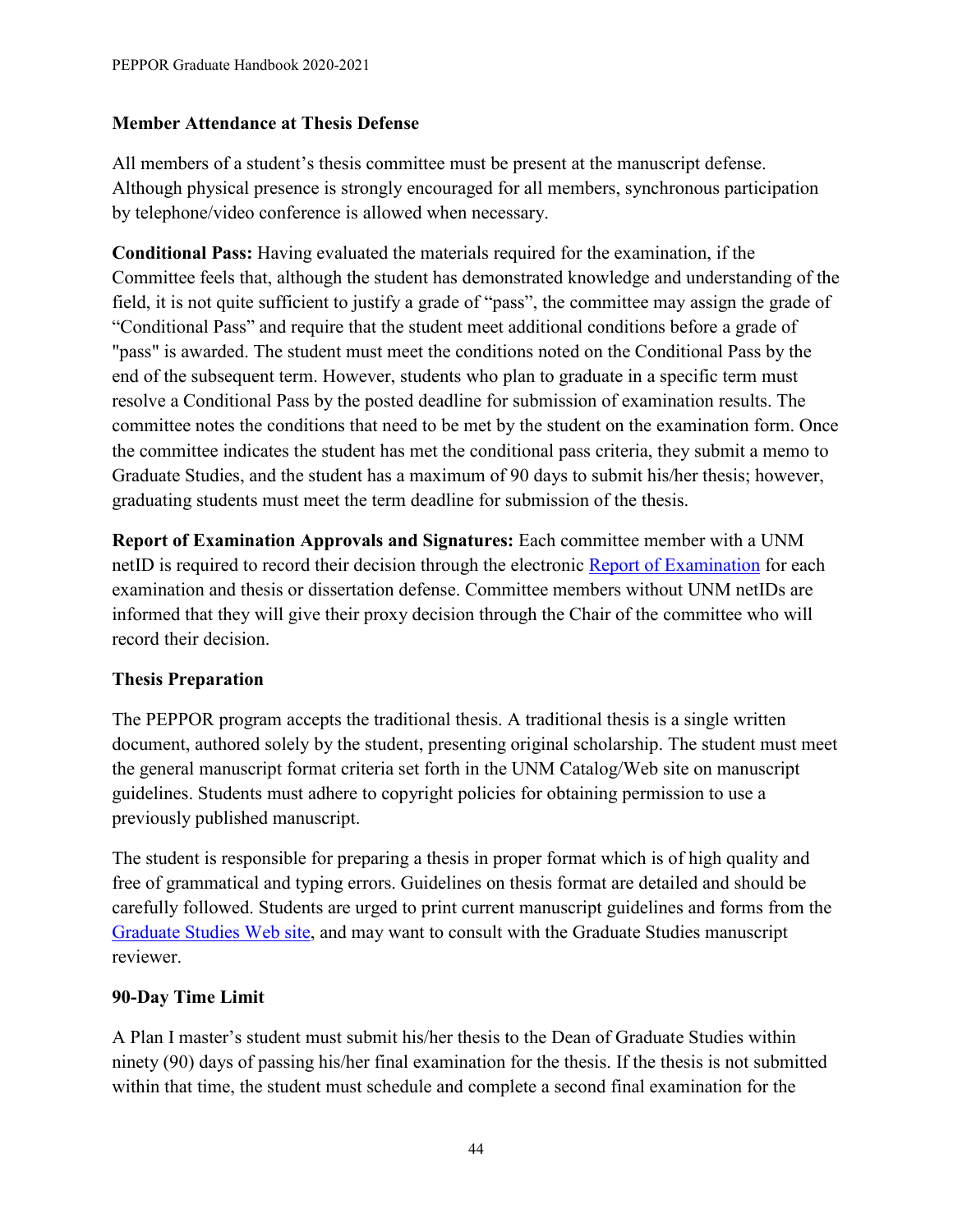#### **Member Attendance at Thesis Defense**

All members of a student's thesis committee must be present at the manuscript defense. Although physical presence is strongly encouraged for all members, synchronous participation by telephone/video conference is allowed when necessary.

**Conditional Pass:** Having evaluated the materials required for the examination, if the Committee feels that, although the student has demonstrated knowledge and understanding of the field, it is not quite sufficient to justify a grade of "pass", the committee may assign the grade of "Conditional Pass" and require that the student meet additional conditions before a grade of "pass" is awarded. The student must meet the conditions noted on the Conditional Pass by the end of the subsequent term. However, students who plan to graduate in a specific term must resolve a Conditional Pass by the posted deadline for submission of examination results. The committee notes the conditions that need to be met by the student on the examination form. Once the committee indicates the student has met the conditional pass criteria, they submit a memo to Graduate Studies, and the student has a maximum of 90 days to submit his/her thesis; however, graduating students must meet the term deadline for submission of the thesis.

**Report of Examination Approvals and Signatures:** Each committee member with a UNM netID is required to record their decision through the electronic [Report of Examination](https://gradforms.unm.edu/home) for each examination and thesis or dissertation defense. Committee members without UNM netIDs are informed that they will give their proxy decision through the Chair of the committee who will record their decision.

#### **Thesis Preparation**

The PEPPOR program accepts the traditional thesis. A traditional thesis is a single written document, authored solely by the student, presenting original scholarship. The student must meet the general manuscript format criteria set forth in the UNM Catalog/Web site on manuscript guidelines. Students must adhere to copyright policies for obtaining permission to use a previously published manuscript.

The student is responsible for preparing a thesis in proper format which is of high quality and free of grammatical and typing errors. Guidelines on thesis format are detailed and should be carefully followed. Students are urged to print current manuscript guidelines and forms from the [Graduate Studies Web site,](http://grad.unm.edu/resources/gs-forms/index.html) and may want to consult with the Graduate Studies manuscript reviewer.

#### **90-Day Time Limit**

A Plan I master's student must submit his/her thesis to the Dean of Graduate Studies within ninety (90) days of passing his/her final examination for the thesis. If the thesis is not submitted within that time, the student must schedule and complete a second final examination for the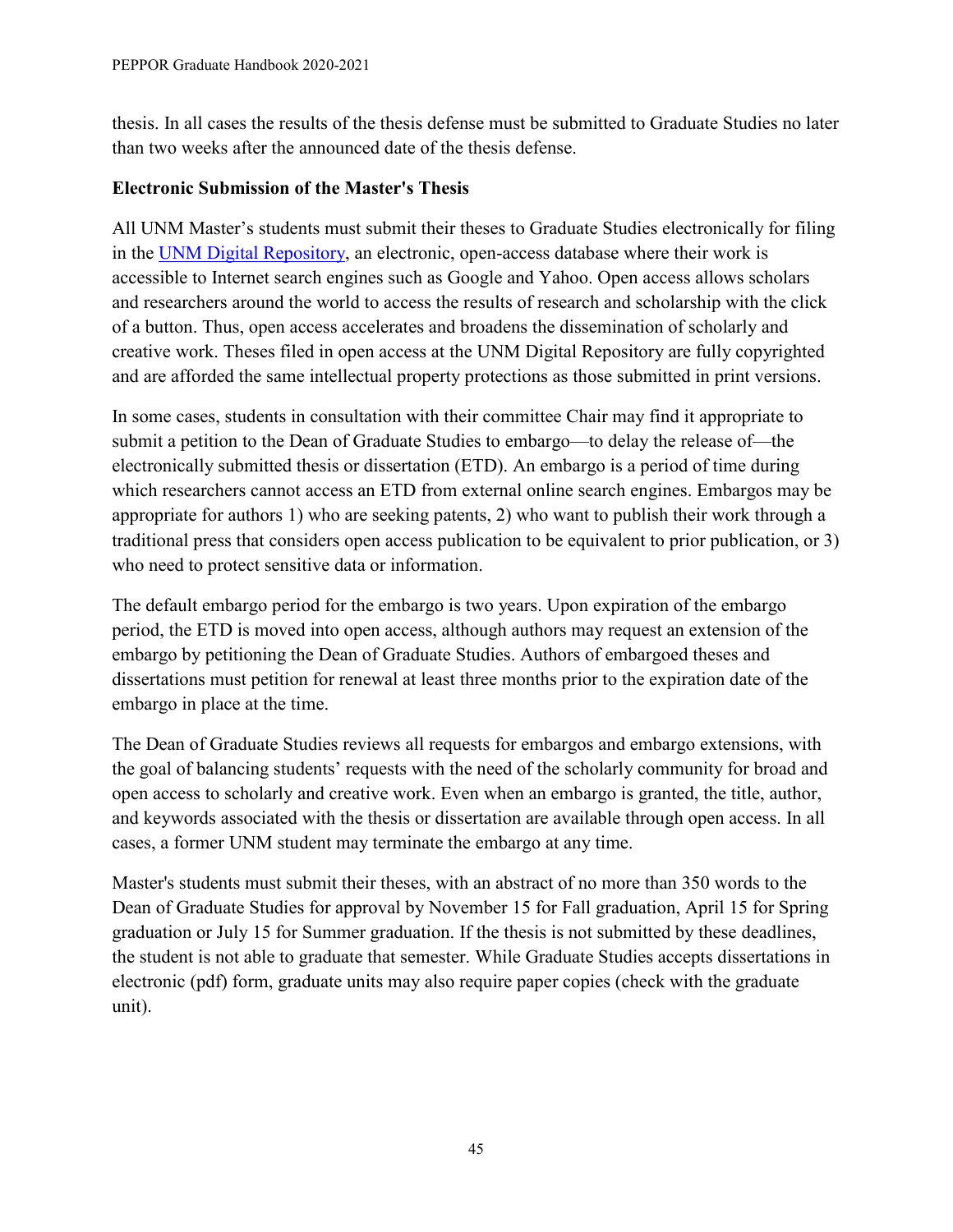thesis. In all cases the results of the thesis defense must be submitted to Graduate Studies no later than two weeks after the announced date of the thesis defense.

#### **Electronic Submission of the Master's Thesis**

All UNM Master's students must submit their theses to Graduate Studies electronically for filing in the [UNM Digital Repository,](https://digitalrepository.unm.edu/) an electronic, open-access database where their work is accessible to Internet search engines such as Google and Yahoo. Open access allows scholars and researchers around the world to access the results of research and scholarship with the click of a button. Thus, open access accelerates and broadens the dissemination of scholarly and creative work. Theses filed in open access at the UNM Digital Repository are fully copyrighted and are afforded the same intellectual property protections as those submitted in print versions.

In some cases, students in consultation with their committee Chair may find it appropriate to submit a petition to the Dean of Graduate Studies to embargo—to delay the release of—the electronically submitted thesis or dissertation (ETD). An embargo is a period of time during which researchers cannot access an ETD from external online search engines. Embargos may be appropriate for authors 1) who are seeking patents, 2) who want to publish their work through a traditional press that considers open access publication to be equivalent to prior publication, or 3) who need to protect sensitive data or information.

The default embargo period for the embargo is two years. Upon expiration of the embargo period, the ETD is moved into open access, although authors may request an extension of the embargo by petitioning the Dean of Graduate Studies. Authors of embargoed theses and dissertations must petition for renewal at least three months prior to the expiration date of the embargo in place at the time.

The Dean of Graduate Studies reviews all requests for embargos and embargo extensions, with the goal of balancing students' requests with the need of the scholarly community for broad and open access to scholarly and creative work. Even when an embargo is granted, the title, author, and keywords associated with the thesis or dissertation are available through open access. In all cases, a former UNM student may terminate the embargo at any time.

Master's students must submit their theses, with an abstract of no more than 350 words to the Dean of Graduate Studies for approval by November 15 for Fall graduation, April 15 for Spring graduation or July 15 for Summer graduation. If the thesis is not submitted by these deadlines, the student is not able to graduate that semester. While Graduate Studies accepts dissertations in electronic (pdf) form, graduate units may also require paper copies (check with the graduate unit).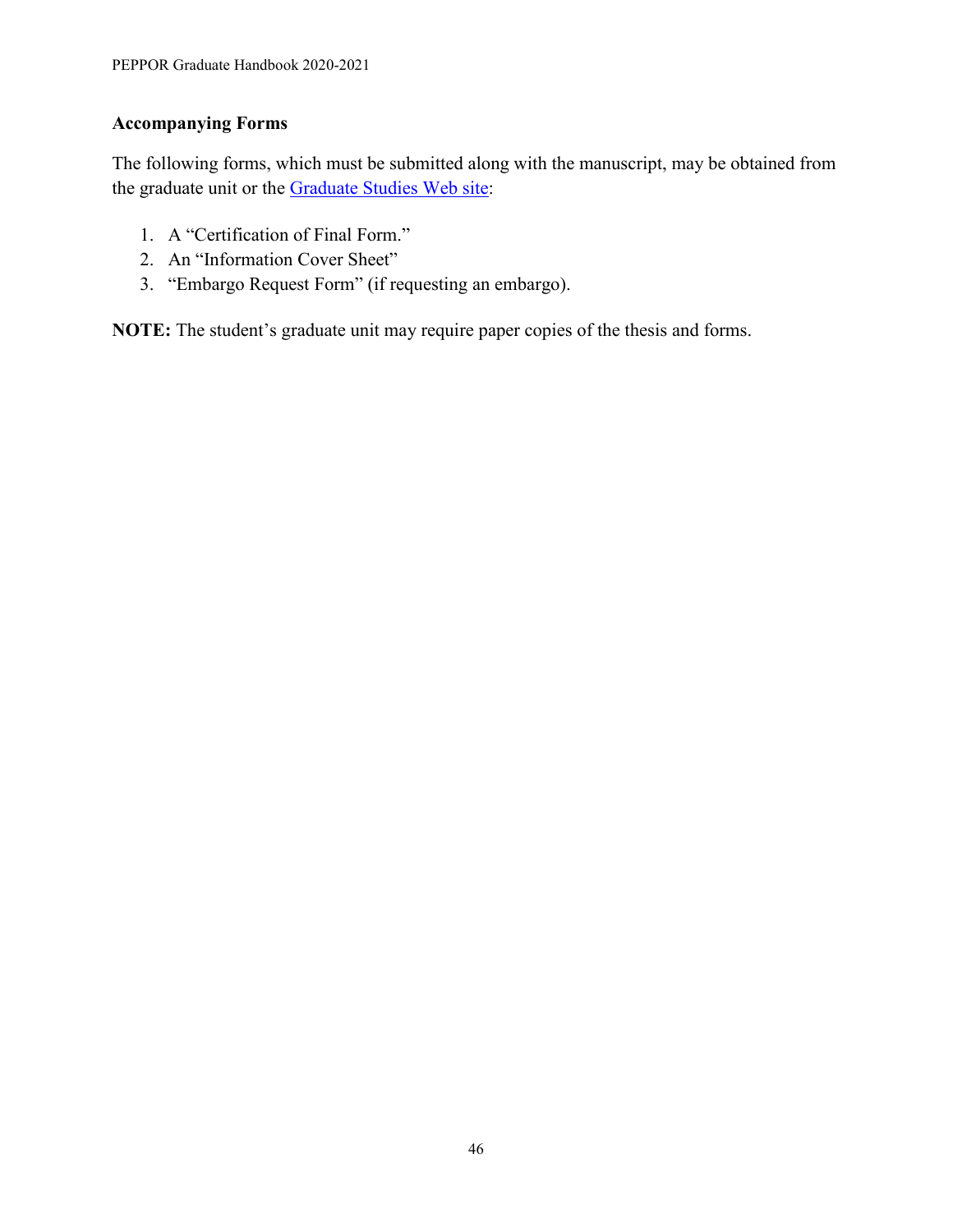## **Accompanying Forms**

The following forms, which must be submitted along with the manuscript, may be obtained from the graduate unit or the [Graduate Studies Web site:](http://grad.unm.edu/resources/gs-forms/index.html)

- 1. A "Certification of Final Form."
- 2. An "Information Cover Sheet"
- 3. "Embargo Request Form" (if requesting an embargo).

**NOTE:** The student's graduate unit may require paper copies of the thesis and forms.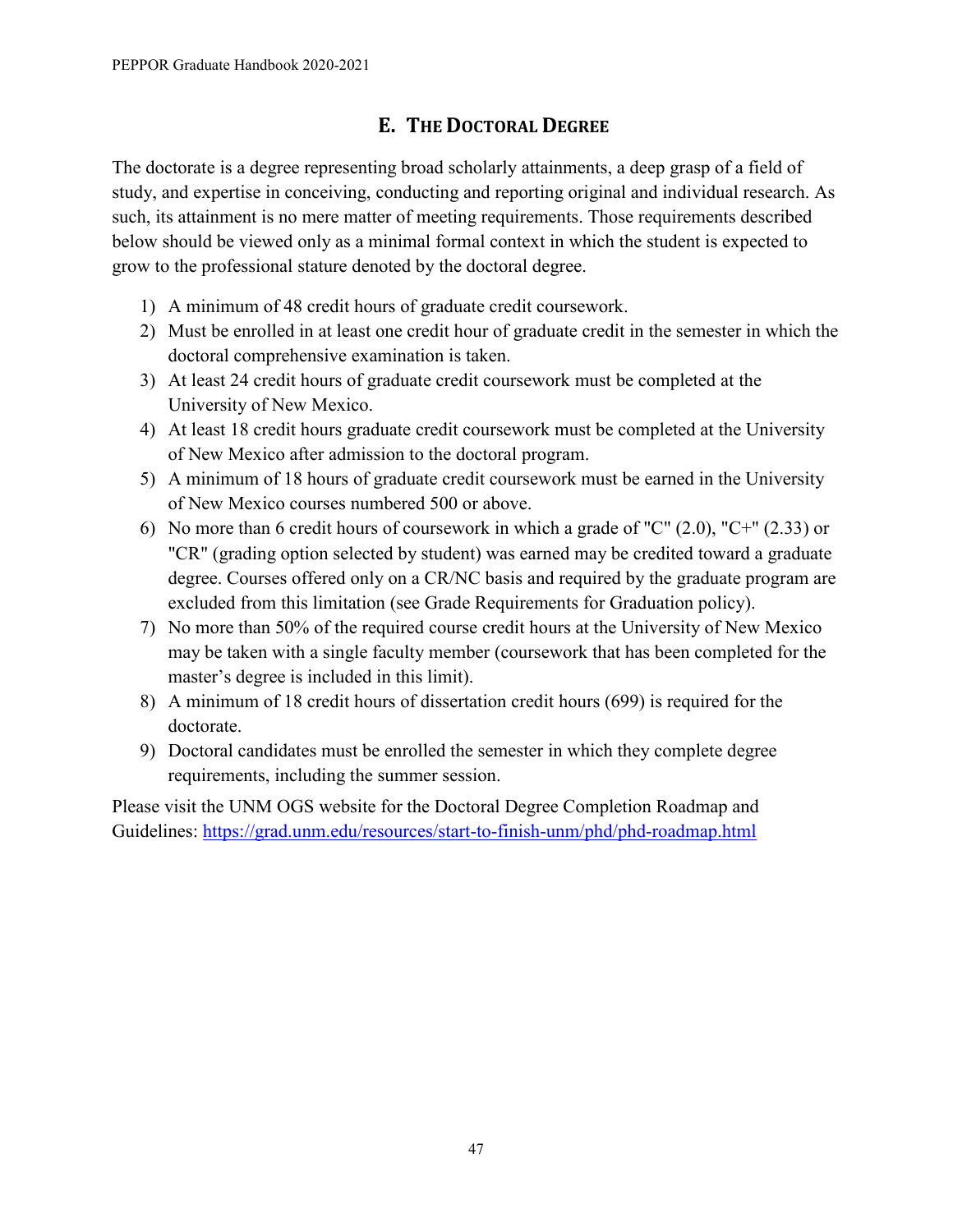# **E. THE DOCTORAL DEGREE**

<span id="page-50-0"></span>The doctorate is a degree representing broad scholarly attainments, a deep grasp of a field of study, and expertise in conceiving, conducting and reporting original and individual research. As such, its attainment is no mere matter of meeting requirements. Those requirements described below should be viewed only as a minimal formal context in which the student is expected to grow to the professional stature denoted by the doctoral degree.

- 1) A minimum of 48 credit hours of graduate credit coursework.
- 2) Must be enrolled in at least one credit hour of graduate credit in the semester in which the doctoral comprehensive examination is taken.
- 3) At least 24 credit hours of graduate credit coursework must be completed at the University of New Mexico.
- 4) At least 18 credit hours graduate credit coursework must be completed at the University of New Mexico after admission to the doctoral program.
- 5) A minimum of 18 hours of graduate credit coursework must be earned in the University of New Mexico courses numbered 500 or above.
- 6) No more than 6 credit hours of coursework in which a grade of "C" (2.0), "C+" (2.33) or "CR" (grading option selected by student) was earned may be credited toward a graduate degree. Courses offered only on a CR/NC basis and required by the graduate program are excluded from this limitation (see Grade Requirements for Graduation policy).
- 7) No more than 50% of the required course credit hours at the University of New Mexico may be taken with a single faculty member (coursework that has been completed for the master's degree is included in this limit).
- 8) A minimum of 18 credit hours of dissertation credit hours (699) is required for the doctorate.
- 9) Doctoral candidates must be enrolled the semester in which they complete degree requirements, including the summer session.

Please visit the UNM OGS website for the Doctoral Degree Completion Roadmap and Guidelines:<https://grad.unm.edu/resources/start-to-finish-unm/phd/phd-roadmap.html>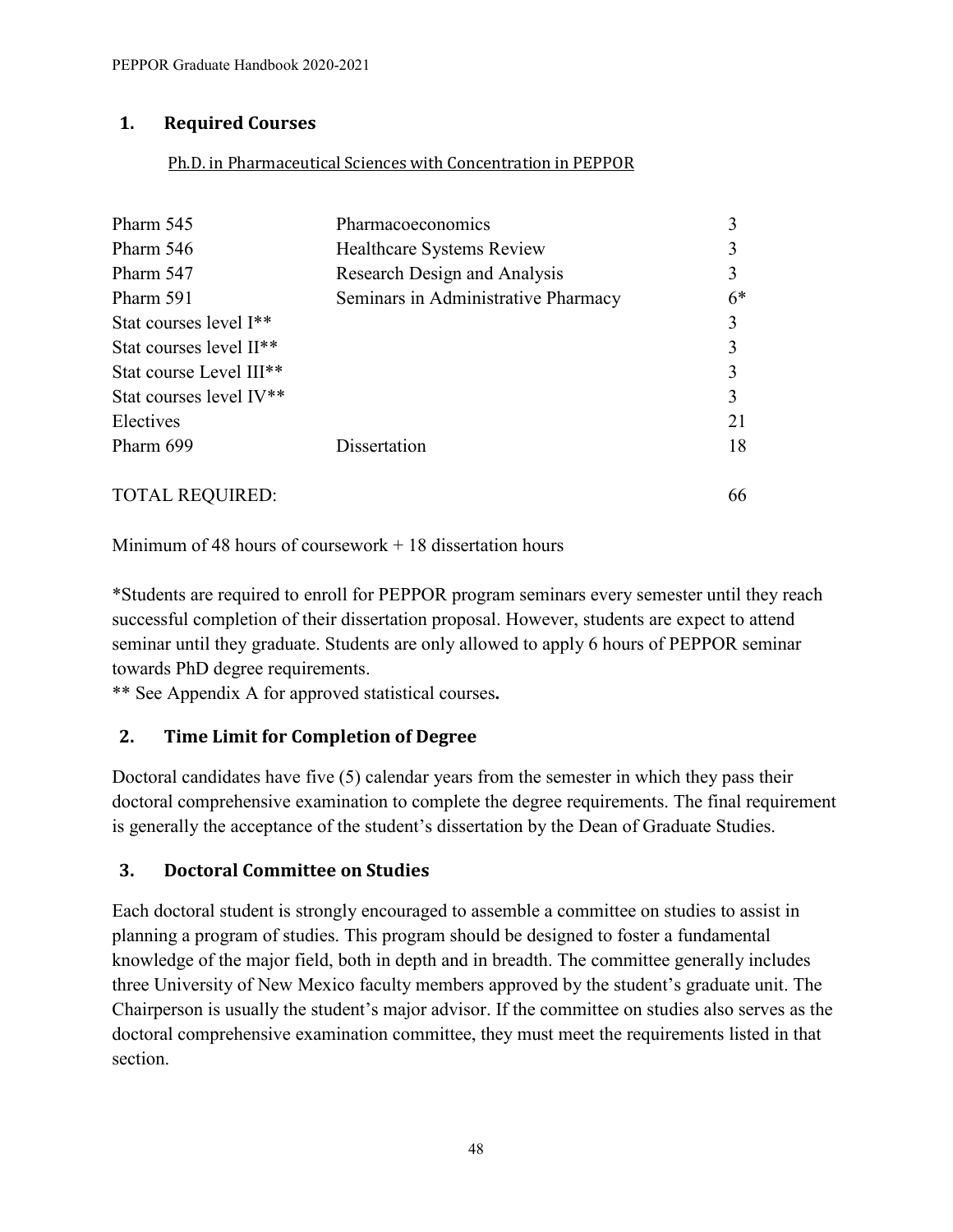## <span id="page-51-0"></span>**1. Required Courses**

#### Ph.D. in Pharmaceutical Sciences with Concentration in PEPPOR

| Pharm 545                           | Pharmacoeconomics                   |      |
|-------------------------------------|-------------------------------------|------|
| Pharm 546                           | Healthcare Systems Review           |      |
| Pharm 547                           | Research Design and Analysis        |      |
| Pharm 591                           | Seminars in Administrative Pharmacy | $6*$ |
| Stat courses level I <sup>**</sup>  |                                     |      |
| Stat courses level II <sup>**</sup> |                                     |      |
| Stat course Level III <sup>**</sup> |                                     |      |
| Stat courses level IV <sup>**</sup> |                                     |      |
| Electives                           |                                     | 21   |
| Pharm 699                           | Dissertation                        | 18   |
| <b>TOTAL REQUIRED:</b>              |                                     | 66   |

Minimum of 48 hours of coursework  $+18$  dissertation hours

\*Students are required to enroll for PEPPOR program seminars every semester until they reach successful completion of their dissertation proposal. However, students are expect to attend seminar until they graduate. Students are only allowed to apply 6 hours of PEPPOR seminar towards PhD degree requirements.

\*\* See Appendix A for approved statistical courses**.** 

# <span id="page-51-1"></span>**2. Time Limit for Completion of Degree**

Doctoral candidates have five (5) calendar years from the semester in which they pass their doctoral comprehensive examination to complete the degree requirements. The final requirement is generally the acceptance of the student's dissertation by the Dean of Graduate Studies.

## <span id="page-51-2"></span>**3. Doctoral Committee on Studies**

Each doctoral student is strongly encouraged to assemble a committee on studies to assist in planning a program of studies. This program should be designed to foster a fundamental knowledge of the major field, both in depth and in breadth. The committee generally includes three University of New Mexico faculty members approved by the student's graduate unit. The Chairperson is usually the student's major advisor. If the committee on studies also serves as the doctoral comprehensive examination committee, they must meet the requirements listed in that section.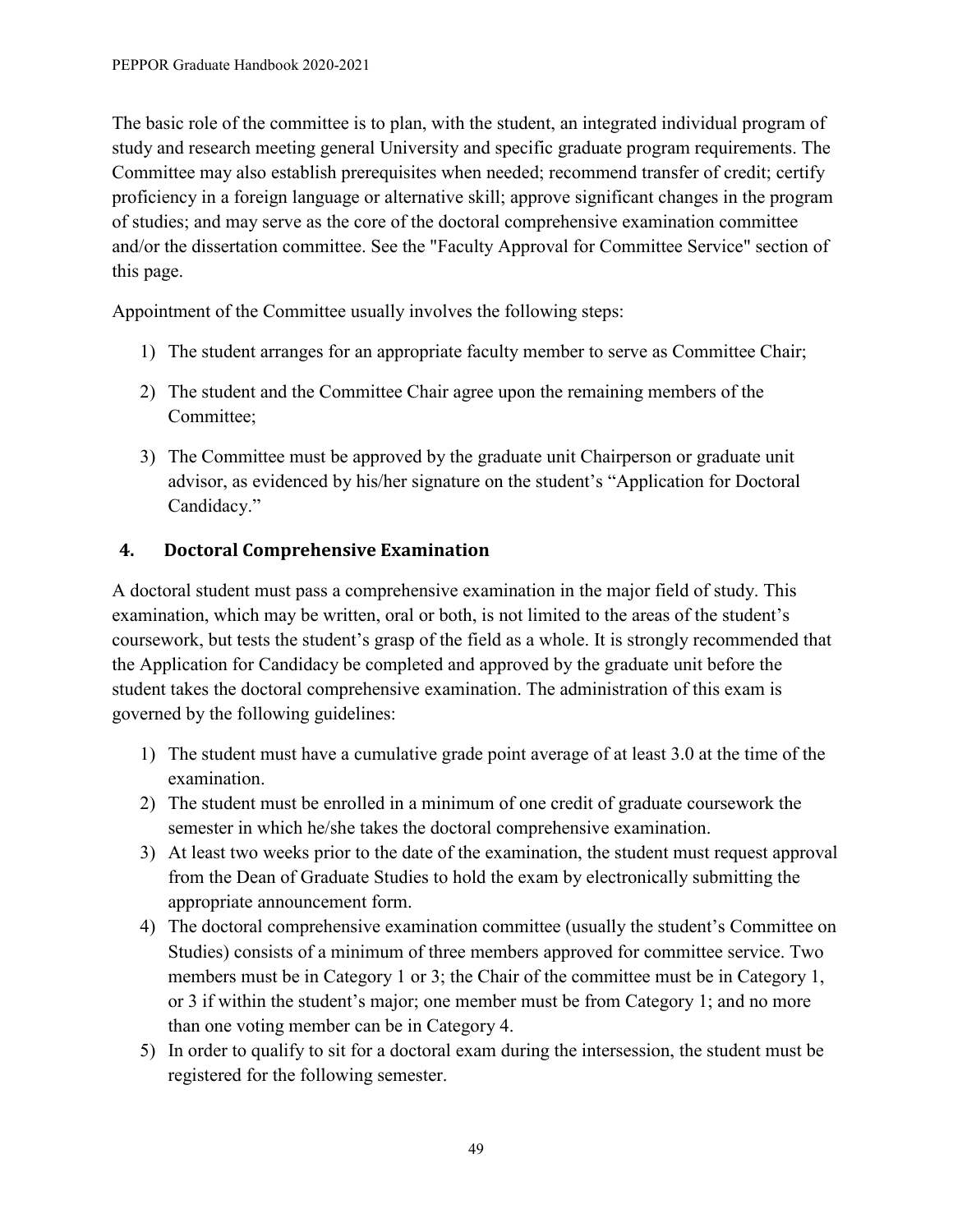The basic role of the committee is to plan, with the student, an integrated individual program of study and research meeting general University and specific graduate program requirements. The Committee may also establish prerequisites when needed; recommend transfer of credit; certify proficiency in a foreign language or alternative skill; approve significant changes in the program of studies; and may serve as the core of the doctoral comprehensive examination committee and/or the dissertation committee. See the "Faculty Approval for Committee Service" section of this page.

Appointment of the Committee usually involves the following steps:

- 1) The student arranges for an appropriate faculty member to serve as Committee Chair;
- 2) The student and the Committee Chair agree upon the remaining members of the Committee;
- 3) The Committee must be approved by the graduate unit Chairperson or graduate unit advisor, as evidenced by his/her signature on the student's "Application for Doctoral Candidacy."

## <span id="page-52-0"></span>**4. Doctoral Comprehensive Examination**

A doctoral student must pass a comprehensive examination in the major field of study. This examination, which may be written, oral or both, is not limited to the areas of the student's coursework, but tests the student's grasp of the field as a whole. It is strongly recommended that the Application for Candidacy be completed and approved by the graduate unit before the student takes the doctoral comprehensive examination. The administration of this exam is governed by the following guidelines:

- 1) The student must have a cumulative grade point average of at least 3.0 at the time of the examination.
- 2) The student must be enrolled in a minimum of one credit of graduate coursework the semester in which he/she takes the doctoral comprehensive examination.
- 3) At least two weeks prior to the date of the examination, the student must request approval from the Dean of Graduate Studies to hold the exam by electronically submitting the appropriate announcement form.
- 4) The doctoral comprehensive examination committee (usually the student's Committee on Studies) consists of a minimum of three members approved for committee service. Two members must be in Category 1 or 3; the Chair of the committee must be in Category 1, or 3 if within the student's major; one member must be from Category 1; and no more than one voting member can be in Category 4.
- 5) In order to qualify to sit for a doctoral exam during the intersession, the student must be registered for the following semester.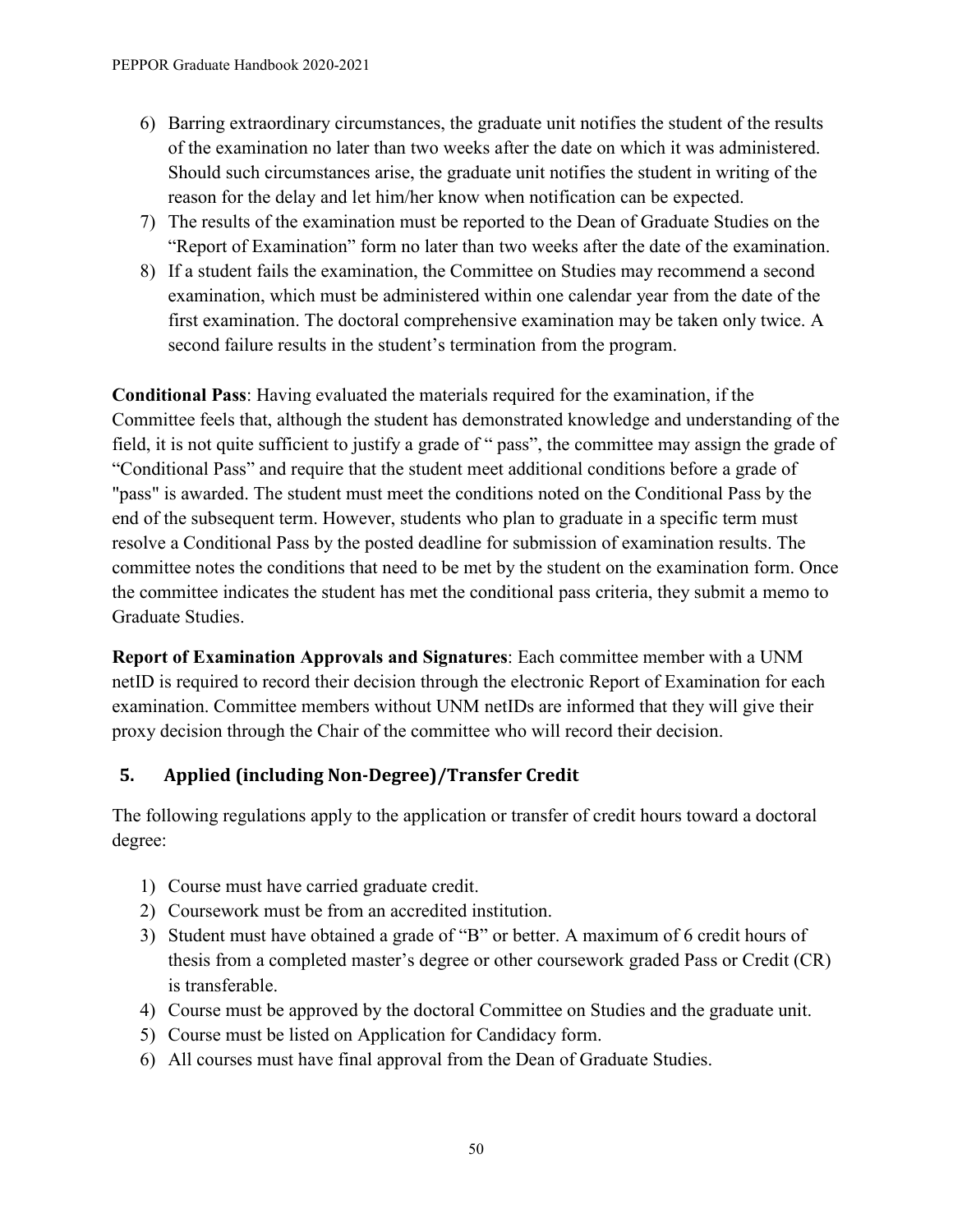- 6) Barring extraordinary circumstances, the graduate unit notifies the student of the results of the examination no later than two weeks after the date on which it was administered. Should such circumstances arise, the graduate unit notifies the student in writing of the reason for the delay and let him/her know when notification can be expected.
- 7) The results of the examination must be reported to the Dean of Graduate Studies on the "Report of Examination" form no later than two weeks after the date of the examination.
- 8) If a student fails the examination, the Committee on Studies may recommend a second examination, which must be administered within one calendar year from the date of the first examination. The doctoral comprehensive examination may be taken only twice. A second failure results in the student's termination from the program.

**Conditional Pass**: Having evaluated the materials required for the examination, if the Committee feels that, although the student has demonstrated knowledge and understanding of the field, it is not quite sufficient to justify a grade of " pass", the committee may assign the grade of "Conditional Pass" and require that the student meet additional conditions before a grade of "pass" is awarded. The student must meet the conditions noted on the Conditional Pass by the end of the subsequent term. However, students who plan to graduate in a specific term must resolve a Conditional Pass by the posted deadline for submission of examination results. The committee notes the conditions that need to be met by the student on the examination form. Once the committee indicates the student has met the conditional pass criteria, they submit a memo to Graduate Studies.

**Report of Examination Approvals and Signatures**: Each committee member with a UNM netID is required to record their decision through the electronic Report of Examination for each examination. Committee members without UNM netIDs are informed that they will give their proxy decision through the Chair of the committee who will record their decision.

# <span id="page-53-0"></span>**5. Applied (including Non-Degree)/Transfer Credit**

The following regulations apply to the application or transfer of credit hours toward a doctoral degree:

- 1) Course must have carried graduate credit.
- 2) Coursework must be from an accredited institution.
- 3) Student must have obtained a grade of "B" or better. A maximum of 6 credit hours of thesis from a completed master's degree or other coursework graded Pass or Credit (CR) is transferable.
- 4) Course must be approved by the doctoral Committee on Studies and the graduate unit.
- 5) Course must be listed on Application for Candidacy form.
- 6) All courses must have final approval from the Dean of Graduate Studies.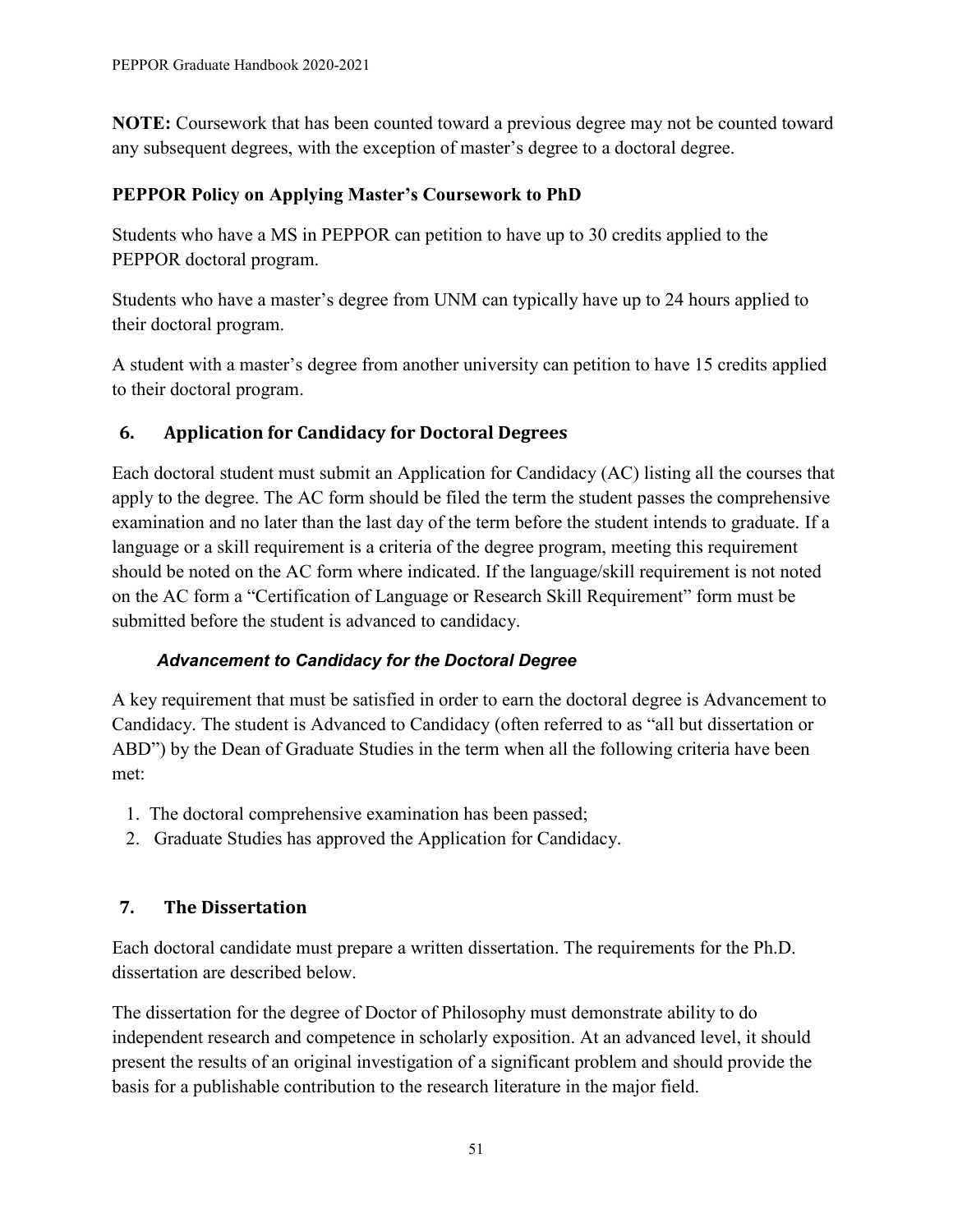**NOTE:** Coursework that has been counted toward a previous degree may not be counted toward any subsequent degrees, with the exception of master's degree to a doctoral degree.

# **PEPPOR Policy on Applying Master's Coursework to PhD**

Students who have a MS in PEPPOR can petition to have up to 30 credits applied to the PEPPOR doctoral program.

Students who have a master's degree from UNM can typically have up to 24 hours applied to their doctoral program.

A student with a master's degree from another university can petition to have 15 credits applied to their doctoral program.

# <span id="page-54-0"></span>**6. Application for Candidacy for Doctoral Degrees**

Each doctoral student must submit an Application for Candidacy (AC) listing all the courses that apply to the degree. The AC form should be filed the term the student passes the comprehensive examination and no later than the last day of the term before the student intends to graduate. If a language or a skill requirement is a criteria of the degree program, meeting this requirement should be noted on the AC form where indicated. If the language/skill requirement is not noted on the AC form a "Certification of Language or Research Skill Requirement" form must be submitted before the student is advanced to candidacy.

## *Advancement to Candidacy for the Doctoral Degree*

A key requirement that must be satisfied in order to earn the doctoral degree is Advancement to Candidacy. The student is Advanced to Candidacy (often referred to as "all but dissertation or ABD") by the Dean of Graduate Studies in the term when all the following criteria have been met:

- 1. The doctoral comprehensive examination has been passed;
- 2. Graduate Studies has approved the Application for Candidacy.

# <span id="page-54-1"></span>**7. The Dissertation**

Each doctoral candidate must prepare a written dissertation. The requirements for the Ph.D. dissertation are described below.

The dissertation for the degree of Doctor of Philosophy must demonstrate ability to do independent research and competence in scholarly exposition. At an advanced level, it should present the results of an original investigation of a significant problem and should provide the basis for a publishable contribution to the research literature in the major field.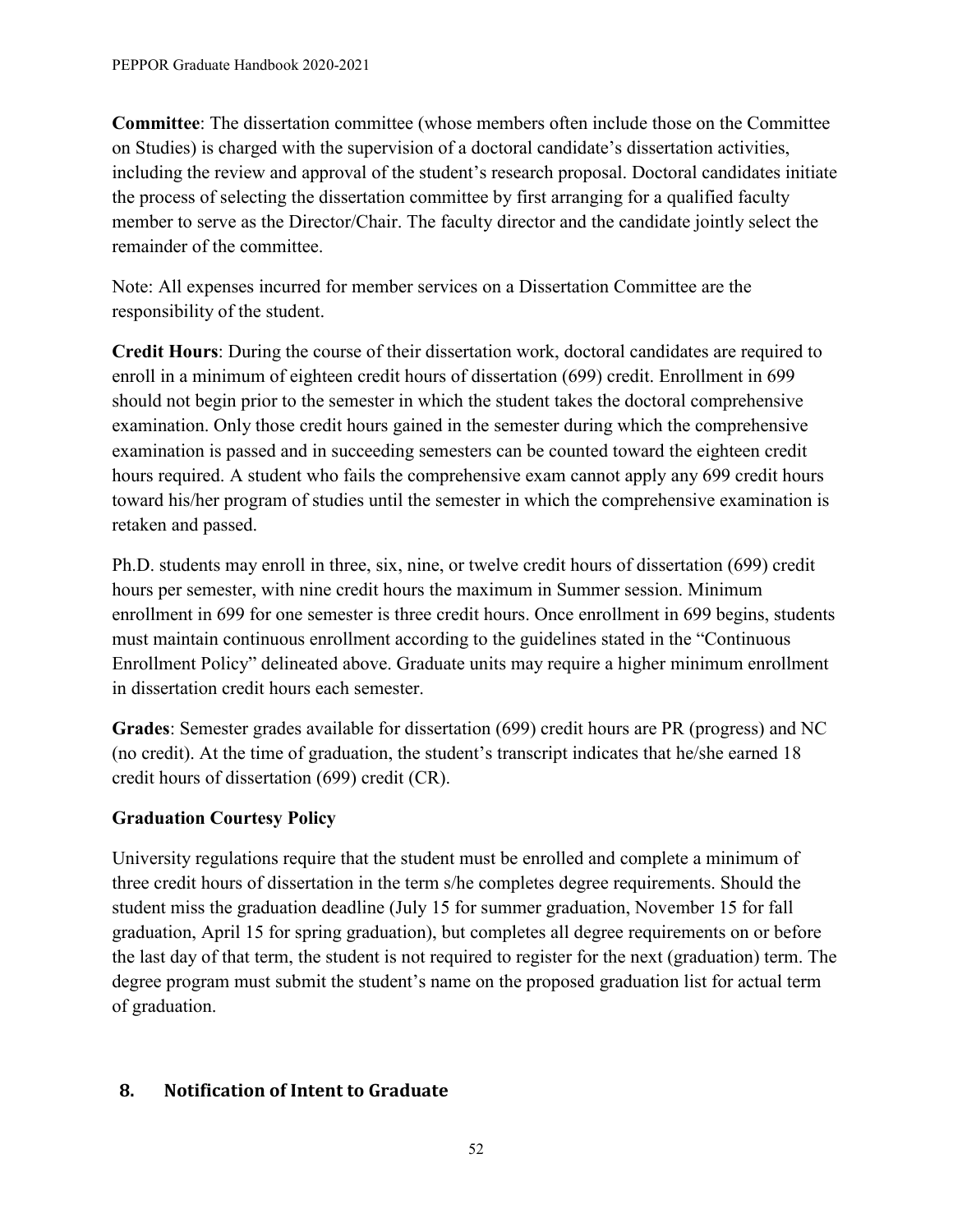**Committee**: The dissertation committee (whose members often include those on the Committee on Studies) is charged with the supervision of a doctoral candidate's dissertation activities, including the review and approval of the student's research proposal. Doctoral candidates initiate the process of selecting the dissertation committee by first arranging for a qualified faculty member to serve as the Director/Chair. The faculty director and the candidate jointly select the remainder of the committee.

Note: All expenses incurred for member services on a Dissertation Committee are the responsibility of the student.

**Credit Hours**: During the course of their dissertation work, doctoral candidates are required to enroll in a minimum of eighteen credit hours of dissertation (699) credit. Enrollment in 699 should not begin prior to the semester in which the student takes the doctoral comprehensive examination. Only those credit hours gained in the semester during which the comprehensive examination is passed and in succeeding semesters can be counted toward the eighteen credit hours required. A student who fails the comprehensive exam cannot apply any 699 credit hours toward his/her program of studies until the semester in which the comprehensive examination is retaken and passed.

Ph.D. students may enroll in three, six, nine, or twelve credit hours of dissertation (699) credit hours per semester, with nine credit hours the maximum in Summer session. Minimum enrollment in 699 for one semester is three credit hours. Once enrollment in 699 begins, students must maintain continuous enrollment according to the guidelines stated in the "Continuous Enrollment Policy" delineated above. Graduate units may require a higher minimum enrollment in dissertation credit hours each semester.

**Grades**: Semester grades available for dissertation (699) credit hours are PR (progress) and NC (no credit). At the time of graduation, the student's transcript indicates that he/she earned 18 credit hours of dissertation (699) credit (CR).

# **Graduation Courtesy Policy**

University regulations require that the student must be enrolled and complete a minimum of three credit hours of dissertation in the term s/he completes degree requirements. Should the student miss the graduation deadline (July 15 for summer graduation, November 15 for fall graduation, April 15 for spring graduation), but completes all degree requirements on or before the last day of that term, the student is not required to register for the next (graduation) term. The degree program must submit the student's name on the proposed graduation list for actual term of graduation.

## <span id="page-55-0"></span>**8. Notification of Intent to Graduate**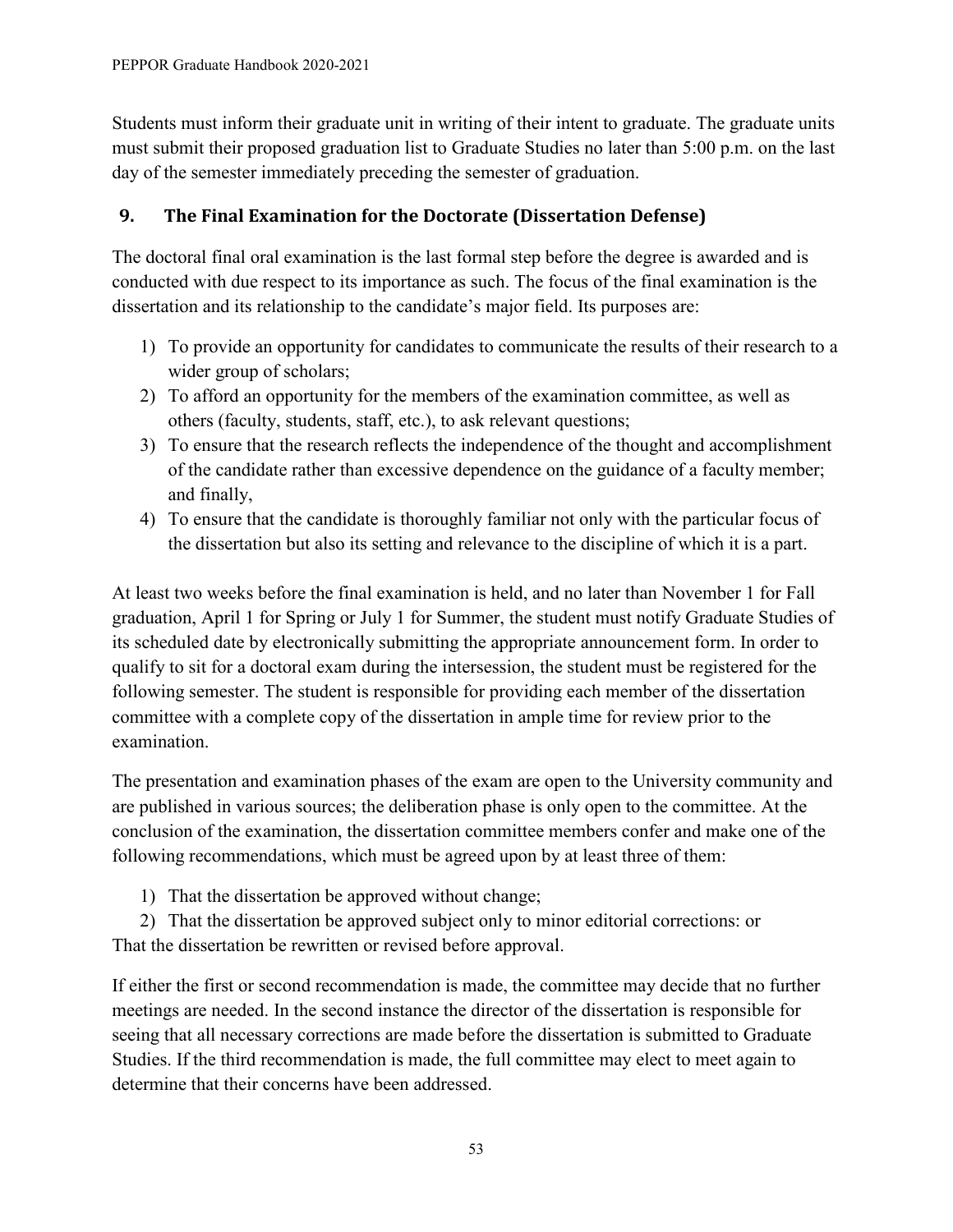Students must inform their graduate unit in writing of their intent to graduate. The graduate units must submit their proposed graduation list to Graduate Studies no later than 5:00 p.m. on the last day of the semester immediately preceding the semester of graduation.

## <span id="page-56-0"></span>**9. The Final Examination for the Doctorate (Dissertation Defense)**

The doctoral final oral examination is the last formal step before the degree is awarded and is conducted with due respect to its importance as such. The focus of the final examination is the dissertation and its relationship to the candidate's major field. Its purposes are:

- 1) To provide an opportunity for candidates to communicate the results of their research to a wider group of scholars;
- 2) To afford an opportunity for the members of the examination committee, as well as others (faculty, students, staff, etc.), to ask relevant questions;
- 3) To ensure that the research reflects the independence of the thought and accomplishment of the candidate rather than excessive dependence on the guidance of a faculty member; and finally,
- 4) To ensure that the candidate is thoroughly familiar not only with the particular focus of the dissertation but also its setting and relevance to the discipline of which it is a part.

At least two weeks before the final examination is held, and no later than November 1 for Fall graduation, April 1 for Spring or July 1 for Summer, the student must notify Graduate Studies of its scheduled date by electronically submitting the appropriate announcement form. In order to qualify to sit for a doctoral exam during the intersession, the student must be registered for the following semester. The student is responsible for providing each member of the dissertation committee with a complete copy of the dissertation in ample time for review prior to the examination.

The presentation and examination phases of the exam are open to the University community and are published in various sources; the deliberation phase is only open to the committee. At the conclusion of the examination, the dissertation committee members confer and make one of the following recommendations, which must be agreed upon by at least three of them:

- 1) That the dissertation be approved without change;
- 2) That the dissertation be approved subject only to minor editorial corrections: or That the dissertation be rewritten or revised before approval.

If either the first or second recommendation is made, the committee may decide that no further meetings are needed. In the second instance the director of the dissertation is responsible for seeing that all necessary corrections are made before the dissertation is submitted to Graduate Studies. If the third recommendation is made, the full committee may elect to meet again to determine that their concerns have been addressed.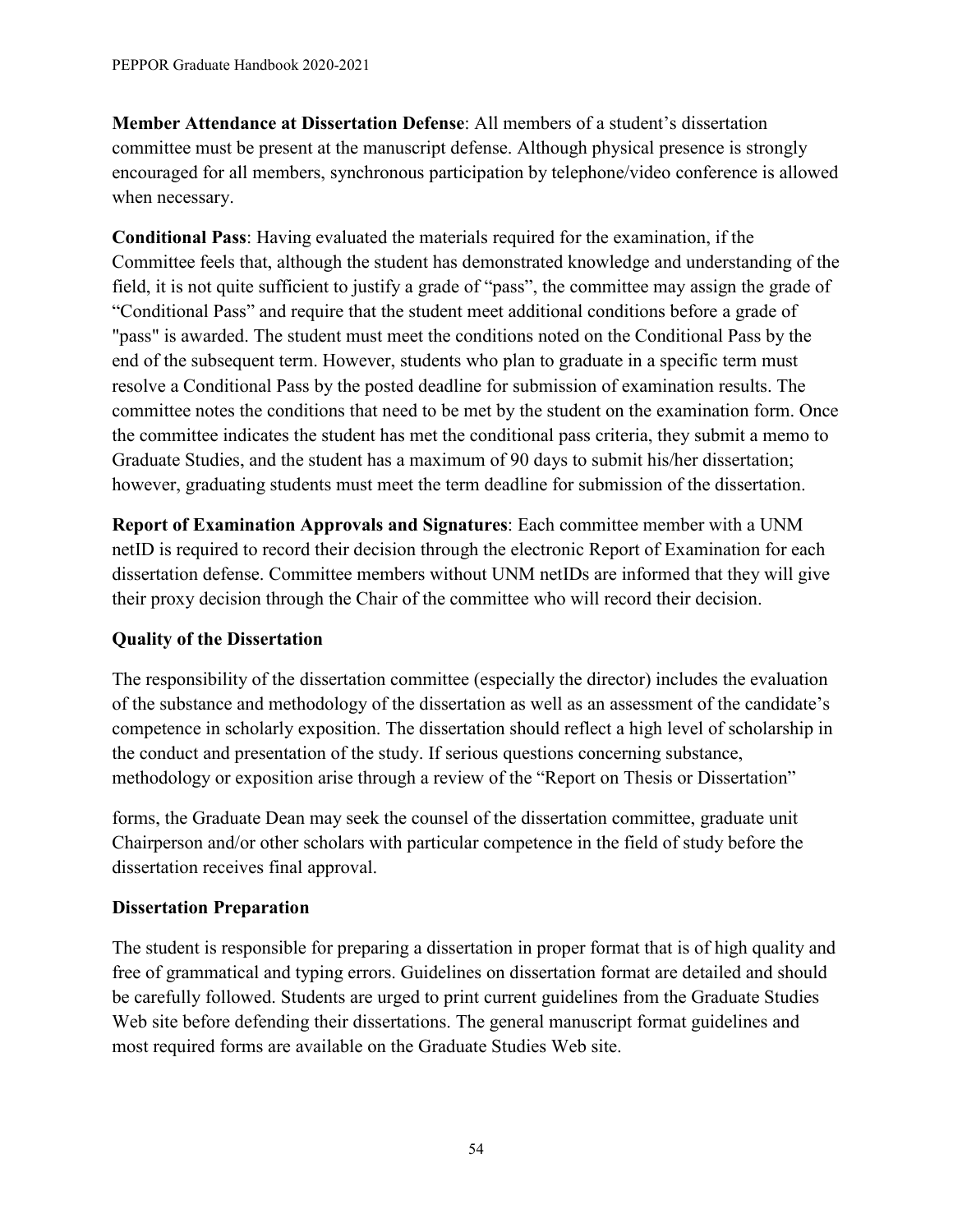**Member Attendance at Dissertation Defense**: All members of a student's dissertation committee must be present at the manuscript defense. Although physical presence is strongly encouraged for all members, synchronous participation by telephone/video conference is allowed when necessary.

**Conditional Pass**: Having evaluated the materials required for the examination, if the Committee feels that, although the student has demonstrated knowledge and understanding of the field, it is not quite sufficient to justify a grade of "pass", the committee may assign the grade of "Conditional Pass" and require that the student meet additional conditions before a grade of "pass" is awarded. The student must meet the conditions noted on the Conditional Pass by the end of the subsequent term. However, students who plan to graduate in a specific term must resolve a Conditional Pass by the posted deadline for submission of examination results. The committee notes the conditions that need to be met by the student on the examination form. Once the committee indicates the student has met the conditional pass criteria, they submit a memo to Graduate Studies, and the student has a maximum of 90 days to submit his/her dissertation; however, graduating students must meet the term deadline for submission of the dissertation.

**Report of Examination Approvals and Signatures**: Each committee member with a UNM netID is required to record their decision through the electronic Report of Examination for each dissertation defense. Committee members without UNM netIDs are informed that they will give their proxy decision through the Chair of the committee who will record their decision.

#### **Quality of the Dissertation**

The responsibility of the dissertation committee (especially the director) includes the evaluation of the substance and methodology of the dissertation as well as an assessment of the candidate's competence in scholarly exposition. The dissertation should reflect a high level of scholarship in the conduct and presentation of the study. If serious questions concerning substance, methodology or exposition arise through a review of the "Report on Thesis or Dissertation"

forms, the Graduate Dean may seek the counsel of the dissertation committee, graduate unit Chairperson and/or other scholars with particular competence in the field of study before the dissertation receives final approval.

#### **Dissertation Preparation**

The student is responsible for preparing a dissertation in proper format that is of high quality and free of grammatical and typing errors. Guidelines on dissertation format are detailed and should be carefully followed. Students are urged to print current guidelines from the Graduate Studies Web site before defending their dissertations. The general manuscript format guidelines and most required forms are available on the Graduate Studies Web site.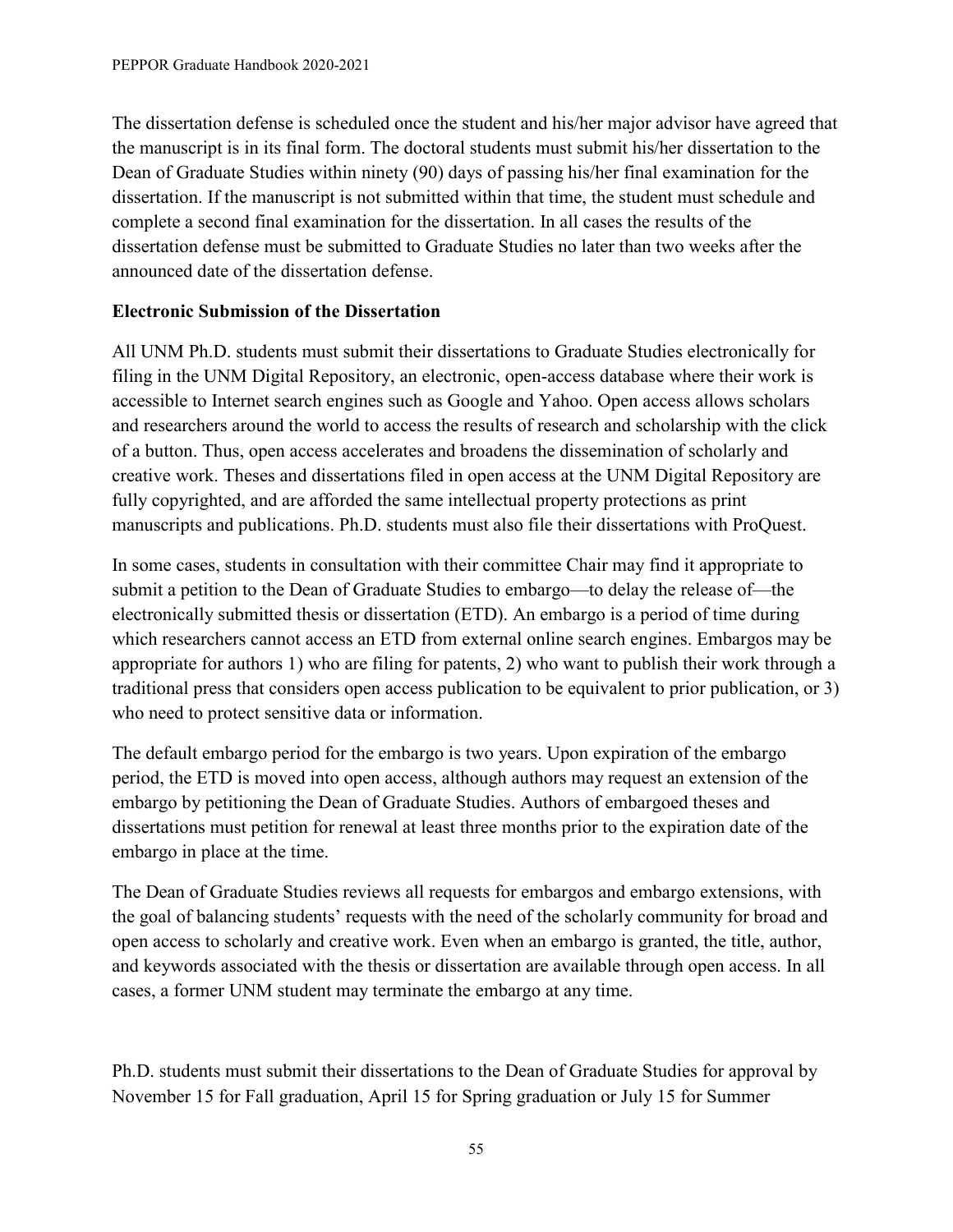The dissertation defense is scheduled once the student and his/her major advisor have agreed that the manuscript is in its final form. The doctoral students must submit his/her dissertation to the Dean of Graduate Studies within ninety (90) days of passing his/her final examination for the dissertation. If the manuscript is not submitted within that time, the student must schedule and complete a second final examination for the dissertation. In all cases the results of the dissertation defense must be submitted to Graduate Studies no later than two weeks after the announced date of the dissertation defense.

#### **Electronic Submission of the Dissertation**

All UNM Ph.D. students must submit their dissertations to Graduate Studies electronically for filing in the UNM Digital Repository, an electronic, open-access database where their work is accessible to Internet search engines such as Google and Yahoo. Open access allows scholars and researchers around the world to access the results of research and scholarship with the click of a button. Thus, open access accelerates and broadens the dissemination of scholarly and creative work. Theses and dissertations filed in open access at the UNM Digital Repository are fully copyrighted, and are afforded the same intellectual property protections as print manuscripts and publications. Ph.D. students must also file their dissertations with ProQuest.

In some cases, students in consultation with their committee Chair may find it appropriate to submit a petition to the Dean of Graduate Studies to embargo—to delay the release of—the electronically submitted thesis or dissertation (ETD). An embargo is a period of time during which researchers cannot access an ETD from external online search engines. Embargos may be appropriate for authors 1) who are filing for patents, 2) who want to publish their work through a traditional press that considers open access publication to be equivalent to prior publication, or 3) who need to protect sensitive data or information.

The default embargo period for the embargo is two years. Upon expiration of the embargo period, the ETD is moved into open access, although authors may request an extension of the embargo by petitioning the Dean of Graduate Studies. Authors of embargoed theses and dissertations must petition for renewal at least three months prior to the expiration date of the embargo in place at the time.

The Dean of Graduate Studies reviews all requests for embargos and embargo extensions, with the goal of balancing students' requests with the need of the scholarly community for broad and open access to scholarly and creative work. Even when an embargo is granted, the title, author, and keywords associated with the thesis or dissertation are available through open access. In all cases, a former UNM student may terminate the embargo at any time.

Ph.D. students must submit their dissertations to the Dean of Graduate Studies for approval by November 15 for Fall graduation, April 15 for Spring graduation or July 15 for Summer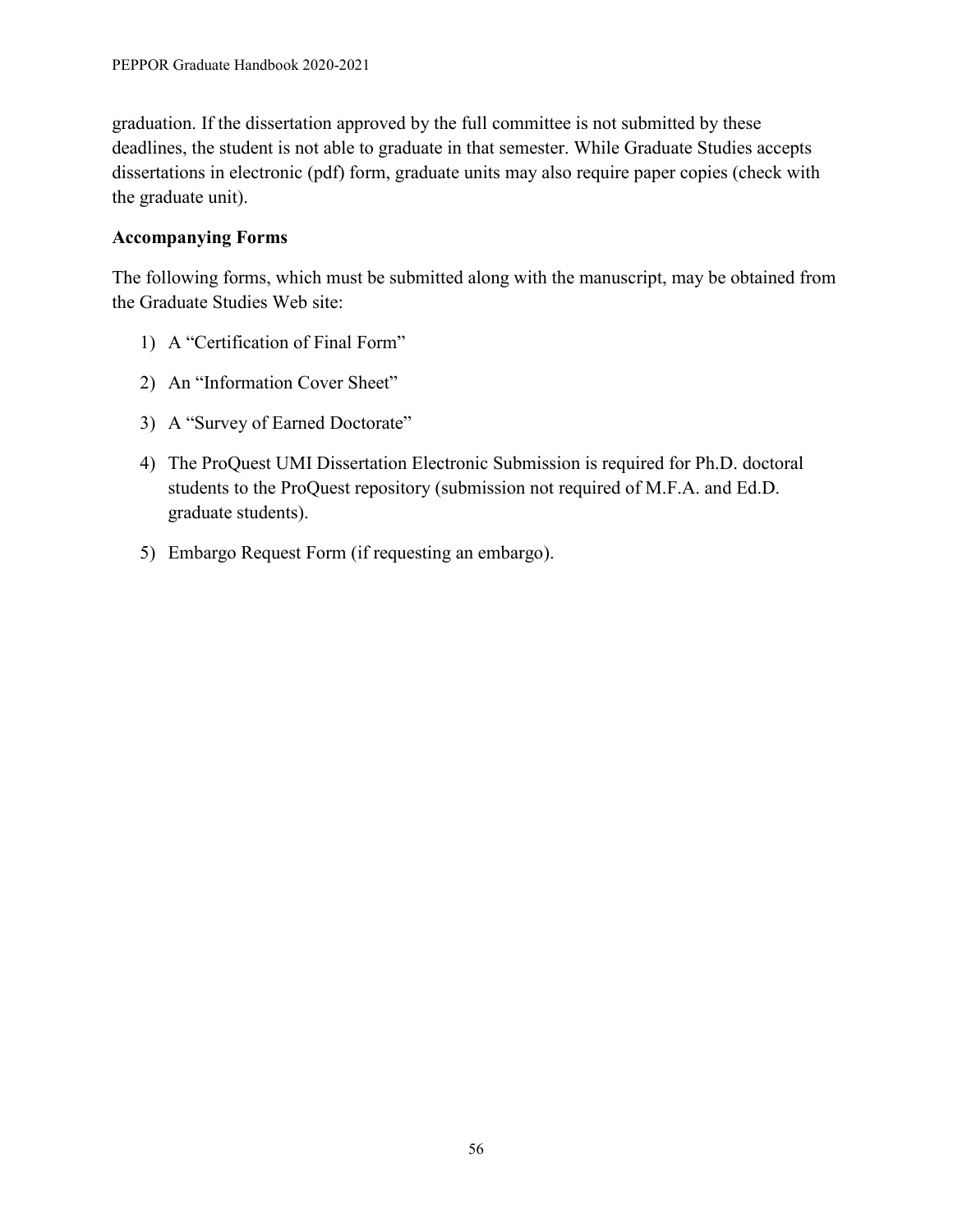graduation. If the dissertation approved by the full committee is not submitted by these deadlines, the student is not able to graduate in that semester. While Graduate Studies accepts dissertations in electronic (pdf) form, graduate units may also require paper copies (check with the graduate unit).

#### **Accompanying Forms**

The following forms, which must be submitted along with the manuscript, may be obtained from the Graduate Studies Web site:

- 1) A "Certification of Final Form"
- 2) An "Information Cover Sheet"
- 3) A "Survey of Earned Doctorate"
- 4) The ProQuest UMI Dissertation Electronic Submission is required for Ph.D. doctoral students to the ProQuest repository (submission not required of M.F.A. and Ed.D. graduate students).
- 5) Embargo Request Form (if requesting an embargo).